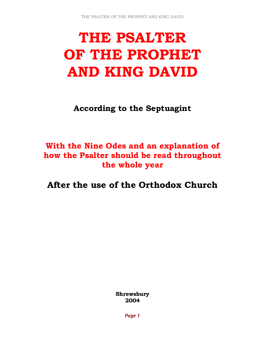# THE PSALTER OF THE PROPHET AND KING DAVID

According to the Septuagint

## With the Nine Odes and an explanation of how the Psalter should be read throughout the whole year

After the use of the Orthodox Church

Shrewsbury 2004

Page 1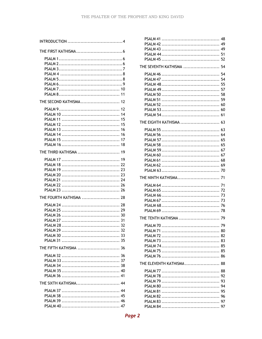| THE SECOND KATHISMA 12<br>12<br>14<br>15<br>15<br>16<br>-16<br>17<br>18 |
|-------------------------------------------------------------------------|
| THE THIRD KATHISMA  19<br>THE FOURTH KATHISMA  28                       |
|                                                                         |
| THE FIFTH KATHISMA  36                                                  |
| THE SIXTH KATHISMA 44                                                   |

| THE SEVENTH KATHISMA  54 |
|--------------------------|
|                          |
|                          |
|                          |
|                          |
|                          |
|                          |
|                          |
|                          |
|                          |
| THE EIGHTH KATHISMA  63  |
|                          |
|                          |
|                          |
|                          |
|                          |
|                          |
|                          |
|                          |
|                          |
|                          |
|                          |
|                          |
|                          |
|                          |
|                          |
|                          |
|                          |
|                          |
|                          |
|                          |
|                          |
|                          |
|                          |
|                          |
|                          |
| THE ELEVENTH KATHISMA 88 |
|                          |
|                          |
|                          |
|                          |
|                          |
|                          |
|                          |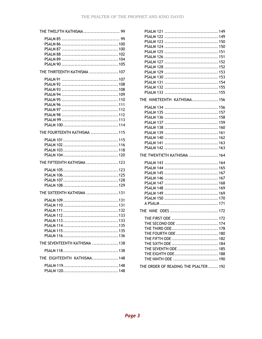| THE TWELFTH KATHISMA  99      |
|-------------------------------|
|                               |
| THE THIRTEENTH KATHISMA  107  |
|                               |
| THE FOURTEENTH KATHISMA  115  |
|                               |
| THE FIFTEENTH KATHISMA  123   |
|                               |
| THE SIXTEENTH KATHISMA  131   |
| <b>PSAI M 113</b>             |
| THE SEVENTEENTH KATHISMA  138 |
|                               |
| THE EIGHTEENTH KATHISMA 148   |
|                               |

| THE NINETEENTH KATHISMA 156                                                                                                                                                                           |
|-------------------------------------------------------------------------------------------------------------------------------------------------------------------------------------------------------|
|                                                                                                                                                                                                       |
| THE TWENTIETH KATHISMA  164                                                                                                                                                                           |
|                                                                                                                                                                                                       |
| THE NINE ODES  172                                                                                                                                                                                    |
|                                                                                                                                                                                                       |
| THE FIRST ODE  172<br>THE SECOND ODE  174<br>THE THIRD ODE 178<br>THE FOURTH ODE  180<br>THE FIFTH ODE  182<br>THE SIXTH ODE  184<br>THE SEVENTH ODE  185<br>THE EIGHTH ODE 188<br>THE NINTH ODE  190 |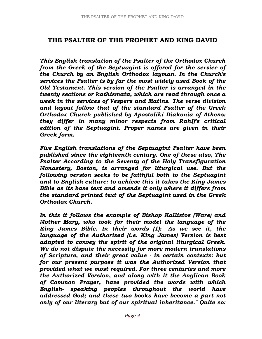## THE PSALTER OF THE PROPHET AND KING DAVID

This English translation of the Psalter of the Orthodox Church from the Greek of the Septuagint is offered for the service of the Church by an English Orthodox layman. In the Church's services the Psalter is by far the most widely used Book of the Old Testament. This version of the Psalter is arranged in the twenty sections or kathismata, which are read through once a week in the services of Vespers and Matins. The verse division and layout follow that of the standard Psalter of the Greek Orthodox Church published by Apostoliki Diakonia of Athens: they differ in many minor respects from RahIf's critical edition of the Septuagint. Proper names are given in their Greek form.

Five English translations of the Septuagint Psalter have been published since the eighteenth century. One of these also, The Psalter According to the Seventy of the Holy Transfiguration Monastery, Boston, is arranged for liturgical use. But the following version seeks to be faithful both to the Septuagint and to English culture: to achieve this it takes the King James Bible as its base text and amends it only where it differs from the standard printed text of the Septuagint used in the Greek Orthodox Church.

In this it follows the example of Bishop Kallistos (Ware) and Mother Mary, who took for their model the language of the King James Bible. In their words (1): "As we see it, the language of the Authorized (i.e. King James) Version is best adapted to convey the spirit of the original liturgical Greek. We do not dispute the necessity for more modern translations of Scripture, and their great value - in certain contexts: but for our present purpose it was the Authorized Version that provided what we most required. For three centuries and more the Authorized Version, and along with it the Anglican Book of Common Prayer, have provided the words with which English- speaking peoples throughout the world have addressed God; and these two books have become a part not only of our literary but of our spiritual inheritance." Quite so: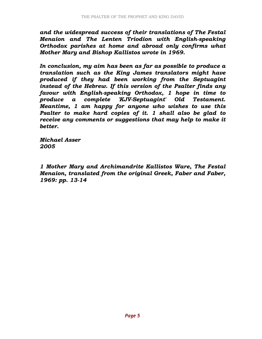and the widespread success of their translations of The Festal Menaion and The Lenten Triodion with English-speaking Orthodox parishes at home and abroad only confirms what Mother Mary and Bishop Kallistos wrote in 1969.

In conclusion, my aim has been as far as possible to produce a translation such as the King James translators might have produced if they had been working from the Septuagint instead of the Hebrew. If this version of the Psalter finds any favour with English-speaking Orthodox, 1 hope in time to produce a complete 'KJV-Septuagint' Old Testament. Meantime, 1 am happy for anyone who wishes to use this Psalter to make hard copies of it. 1 shall also be glad to receive any comments or suggestions that may help to make it better.

Michael Asser 2005

1 Mother Mary and Archimandrite Kallistos Ware, The Festal Menaion, translated from the original Greek, Faber and Faber, 1969: pp. 13-14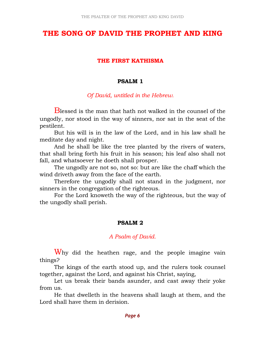## THE SONG OF DAVID THE PROPHET AND KING

#### THE FIRST KATHISMA

#### PSALM 1

#### Of David, untitled in the Hebrew.

Blessed is the man that hath not walked in the counsel of the ungodly, nor stood in the way of sinners, nor sat in the seat of the pestilent.

 But his will is in the law of the Lord, and in his law shall he meditate day and night.

 And he shall be like the tree planted by the rivers of waters, that shall bring forth his fruit in his season; his leaf also shall not fall, and whatsoever he doeth shall prosper.

 The ungodly are not so, not so: but are like the chaff which the wind driveth away from the face of the earth.

 Therefore the ungodly shall not stand in the judgment, nor sinners in the congregation of the righteous.

 For the Lord knoweth the way of the righteous, but the way of the ungodly shall perish.

#### PSALM 2

## A Psalm of David.

Why did the heathen rage, and the people imagine vain things?

 The kings of the earth stood up, and the rulers took counsel together, against the Lord, and against his Christ, saying,

 Let us break their bands asunder, and cast away their yoke from us.

 He that dwelleth in the heavens shall laugh at them, and the Lord shall have them in derision.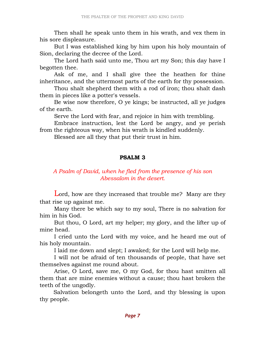Then shall he speak unto them in his wrath, and vex them in his sore displeasure.

 But I was established king by him upon his holy mountain of Sion, declaring the decree of the Lord.

 The Lord hath said unto me, Thou art my Son; this day have I begotten thee.

Ask of me, and I shall give thee the heathen for thine inheritance, and the uttermost parts of the earth for thy possession.

 Thou shalt shepherd them with a rod of iron; thou shalt dash them in pieces like a potter's vessels.

 Be wise now therefore, O ye kings; be instructed, all ye judges of the earth.

Serve the Lord with fear, and rejoice in him with trembling.

 Embrace instruction, lest the Lord be angry, and ye perish from the righteous way, when his wrath is kindled suddenly.

Blessed are all they that put their trust in him.

## PSALM 3

## A Psalm of David, when he fled from the presence of his son Abessalom in the desert.

Lord, how are they increased that trouble me? Many are they that rise up against me.

 Many there be which say to my soul, There is no salvation for him in his God.

 But thou, O Lord, art my helper; my glory, and the lifter up of mine head.

 I cried unto the Lord with my voice, and he heard me out of his holy mountain.

I laid me down and slept; I awaked; for the Lord will help me.

 I will not be afraid of ten thousands of people, that have set themselves against me round about.

 Arise, O Lord, save me, O my God, for thou hast smitten all them that are mine enemies without a cause; thou hast broken the teeth of the ungodly.

 Salvation belongeth unto the Lord, and thy blessing is upon thy people.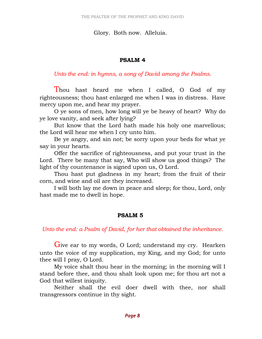#### Glory. Both now. Alleluia.

#### PSALM 4

Unto the end: in hymns, a song of David among the Psalms.

Thou hast heard me when I called, O God of my righteousness; thou hast enlarged me when I was in distress. Have mercy upon me, and hear my prayer.

 O ye sons of men, how long will ye be heavy of heart? Why do ye love vanity, and seek after lying?

 But know that the Lord hath made his holy one marvellous; the Lord will hear me when I cry unto him.

 Be ye angry, and sin not; be sorry upon your beds for what ye say in your hearts.

 Offer the sacrifice of righteousness, and put your trust in the Lord. There be many that say, Who will show us good things? The light of thy countenance is signed upon us, O Lord.

 Thou hast put gladness in my heart; from the fruit of their corn, and wine and oil are they increased.

 I will both lay me down in peace and sleep; for thou, Lord, only hast made me to dwell in hope.

## PSALM 5

Unto the end: a Psalm of David, for her that obtained the inheritance.

Give ear to my words, O Lord; understand my cry. Hearken unto the voice of my supplication, my King, and my God; for unto thee will I pray, O Lord.

 My voice shalt thou hear in the morning; in the morning will I stand before thee, and thou shalt look upon me; for thou art not a God that willest iniquity.

 Neither shall the evil doer dwell with thee, nor shall transgressors continue in thy sight.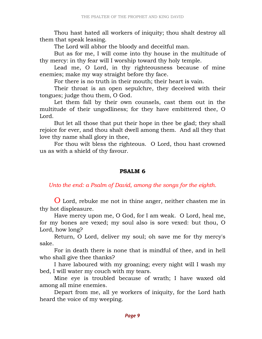Thou hast hated all workers of iniquity; thou shalt destroy all them that speak leasing.

The Lord will abhor the bloody and deceitful man.

 But as for me, I will come into thy house in the multitude of thy mercy: in thy fear will I worship toward thy holy temple.

 Lead me, O Lord, in thy righteousness because of mine enemies; make my way straight before thy face.

For there is no truth in their mouth; their heart is vain.

 Their throat is an open sepulchre, they deceived with their tongues; judge thou them, O God.

 Let them fall by their own counsels, cast them out in the multitude of their ungodliness; for they have embittered thee, O Lord.

 But let all those that put their hope in thee be glad; they shall rejoice for ever, and thou shalt dwell among them. And all they that love thy name shall glory in thee,

 For thou wilt bless the righteous. O Lord, thou hast crowned us as with a shield of thy favour.

#### PSALM 6

Unto the end: a Psalm of David, among the songs for the eighth.

O Lord, rebuke me not in thine anger, neither chasten me in thy hot displeasure.

 Have mercy upon me, O God, for I am weak. O Lord, heal me, for my bones are vexed; my soul also is sore vexed: but thou, O Lord, how long?

 Return, O Lord, deliver my soul; oh save me for thy mercy's sake.

 For in death there is none that is mindful of thee, and in hell who shall give thee thanks?

 I have laboured with my groaning; every night will I wash my bed, I will water my couch with my tears.

 Mine eye is troubled because of wrath; I have waxed old among all mine enemies.

 Depart from me, all ye workers of iniquity, for the Lord hath heard the voice of my weeping.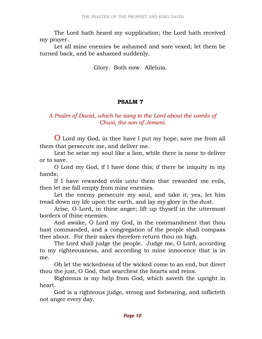The Lord hath heard my supplication; the Lord hath received my prayer.

 Let all mine enemies be ashamed and sore vexed; let them be turned back, and be ashamed suddenly.

Glory. Both now. Alleluia.

## PSALM 7

## A Psalm of David, which he sang to the Lord about the words of Chusi, the son of Jemeni.

O Lord my God, in thee have I put my hope; save me from all them that persecute me, and deliver me.

 Lest he seize my soul like a lion, while there is none to deliver or to save.

 O Lord my God, if I have done this; if there be iniquity in my hands;

 If I have rewarded evils unto them that rewarded me evils, then let me fall empty from mine enemies.

 Let the enemy persecute my soul, and take it; yea, let him tread down my life upon the earth, and lay my glory in the dust.

 Arise, O Lord, in thine anger; lift up thyself in the uttermost borders of thine enemies.

 And awake, O Lord my God, in the commandment that thou hast commanded, and a congregation of the people shall compass thee about. For their sakes therefore return thou on high.

 The Lord shall judge the people. Judge me, O Lord, according to my righteousness, and according to mine innocence that is in me.

 Oh let the wickedness of the wicked come to an end, but direct thou the just, O God, that searchest the hearts and reins.

 Righteous is my help from God, which saveth the upright in heart.

 God is a righteous judge, strong and forbearing, and inflicteth not anger every day.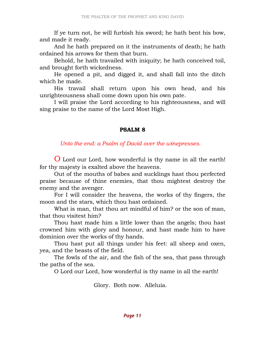If ye turn not, he will furbish his sword; he hath bent his bow, and made it ready.

 And he hath prepared on it the instruments of death; he hath ordained his arrows for them that burn.

 Behold, he hath travailed with iniquity; he hath conceived toil, and brought forth wickedness.

 He opened a pit, and digged it, and shall fall into the ditch which he made.

 His travail shall return upon his own head, and his unrighteousness shall come down upon his own pate.

 I will praise the Lord according to his righteousness, and will sing praise to the name of the Lord Most High.

#### PSALM 8

#### Unto the end: a Psalm of David over the winepresses.

O Lord our Lord, how wonderful is thy name in all the earth! for thy majesty is exalted above the heavens.

 Out of the mouths of babes and sucklings hast thou perfected praise because of thine enemies, that thou mightest destroy the enemy and the avenger.

 For I will consider the heavens, the works of thy fingers, the moon and the stars, which thou hast ordained.

 What is man, that thou art mindful of him? or the son of man, that thou visitest him?

 Thou hast made him a little lower than the angels; thou hast crowned him with glory and honour, and hast made him to have dominion over the works of thy hands.

 Thou hast put all things under his feet: all sheep and oxen, yea, and the beasts of the field.

 The fowls of the air, and the fish of the sea, that pass through the paths of the sea.

O Lord our Lord, how wonderful is thy name in all the earth!

Glory. Both now. Alleluia.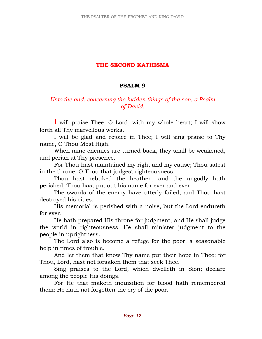## THE SECOND KATHISMA

#### PSALM 9

## Unto the end: concerning the hidden things of the son, a Psalm of David.

I will praise Thee, O Lord, with my whole heart; I will show forth all Thy marvellous works.

 I will be glad and rejoice in Thee; I will sing praise to Thy name, O Thou Most High.

 When mine enemies are turned back, they shall be weakened, and perish at Thy presence.

 For Thou hast maintained my right and my cause; Thou satest in the throne, O Thou that judgest righteousness.

 Thou hast rebuked the heathen, and the ungodly hath perished; Thou hast put out his name for ever and ever.

 The swords of the enemy have utterly failed, and Thou hast destroyed his cities.

 His memorial is perished with a noise, but the Lord endureth for ever.

 He hath prepared His throne for judgment, and He shall judge the world in righteousness, He shall minister judgment to the people in uprightness.

 The Lord also is become a refuge for the poor, a seasonable help in times of trouble.

 And let them that know Thy name put their hope in Thee; for Thou, Lord, hast not forsaken them that seek Thee.

 Sing praises to the Lord, which dwelleth in Sion; declare among the people His doings.

 For He that maketh inquisition for blood hath remembered them; He hath not forgotten the cry of the poor.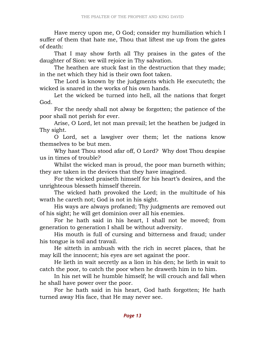Have mercy upon me, O God; consider my humiliation which I suffer of them that hate me, Thou that liftest me up from the gates of death:

 That I may show forth all Thy praises in the gates of the daughter of Sion: we will rejoice in Thy salvation.

 The heathen are stuck fast in the destruction that they made; in the net which they hid is their own foot taken.

 The Lord is known by the judgments which He executeth; the wicked is snared in the works of his own hands.

 Let the wicked be turned into hell, all the nations that forget God.

 For the needy shall not alway be forgotten; the patience of the poor shall not perish for ever.

 Arise, O Lord, let not man prevail; let the heathen be judged in Thy sight.

 O Lord, set a lawgiver over them; let the nations know themselves to be but men.

 Why hast Thou stood afar off, O Lord? Why dost Thou despise us in times of trouble?

 Whilst the wicked man is proud, the poor man burneth within; they are taken in the devices that they have imagined.

 For the wicked praiseth himself for his heart's desires, and the unrighteous blesseth himself therein.

 The wicked hath provoked the Lord; in the multitude of his wrath he careth not; God is not in his sight.

 His ways are always profaned; Thy judgments are removed out of his sight; he will get dominion over all his enemies.

 For he hath said in his heart, I shall not be moved; from generation to generation I shall be without adversity.

 His mouth is full of cursing and bitterness and fraud; under his tongue is toil and travail.

 He sitteth in ambush with the rich in secret places, that he may kill the innocent; his eyes are set against the poor.

 He lieth in wait secretly as a lion in his den; he lieth in wait to catch the poor, to catch the poor when he draweth him in to him.

 In his net will he humble himself; he will crouch and fall when he shall have power over the poor.

 For he hath said in his heart, God hath forgotten; He hath turned away His face, that He may never see.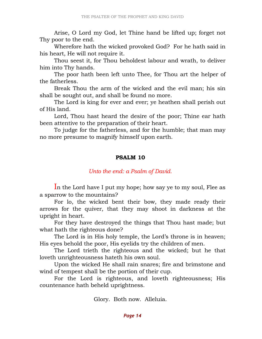Arise, O Lord my God, let Thine hand be lifted up; forget not Thy poor to the end.

 Wherefore hath the wicked provoked God? For he hath said in his heart, He will not require it.

 Thou seest it, for Thou beholdest labour and wrath, to deliver him into Thy hands.

 The poor hath been left unto Thee, for Thou art the helper of the fatherless.

 Break Thou the arm of the wicked and the evil man; his sin shall be sought out, and shall be found no more.

 The Lord is king for ever and ever; ye heathen shall perish out of His land.

 Lord, Thou hast heard the desire of the poor; Thine ear hath been attentive to the preparation of their heart.

 To judge for the fatherless, and for the humble; that man may no more presume to magnify himself upon earth.

#### PSALM 10

## Unto the end: a Psalm of David.

In the Lord have I put my hope; how say ye to my soul, Flee as a sparrow to the mountains?

 For lo, the wicked bent their bow, they made ready their arrows for the quiver, that they may shoot in darkness at the upright in heart.

 For they have destroyed the things that Thou hast made; but what hath the righteous done?

 The Lord is in His holy temple, the Lord's throne is in heaven; His eyes behold the poor, His eyelids try the children of men.

 The Lord trieth the righteous and the wicked; but he that loveth unrighteousness hateth his own soul.

 Upon the wicked He shall rain snares; fire and brimstone and wind of tempest shall be the portion of their cup.

 For the Lord is righteous, and loveth righteousness; His countenance hath beheld uprightness.

Glory. Both now. Alleluia.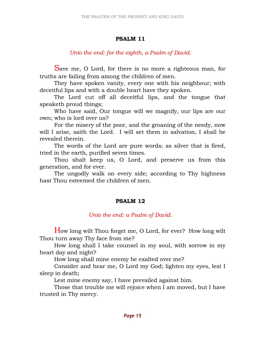## PSALM 11

## Unto the end: for the eighth, a Psalm of David.

Save me, O Lord, for there is no more a righteous man, for truths are failing from among the children of men.

 They have spoken vanity, every one with his neighbour; with deceitful lips and with a double heart have they spoken.

 The Lord cut off all deceitful lips, and the tongue that speaketh proud things;

 Who have said, Our tongue will we magnify, our lips are our own; who is lord over us?

 For the misery of the poor, and the groaning of the needy, now will I arise, saith the Lord. I will set them in salvation, I shall be revealed therein.

 The words of the Lord are pure words; as silver that is fired, tried in the earth, purified seven times.

 Thou shalt keep us, O Lord, and preserve us from this generation, and for ever.

 The ungodly walk on every side; according to Thy highness hast Thou esteemed the children of men.

## PSALM 12

## Unto the end: a Psalm of David.

How long wilt Thou forget me, O Lord, for ever? How long wilt Thou turn away Thy face from me?

 How long shall I take counsel in my soul, with sorrow in my heart day and night?

How long shall mine enemy be exalted over me?

 Consider and hear me, O Lord my God; lighten my eyes, lest I sleep in death;

Lest mine enemy say, I have prevailed against him.

 Those that trouble me will rejoice when I am moved, but I have trusted in Thy mercy.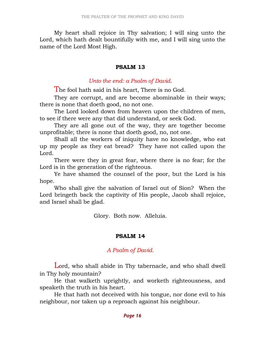My heart shall rejoice in Thy salvation; I will sing unto the Lord, which hath dealt bountifully with me, and I will sing unto the name of the Lord Most High.

#### PSALM 13

#### Unto the end: a Psalm of David.

The fool hath said in his heart, There is no God.

 They are corrupt, and are become abominable in their ways; there is none that doeth good, no not one.

 The Lord looked down from heaven upon the children of men, to see if there were any that did understand, or seek God.

 They are all gone out of the way, they are together become unprofitable; there is none that doeth good, no, not one.

 Shall all the workers of iniquity have no knowledge, who eat up my people as they eat bread? They have not called upon the Lord.

 There were they in great fear, where there is no fear; for the Lord is in the generation of the righteous.

 Ye have shamed the counsel of the poor, but the Lord is his hope.

 Who shall give the salvation of Israel out of Sion? When the Lord bringeth back the captivity of His people, Jacob shall rejoice, and Israel shall be glad.

Glory. Both now. Alleluia.

## PSALM 14

## A Psalm of David.

Lord, who shall abide in Thy tabernacle, and who shall dwell in Thy holy mountain?

 He that walketh uprightly, and worketh righteousness, and speaketh the truth in his heart.

 He that hath not deceived with his tongue, nor done evil to his neighbour, nor taken up a reproach against his neighbour.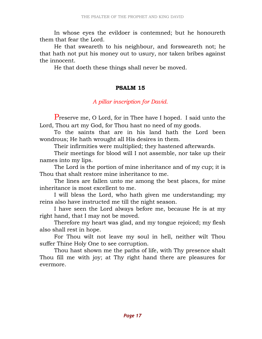In whose eyes the evildoer is contemned; but he honoureth them that fear the Lord.

 He that sweareth to his neighbour, and forsweareth not; he that hath not put his money out to usury, nor taken bribes against the innocent.

He that doeth these things shall never be moved.

## PSALM 15

## A pillar inscription for David.

Preserve me, O Lord, for in Thee have I hoped. I said unto the Lord, Thou art my God, for Thou hast no need of my goods.

 To the saints that are in his land hath the Lord been wondrous; He hath wrought all His desires in them.

Their infirmities were multiplied; they hastened afterwards.

 Their meetings for blood will I not assemble, nor take up their names into my lips.

 The Lord is the portion of mine inheritance and of my cup; it is Thou that shalt restore mine inheritance to me.

 The lines are fallen unto me among the best places, for mine inheritance is most excellent to me.

 I will bless the Lord, who hath given me understanding; my reins also have instructed me till the night season.

 I have seen the Lord always before me, because He is at my right hand, that I may not be moved.

 Therefore my heart was glad, and my tongue rejoiced; my flesh also shall rest in hope.

 For Thou wilt not leave my soul in hell, neither wilt Thou suffer Thine Holy One to see corruption.

 Thou hast shown me the paths of life, with Thy presence shalt Thou fill me with joy; at Thy right hand there are pleasures for evermore.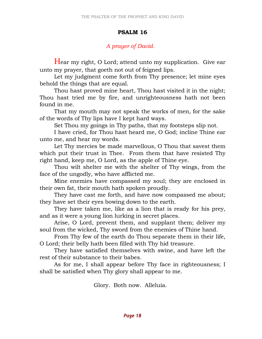#### PSALM 16

## A prayer of David.

Hear my right, O Lord; attend unto my supplication. Give ear unto my prayer, that goeth not out of feigned lips.

 Let my judgment come forth from Thy presence; let mine eyes behold the things that are equal.

 Thou hast proved mine heart, Thou hast visited it in the night; Thou hast tried me by fire, and unrighteousness hath not been found in me.

 That my mouth may not speak the works of men, for the sake of the words of Thy lips have I kept hard ways.

Set Thou my goings in Thy paths, that my footsteps slip not.

 I have cried, for Thou hast heard me, O God; incline Thine ear unto me, and hear my words.

 Let Thy mercies be made marvellous, O Thou that savest them which put their trust in Thee. From them that have resisted Thy right hand, keep me, O Lord, as the apple of Thine eye.

 Thou wilt shelter me with the shelter of Thy wings, from the face of the ungodly, who have afflicted me.

 Mine enemies have compassed my soul; they are enclosed in their own fat, their mouth hath spoken proudly.

 They have cast me forth, and have now compassed me about; they have set their eyes bowing down to the earth.

 They have taken me, like as a lion that is ready for his prey, and as it were a young lion lurking in secret places.

 Arise, O Lord, prevent them, and supplant them; deliver my soul from the wicked, Thy sword from the enemies of Thine hand.

 From Thy few of the earth do Thou separate them in their life, O Lord; their belly hath been filled with Thy hid treasure.

 They have satisfied themselves with swine, and have left the rest of their substance to their babes.

 As for me, I shall appear before Thy face in righteousness; I shall be satisfied when Thy glory shall appear to me.

Glory. Both now. Alleluia.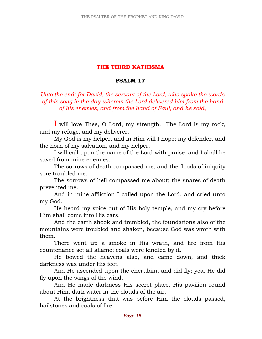## THE THIRD KATHISMA

## PSALM 17

Unto the end: for David, the servant of the Lord, who spake the words of this song in the day wherein the Lord delivered him from the hand of his enemies, and from the hand of Saul; and he said,

I will love Thee, O Lord, my strength. The Lord is my rock, and my refuge, and my deliverer.

 My God is my helper, and in Him will I hope; my defender, and the horn of my salvation, and my helper.

 I will call upon the name of the Lord with praise, and I shall be saved from mine enemies.

 The sorrows of death compassed me, and the floods of iniquity sore troubled me.

 The sorrows of hell compassed me about; the snares of death prevented me.

 And in mine affliction I called upon the Lord, and cried unto my God.

 He heard my voice out of His holy temple, and my cry before Him shall come into His ears.

 And the earth shook and trembled, the foundations also of the mountains were troubled and shaken, because God was wroth with them.

 There went up a smoke in His wrath, and fire from His countenance set all aflame; coals were kindled by it.

 He bowed the heavens also, and came down, and thick darkness was under His feet.

 And He ascended upon the cherubim, and did fly; yea, He did fly upon the wings of the wind.

 And He made darkness His secret place, His pavilion round about Him, dark water in the clouds of the air.

 At the brightness that was before Him the clouds passed, hailstones and coals of fire.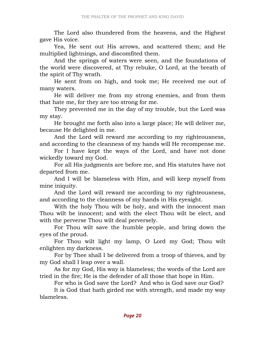The Lord also thundered from the heavens, and the Highest gave His voice.

 Yea, He sent out His arrows, and scattered them; and He multiplied lightnings, and discomfited them.

 And the springs of waters were seen, and the foundations of the world were discovered, at Thy rebuke, O Lord, at the breath of the spirit of Thy wrath.

 He sent from on high, and took me; He received me out of many waters.

 He will deliver me from my strong enemies, and from them that hate me, for they are too strong for me.

 They prevented me in the day of my trouble, but the Lord was my stay.

 He brought me forth also into a large place; He will deliver me, because He delighted in me.

 And the Lord will reward me according to my righteousness, and according to the cleanness of my hands will He recompense me.

 For I have kept the ways of the Lord, and have not done wickedly toward my God.

 For all His judgments are before me, and His statutes have not departed from me.

 And I will be blameless with Him, and will keep myself from mine iniquity.

 And the Lord will reward me according to my righteousness, and according to the cleanness of my hands in His eyesight.

 With the holy Thou wilt be holy, and with the innocent man Thou wilt be innocent; and with the elect Thou wilt be elect, and with the perverse Thou wilt deal perversely.

 For Thou wilt save the humble people, and bring down the eyes of the proud.

 For Thou wilt light my lamp, O Lord my God; Thou wilt enlighten my darkness.

 For by Thee shall I be delivered from a troop of thieves, and by my God shall I leap over a wall.

 As for my God, His way is blameless; the words of the Lord are tried in the fire; He is the defender of all those that hope in Him.

For who is God save the Lord? And who is God save our God?

 It is God that hath girded me with strength, and made my way blameless.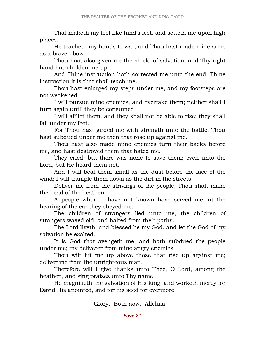That maketh my feet like hind's feet, and setteth me upon high places.

 He teacheth my hands to war; and Thou hast made mine arms as a brazen bow.

 Thou hast also given me the shield of salvation, and Thy right hand hath holden me up.

 And Thine instruction hath corrected me unto the end; Thine instruction it is that shall teach me.

 Thou hast enlarged my steps under me, and my footsteps are not weakened.

 I will pursue mine enemies, and overtake them; neither shall I turn again until they be consumed.

 I will afflict them, and they shall not be able to rise; they shall fall under my feet.

 For Thou hast girded me with strength unto the battle; Thou hast subdued under me then that rose up against me.

 Thou hast also made mine enemies turn their backs before me, and hast destroyed them that hated me.

 They cried, but there was none to save them; even unto the Lord, but He heard them not.

 And I will beat them small as the dust before the face of the wind; I will trample them down as the dirt in the streets.

 Deliver me from the strivings of the people; Thou shalt make the head of the heathen.

 A people whom I have not known have served me; at the hearing of the ear they obeyed me.

 The children of strangers lied unto me, the children of strangers waxed old, and halted from their paths.

 The Lord liveth, and blessed be my God, and let the God of my salvation be exalted.

 It is God that avengeth me, and hath subdued the people under me; my deliverer from mine angry enemies.

 Thou wilt lift me up above those that rise up against me; deliver me from the unrighteous man.

 Therefore will I give thanks unto Thee, O Lord, among the heathen, and sing praises unto Thy name.

 He magnifieth the salvation of His king, and worketh mercy for David His anointed, and for his seed for evermore.

Glory. Both now. Alleluia.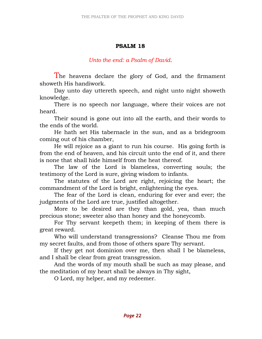## PSALM 18

## Unto the end: a Psalm of David.

The heavens declare the glory of God, and the firmament showeth His handiwork.

 Day unto day uttereth speech, and night unto night showeth knowledge.

 There is no speech nor language, where their voices are not heard.

 Their sound is gone out into all the earth, and their words to the ends of the world.

 He hath set His tabernacle in the sun, and as a bridegroom coming out of his chamber,

 He will rejoice as a giant to run his course. His going forth is from the end of heaven, and his circuit unto the end of it, and there is none that shall hide himself from the heat thereof.

 The law of the Lord is blameless, converting souls; the testimony of the Lord is sure, giving wisdom to infants.

 The statutes of the Lord are right, rejoicing the heart; the commandment of the Lord is bright, enlightening the eyes.

 The fear of the Lord is clean, enduring for ever and ever; the judgments of the Lord are true, justified altogether.

 More to be desired are they than gold, yea, than much precious stone; sweeter also than honey and the honeycomb.

 For Thy servant keepeth them; in keeping of them there is great reward.

 Who will understand transgressions? Cleanse Thou me from my secret faults, and from those of others spare Thy servant.

 If they get not dominion over me, then shall I be blameless, and I shall be clear from great transgression.

 And the words of my mouth shall be such as may please, and the meditation of my heart shall be always in Thy sight,

O Lord, my helper, and my redeemer.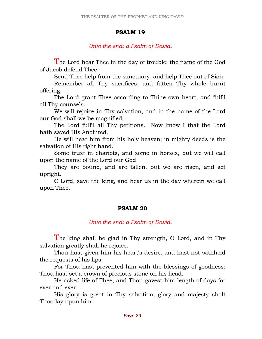#### PSALM 19

Unto the end: a Psalm of David.

The Lord hear Thee in the day of trouble; the name of the God of Jacob defend Thee.

Send Thee help from the sanctuary, and help Thee out of Sion.

 Remember all Thy sacrifices, and fatten Thy whole burnt offering.

 The Lord grant Thee according to Thine own heart, and fulfil all Thy counsels.

 We will rejoice in Thy salvation, and in the name of the Lord our God shall we be magnified.

 The Lord fulfil all Thy petitions. Now know I that the Lord hath saved His Anointed.

 He will hear him from his holy heaven; in mighty deeds is the salvation of His right hand.

 Some trust in chariots, and some in horses, but we will call upon the name of the Lord our God.

 They are bound, and are fallen, but we are risen, and set upright.

 O Lord, save the king, and hear us in the day wherein we call upon Thee.

## PSALM 20

Unto the end: a Psalm of David.

 The king shall be glad in Thy strength, O Lord, and in Thy salvation greatly shall he rejoice.

 Thou hast given him his heart's desire, and hast not withheld the requests of his lips.

 For Thou hast prevented him with the blessings of goodness; Thou hast set a crown of precious stone on his head.

 He asked life of Thee, and Thou gavest him length of days for ever and ever.

 His glory is great in Thy salvation; glory and majesty shalt Thou lay upon him.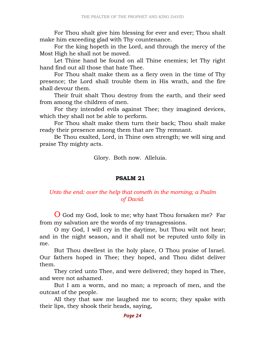For Thou shalt give him blessing for ever and ever; Thou shalt make him exceeding glad with Thy countenance.

 For the king hopeth in the Lord, and through the mercy of the Most High he shall not be moved.

 Let Thine hand be found on all Thine enemies; let Thy right hand find out all those that hate Thee.

 For Thou shalt make them as a fiery oven in the time of Thy presence; the Lord shall trouble them in His wrath, and the fire shall devour them.

 Their fruit shalt Thou destroy from the earth, and their seed from among the children of men.

 For they intended evils against Thee; they imagined devices, which they shall not be able to perform.

 For Thou shalt make them turn their back; Thou shalt make ready their presence among them that are Thy remnant.

 Be Thou exalted, Lord, in Thine own strength; we will sing and praise Thy mighty acts.

Glory. Both now. Alleluia.

#### PSALM 21

## Unto the end: over the help that cometh in the morning; a Psalm of David.

O God my God, look to me; why hast Thou forsaken me? Far from my salvation are the words of my transgressions.

 O my God, I will cry in the daytime, but Thou wilt not hear; and in the night season, and it shall not be reputed unto folly in me.

 But Thou dwellest in the holy place, O Thou praise of Israel. Our fathers hoped in Thee; they hoped, and Thou didst deliver them.

 They cried unto Thee, and were delivered; they hoped in Thee, and were not ashamed.

 But I am a worm, and no man; a reproach of men, and the outcast of the people.

 All they that saw me laughed me to scorn; they spake with their lips, they shook their heads, saying,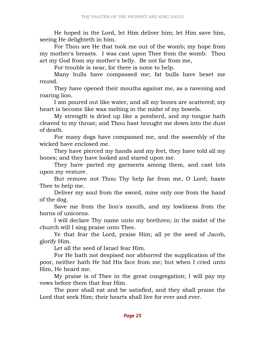He hoped in the Lord, let Him deliver him; let Him save him, seeing He delighteth in him.

 For Thou are He that took me out of the womb; my hope from my mother's breasts. I was cast upon Thee from the womb. Thou art my God from my mother's belly. Be not far from me,

For trouble is near, for there is none to help.

 Many bulls have compassed me; fat bulls have beset me round.

 They have opened their mouths against me, as a ravening and roaring lion.

 I am poured out like water, and all my bones are scattered; my heart is become like wax melting in the midst of my bowels.

 My strength is dried up like a potsherd, and my tongue hath cleaved to my throat; and Thou hast brought me down into the dust of death.

 For many dogs have compassed me, and the assembly of the wicked have enclosed me.

 They have pierced my hands and my feet, they have told all my bones; and they have looked and stared upon me.

 They have parted my garments among them, and cast lots upon my vesture.

 But remove not Thou Thy help far from me, O Lord; haste Thee to help me.

 Deliver my soul from the sword, mine only one from the hand of the dog.

 Save me from the lion's mouth, and my lowliness from the horns of unicorns.

 I will declare Thy name unto my brethren; in the midst of the church will I sing praise unto Thee.

 Ye that fear the Lord, praise Him; all ye the seed of Jacob, glorify Him.

Let all the seed of Israel fear Him.

 For He hath not despised nor abhorred the supplication of the poor, neither hath He hid His face from me; but when I cried unto Him, He heard me.

 My praise is of Thee in the great congregation; I will pay my vows before them that fear Him.

 The poor shall eat and be satisfied, and they shall praise the Lord that seek Him; their hearts shall live for ever and ever.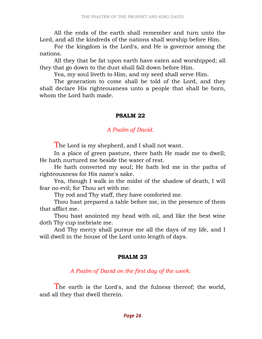All the ends of the earth shall remember and turn unto the Lord, and all the kindreds of the nations shall worship before Him.

 For the kingdom is the Lord's, and He is governor among the nations.

 All they that be fat upon earth have eaten and worshipped; all they that go down to the dust shall fall down before Him.

Yea, my soul liveth to Him, and my seed shall serve Him.

 The generation to come shall be told of the Lord, and they shall declare His righteousness unto a people that shall be born, whom the Lord hath made.

## PSALM 22

## A Psalm of David.

The Lord is my shepherd, and I shall not want.

 In a place of green pasture, there hath He made me to dwell; He hath nurtured me beside the water of rest.

 He hath converted my soul; He hath led me in the paths of righteousness for His name's sake.

 Yea, though I walk in the midst of the shadow of death, I will fear no evil; for Thou art with me.

Thy rod and Thy staff, they have comforted me.

 Thou hast prepared a table before me, in the presence of them that afflict me.

 Thou hast anointed my head with oil, and like the best wine doth Thy cup inebriate me.

 And Thy mercy shall pursue me all the days of my life, and I will dwell in the house of the Lord unto length of days.

## PSALM 23

A Psalm of David on the first day of the week.

The earth is the Lord's, and the fulness thereof; the world, and all they that dwell therein.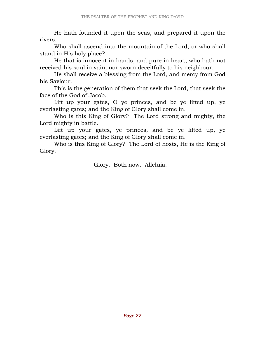He hath founded it upon the seas, and prepared it upon the rivers.

 Who shall ascend into the mountain of the Lord, or who shall stand in His holy place?

 He that is innocent in hands, and pure in heart, who hath not received his soul in vain, nor sworn deceitfully to his neighbour.

 He shall receive a blessing from the Lord, and mercy from God his Saviour.

 This is the generation of them that seek the Lord, that seek the face of the God of Jacob.

 Lift up your gates, O ye princes, and be ye lifted up, ye everlasting gates; and the King of Glory shall come in.

 Who is this King of Glory? The Lord strong and mighty, the Lord mighty in battle.

 Lift up your gates, ye princes, and be ye lifted up, ye everlasting gates; and the King of Glory shall come in.

 Who is this King of Glory? The Lord of hosts, He is the King of Glory.

Glory. Both now. Alleluia.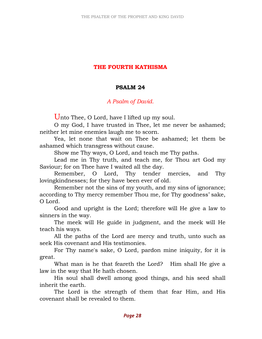## THE FOURTH KATHISMA

#### PSALM 24

## A Psalm of David.

Unto Thee, O Lord, have I lifted up my soul.

 O my God, I have trusted in Thee, let me never be ashamed; neither let mine enemies laugh me to scorn.

 Yea, let none that wait on Thee be ashamed; let them be ashamed which transgress without cause.

Show me Thy ways, O Lord, and teach me Thy paths.

 Lead me in Thy truth, and teach me, for Thou art God my Saviour; for on Thee have I waited all the day.

 Remember, O Lord, Thy tender mercies, and Thy lovingkindnesses; for they have been ever of old.

 Remember not the sins of my youth, and my sins of ignorance; according to Thy mercy remember Thou me, for Thy goodness' sake, O Lord.

 Good and upright is the Lord; therefore will He give a law to sinners in the way.

 The meek will He guide in judgment, and the meek will He teach his ways.

 All the paths of the Lord are mercy and truth, unto such as seek His covenant and His testimonies.

 For Thy name's sake, O Lord, pardon mine iniquity, for it is great.

What man is he that feareth the Lord? Him shall He give a law in the way that He hath chosen.

 His soul shall dwell among good things, and his seed shall inherit the earth.

 The Lord is the strength of them that fear Him, and His covenant shall be revealed to them.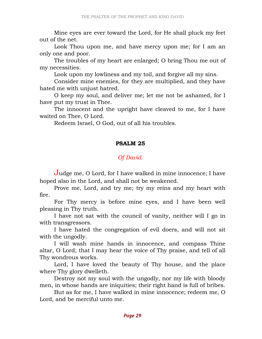Mine eyes are ever toward the Lord, for He shall pluck my feet out of the net.

 Look Thou upon me, and have mercy upon me; for I am an only one and poor.

 The troubles of my heart are enlarged; O bring Thou me out of my necessities.

Look upon my lowliness and my toil, and forgive all my sins.

 Consider mine enemies, for they are multiplied, and they have hated me with unjust hatred.

 O keep my soul, and deliver me; let me not be ashamed, for I have put my trust in Thee.

 The innocent and the upright have cleaved to me, for I have waited on Thee, O Lord.

Redeem Israel, O God, out of all his troubles.

#### PSALM 25

## Of David.

Judge me, O Lord, for I have walked in mine innocence; I have hoped also in the Lord, and shall not be weakened.

 Prove me, Lord, and try me; try my reins and my heart with fire.

 For Thy mercy is before mine eyes, and I have been well pleasing in Thy truth.

 I have not sat with the council of vanity, neither will I go in with transgressors.

 I have hated the congregation of evil doers, and will not sit with the ungodly.

 I will wash mine hands in innocence, and compass Thine altar, O Lord; that I may hear the voice of Thy praise, and tell of all Thy wondrous works.

 Lord, I have loved the beauty of Thy house, and the place where Thy glory dwelleth.

 Destroy not my soul with the ungodly, nor my life with bloody men, in whose hands are iniquities; their right hand is full of bribes.

 But as for me, I have walked in mine innocence; redeem me, O Lord, and be merciful unto me.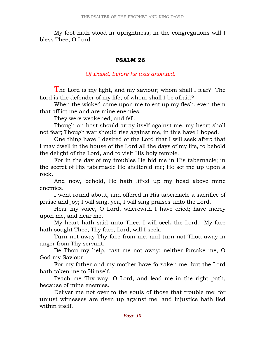My foot hath stood in uprightness; in the congregations will I bless Thee, O Lord.

#### PSALM 26

## Of David, before he was anointed.

The Lord is my light, and my saviour; whom shall I fear? The Lord is the defender of my life; of whom shall I be afraid?

 When the wicked came upon me to eat up my flesh, even them that afflict me and are mine enemies,

They were weakened, and fell.

 Though an host should array itself against me, my heart shall not fear; Though war should rise against me, in this have I hoped.

 One thing have I desired of the Lord that I will seek after: that I may dwell in the house of the Lord all the days of my life, to behold the delight of the Lord, and to visit His holy temple.

 For in the day of my troubles He hid me in His tabernacle; in the secret of His tabernacle He sheltered me; He set me up upon a rock.

 And now, behold, He hath lifted up my head above mine enemies.

 I went round about, and offered in His tabernacle a sacrifice of praise and joy; I will sing, yea, I will sing praises unto the Lord.

 Hear my voice, O Lord, wherewith I have cried; have mercy upon me, and hear me.

 My heart hath said unto Thee, I will seek the Lord. My face hath sought Thee; Thy face, Lord, will I seek.

 Turn not away Thy face from me, and turn not Thou away in anger from Thy servant.

 Be Thou my help, cast me not away; neither forsake me, O God my Saviour.

 For my father and my mother have forsaken me, but the Lord hath taken me to Himself.

 Teach me Thy way, O Lord, and lead me in the right path, because of mine enemies.

 Deliver me not over to the souls of those that trouble me; for unjust witnesses are risen up against me, and injustice hath lied within itself.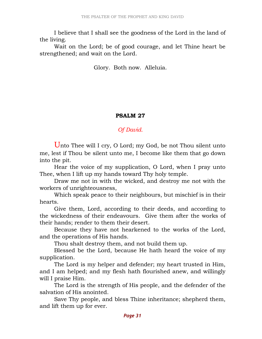I believe that I shall see the goodness of the Lord in the land of the living.

 Wait on the Lord; be of good courage, and let Thine heart be strengthened; and wait on the Lord.

Glory. Both now. Alleluia.

## PSALM 27

## Of David.

Unto Thee will I cry, O Lord; my God, be not Thou silent unto me, lest if Thou be silent unto me, I become like them that go down into the pit.

 Hear the voice of my supplication, O Lord, when I pray unto Thee, when I lift up my hands toward Thy holy temple.

 Draw me not in with the wicked, and destroy me not with the workers of unrighteousness,

 Which speak peace to their neighbours, but mischief is in their hearts.

 Give them, Lord, according to their deeds, and according to the wickedness of their endeavours. Give them after the works of their hands; render to them their desert.

 Because they have not hearkened to the works of the Lord, and the operations of His hands.

Thou shalt destroy them, and not build them up.

 Blessed be the Lord, because He hath heard the voice of my supplication.

 The Lord is my helper and defender; my heart trusted in Him, and I am helped; and my flesh hath flourished anew, and willingly will I praise Him.

 The Lord is the strength of His people, and the defender of the salvation of His anointed.

 Save Thy people, and bless Thine inheritance; shepherd them, and lift them up for ever.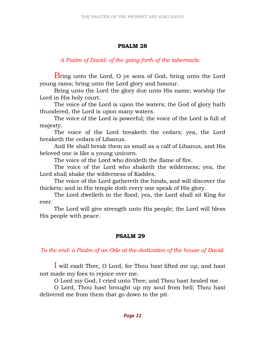## PSALM 28

## A Psalm of David: of the going forth of the tabernacle.

Bring unto the Lord, O ye sons of God, bring unto the Lord young rams; bring unto the Lord glory and honour.

 Bring unto the Lord the glory due unto His name; worship the Lord in His holy court.

 The voice of the Lord is upon the waters; the God of glory hath thundered, the Lord is upon many waters.

 The voice of the Lord is powerful; the voice of the Lord is full of majesty.

 The voice of the Lord breaketh the cedars; yea, the Lord breaketh the cedars of Libanus.

 And He shall break them as small as a calf of Libanus, and His beloved one is like a young unicorn.

The voice of the Lord who divideth the flame of fire.

 The voice of the Lord who shaketh the wilderness; yea, the Lord shall shake the wilderness of Kaddes.

 The voice of the Lord gathereth the hinds, and will discover the thickets; and in His temple doth every one speak of His glory.

 The Lord dwelleth in the flood; yea, the Lord shall sit King for ever.

 The Lord will give strength unto His people; the Lord will bless His people with peace.

## PSALM 29

## To the end: a Psalm of an Ode at the dedication of the house of David.

I will exalt Thee, O Lord, for Thou hast lifted me up, and hast not made my foes to rejoice over me.

O Lord my God, I cried unto Thee; and Thou hast healed me.

 O Lord, Thou hast brought up my soul from hell; Thou hast delivered me from them that go down to the pit.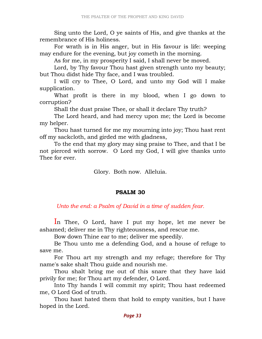Sing unto the Lord, O ye saints of His, and give thanks at the remembrance of His holiness.

 For wrath is in His anger, but in His favour is life: weeping may endure for the evening, but joy cometh in the morning.

As for me, in my prosperity I said, I shall never be moved.

 Lord, by Thy favour Thou hast given strength unto my beauty; but Thou didst hide Thy face, and I was troubled.

 I will cry to Thee, O Lord, and unto my God will I make supplication.

 What profit is there in my blood, when I go down to corruption?

Shall the dust praise Thee, or shall it declare Thy truth?

 The Lord heard, and had mercy upon me; the Lord is become my helper.

 Thou hast turned for me my mourning into joy; Thou hast rent off my sackcloth, and girded me with gladness,

 To the end that my glory may sing praise to Thee, and that I be not pierced with sorrow. O Lord my God, I will give thanks unto Thee for ever.

Glory. Both now. Alleluia.

## PSALM 30

Unto the end: a Psalm of David in a time of sudden fear.

In Thee, O Lord, have I put my hope, let me never be ashamed; deliver me in Thy righteousness, and rescue me.

Bow down Thine ear to me; deliver me speedily.

 Be Thou unto me a defending God, and a house of refuge to save me.

 For Thou art my strength and my refuge; therefore for Thy name's sake shalt Thou guide and nourish me.

 Thou shalt bring me out of this snare that they have laid privily for me; for Thou art my defender, O Lord.

 Into Thy hands I will commit my spirit; Thou hast redeemed me, O Lord God of truth.

 Thou hast hated them that hold to empty vanities, but I have hoped in the Lord.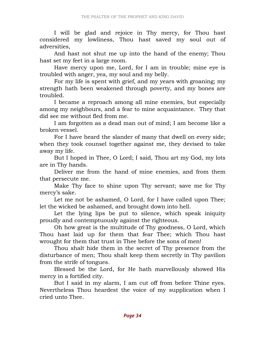I will be glad and rejoice in Thy mercy, for Thou hast considered my lowliness, Thou hast saved my soul out of adversities,

 And hast not shut me up into the hand of the enemy; Thou hast set my feet in a large room.

 Have mercy upon me, Lord, for I am in trouble; mine eye is troubled with anger, yea, my soul and my belly.

 For my life is spent with grief, and my years with groaning; my strength hath been weakened through poverty, and my bones are troubled.

 I became a reproach among all mine enemies, but especially among my neighbours, and a fear to mine acquaintance. They that did see me without fled from me.

 I am forgotten as a dead man out of mind; I am become like a broken vessel.

 For I have heard the slander of many that dwell on every side; when they took counsel together against me, they devised to take away my life.

 But I hoped in Thee, O Lord; I said, Thou art my God, my lots are in Thy hands.

 Deliver me from the hand of mine enemies, and from them that persecute me.

 Make Thy face to shine upon Thy servant; save me for Thy mercy's sake.

 Let me not be ashamed, O Lord, for I have called upon Thee; let the wicked be ashamed, and brought down into hell.

 Let the lying lips be put to silence, which speak iniquity proudly and contemptuously against the righteous.

 Oh how great is the multitude of Thy goodness, O Lord, which Thou hast laid up for them that fear Thee; which Thou hast wrought for them that trust in Thee before the sons of men!

 Thou shalt hide them in the secret of Thy presence from the disturbance of men; Thou shalt keep them secretly in Thy pavilion from the strife of tongues.

 Blessed be the Lord, for He hath marvellously showed His mercy in a fortified city.

 But I said in my alarm, I am cut off from before Thine eyes. Nevertheless Thou heardest the voice of my supplication when I cried unto Thee.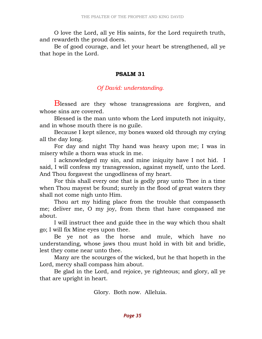O love the Lord, all ye His saints, for the Lord requireth truth, and rewardeth the proud doers.

 Be of good courage, and let your heart be strengthened, all ye that hope in the Lord.

#### PSALM 31

## Of David: understanding.

Blessed are they whose transgressions are forgiven, and whose sins are covered.

 Blessed is the man unto whom the Lord imputeth not iniquity, and in whose mouth there is no guile.

 Because I kept silence, my bones waxed old through my crying all the day long.

 For day and night Thy hand was heavy upon me; I was in misery while a thorn was stuck in me.

 I acknowledged my sin, and mine iniquity have I not hid. I said, I will confess my transgression, against myself, unto the Lord. And Thou forgavest the ungodliness of my heart.

 For this shall every one that is godly pray unto Thee in a time when Thou mayest be found; surely in the flood of great waters they shall not come nigh unto Him.

 Thou art my hiding place from the trouble that compasseth me; deliver me, O my joy, from them that have compassed me about.

 I will instruct thee and guide thee in the way which thou shalt go; I will fix Mine eyes upon thee.

 Be ye not as the horse and mule, which have no understanding, whose jaws thou must hold in with bit and bridle, lest they come near unto thee.

 Many are the scourges of the wicked, but he that hopeth in the Lord, mercy shall compass him about.

 Be glad in the Lord, and rejoice, ye righteous; and glory, all ye that are upright in heart.

Glory. Both now. Alleluia.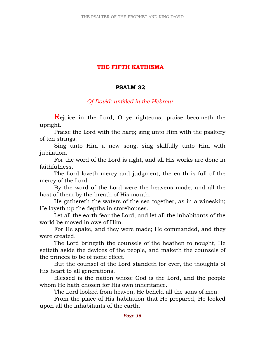## THE FIFTH KATHISMA

#### PSALM 32

Of David: untitled in the Hebrew.

Rejoice in the Lord, O ye righteous; praise becometh the upright.

 Praise the Lord with the harp; sing unto Him with the psaltery of ten strings.

 Sing unto Him a new song; sing skilfully unto Him with jubilation.

 For the word of the Lord is right, and all His works are done in faithfulness.

 The Lord loveth mercy and judgment; the earth is full of the mercy of the Lord.

 By the word of the Lord were the heavens made, and all the host of them by the breath of His mouth.

 He gathereth the waters of the sea together, as in a wineskin; He layeth up the depths in storehouses.

 Let all the earth fear the Lord, and let all the inhabitants of the world be moved in awe of Him.

 For He spake, and they were made; He commanded, and they were created.

 The Lord bringeth the counsels of the heathen to nought, He setteth aside the devices of the people, and maketh the counsels of the princes to be of none effect.

 But the counsel of the Lord standeth for ever, the thoughts of His heart to all generations.

 Blessed is the nation whose God is the Lord, and the people whom He hath chosen for His own inheritance.

The Lord looked from heaven; He beheld all the sons of men.

 From the place of His habitation that He prepared, He looked upon all the inhabitants of the earth.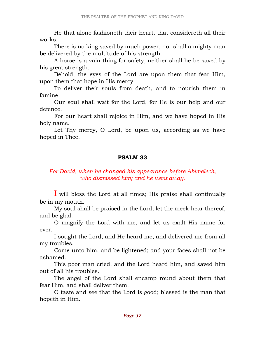He that alone fashioneth their heart, that considereth all their works.

 There is no king saved by much power, nor shall a mighty man be delivered by the multitude of his strength.

 A horse is a vain thing for safety, neither shall he be saved by his great strength.

 Behold, the eyes of the Lord are upon them that fear Him, upon them that hope in His mercy.

 To deliver their souls from death, and to nourish them in famine.

 Our soul shall wait for the Lord, for He is our help and our defence.

 For our heart shall rejoice in Him, and we have hoped in His holy name.

 Let Thy mercy, O Lord, be upon us, according as we have hoped in Thee.

#### PSALM 33

### For David, when he changed his appearance before Abimelech, who dismissed him; and he went away.

I will bless the Lord at all times; His praise shall continually be in my mouth.

 My soul shall be praised in the Lord; let the meek hear thereof, and be glad.

 O magnify the Lord with me, and let us exalt His name for ever.

 I sought the Lord, and He heard me, and delivered me from all my troubles.

 Come unto him, and be lightened; and your faces shall not be ashamed.

 This poor man cried, and the Lord heard him, and saved him out of all his troubles.

 The angel of the Lord shall encamp round about them that fear Him, and shall deliver them.

 O taste and see that the Lord is good; blessed is the man that hopeth in Him.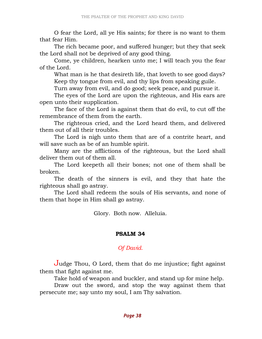O fear the Lord, all ye His saints; for there is no want to them that fear Him.

 The rich became poor, and suffered hunger; but they that seek the Lord shall not be deprived of any good thing.

 Come, ye children, hearken unto me; I will teach you the fear of the Lord.

 What man is he that desireth life, that loveth to see good days? Keep thy tongue from evil, and thy lips from speaking guile.

Turn away from evil, and do good; seek peace, and pursue it.

 The eyes of the Lord are upon the righteous, and His ears are open unto their supplication.

 The face of the Lord is against them that do evil, to cut off the remembrance of them from the earth.

 The righteous cried, and the Lord heard them, and delivered them out of all their troubles.

 The Lord is nigh unto them that are of a contrite heart, and will save such as be of an humble spirit.

 Many are the afflictions of the righteous, but the Lord shall deliver them out of them all.

 The Lord keepeth all their bones; not one of them shall be broken.

 The death of the sinners is evil, and they that hate the righteous shall go astray.

 The Lord shall redeem the souls of His servants, and none of them that hope in Him shall go astray.

Glory. Both now. Alleluia.

#### PSALM 34

### Of David.

Judge Thou, O Lord, them that do me injustice; fight against them that fight against me.

Take hold of weapon and buckler, and stand up for mine help.

 Draw out the sword, and stop the way against them that persecute me; say unto my soul, I am Thy salvation.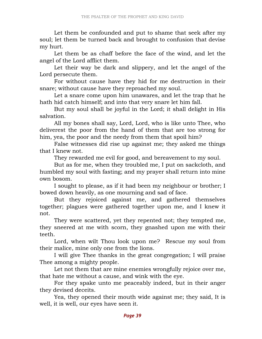Let them be confounded and put to shame that seek after my soul; let them be turned back and brought to confusion that devise my hurt.

 Let them be as chaff before the face of the wind, and let the angel of the Lord afflict them.

 Let their way be dark and slippery, and let the angel of the Lord persecute them.

 For without cause have they hid for me destruction in their snare; without cause have they reproached my soul.

 Let a snare come upon him unawares, and let the trap that he hath hid catch himself; and into that very snare let him fall.

 But my soul shall be joyful in the Lord; it shall delight in His salvation.

 All my bones shall say, Lord, Lord, who is like unto Thee, who deliverest the poor from the hand of them that are too strong for him, yea, the poor and the needy from them that spoil him?

 False witnesses did rise up against me; they asked me things that I knew not.

They rewarded me evil for good, and bereavement to my soul.

 But as for me, when they troubled me, I put on sackcloth, and humbled my soul with fasting; and my prayer shall return into mine own bosom.

 I sought to please, as if it had been my neighbour or brother; I bowed down heavily, as one mourning and sad of face.

 But they rejoiced against me, and gathered themselves together; plagues were gathered together upon me, and I knew it not.

 They were scattered, yet they repented not; they tempted me, they sneered at me with scorn, they gnashed upon me with their teeth.

 Lord, when wilt Thou look upon me? Rescue my soul from their malice, mine only one from the lions.

 I will give Thee thanks in the great congregation; I will praise Thee among a mighty people.

 Let not them that are mine enemies wrongfully rejoice over me, that hate me without a cause, and wink with the eye.

 For they spake unto me peaceably indeed, but in their anger they devised deceits.

 Yea, they opened their mouth wide against me; they said, It is well, it is well, our eyes have seen it.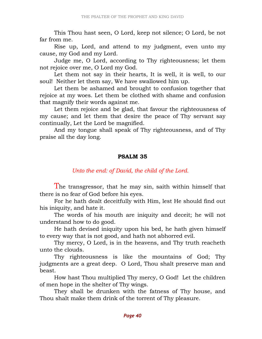This Thou hast seen, O Lord, keep not silence; O Lord, be not far from me.

 Rise up, Lord, and attend to my judgment, even unto my cause, my God and my Lord.

 Judge me, O Lord, according to Thy righteousness; let them not rejoice over me, O Lord my God.

 Let them not say in their hearts, It is well, it is well, to our soul! Neither let them say, We have swallowed him up.

 Let them be ashamed and brought to confusion together that rejoice at my woes. Let them be clothed with shame and confusion that magnify their words against me.

 Let them rejoice and be glad, that favour the righteousness of my cause; and let them that desire the peace of Thy servant say continually, Let the Lord be magnified.

 And my tongue shall speak of Thy righteousness, and of Thy praise all the day long.

#### PSALM 35

# Unto the end: of David, the child of the Lord.

The transgressor, that he may sin, saith within himself that there is no fear of God before his eyes.

 For he hath dealt deceitfully with Him, lest He should find out his iniquity, and hate it.

 The words of his mouth are iniquity and deceit; he will not understand how to do good.

 He hath devised iniquity upon his bed, he hath given himself to every way that is not good, and hath not abhorred evil.

 Thy mercy, O Lord, is in the heavens, and Thy truth reacheth unto the clouds.

 Thy righteousness is like the mountains of God; Thy judgments are a great deep. O Lord, Thou shalt preserve man and beast.

 How hast Thou multiplied Thy mercy, O God! Let the children of men hope in the shelter of Thy wings.

 They shall be drunken with the fatness of Thy house, and Thou shalt make them drink of the torrent of Thy pleasure.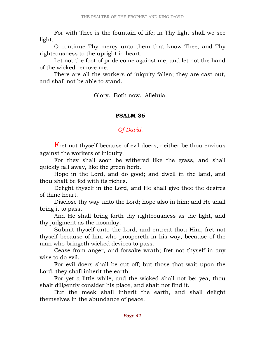For with Thee is the fountain of life; in Thy light shall we see light.

 O continue Thy mercy unto them that know Thee, and Thy righteousness to the upright in heart.

 Let not the foot of pride come against me, and let not the hand of the wicked remove me.

 There are all the workers of iniquity fallen; they are cast out, and shall not be able to stand.

Glory. Both now. Alleluia.

#### PSALM 36

### Of David.

Fret not thyself because of evil doers, neither be thou envious against the workers of iniquity.

 For they shall soon be withered like the grass, and shall quickly fall away, like the green herb.

 Hope in the Lord, and do good; and dwell in the land, and thou shalt be fed with its riches.

 Delight thyself in the Lord, and He shall give thee the desires of thine heart.

 Disclose thy way unto the Lord; hope also in him; and He shall bring it to pass.

 And He shall bring forth thy righteousness as the light, and thy judgment as the noonday.

 Submit thyself unto the Lord, and entreat thou Him; fret not thyself because of him who prospereth in his way, because of the man who bringeth wicked devices to pass.

 Cease from anger, and forsake wrath; fret not thyself in any wise to do evil.

 For evil doers shall be cut off; but those that wait upon the Lord, they shall inherit the earth.

 For yet a little while, and the wicked shall not be; yea, thou shalt diligently consider his place, and shalt not find it.

 But the meek shall inherit the earth, and shall delight themselves in the abundance of peace.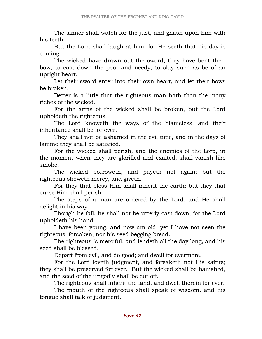The sinner shall watch for the just, and gnash upon him with his teeth.

 But the Lord shall laugh at him, for He seeth that his day is coming.

 The wicked have drawn out the sword, they have bent their bow; to cast down the poor and needy, to slay such as be of an upright heart.

 Let their sword enter into their own heart, and let their bows be broken.

 Better is a little that the righteous man hath than the many riches of the wicked.

 For the arms of the wicked shall be broken, but the Lord upholdeth the righteous.

 The Lord knoweth the ways of the blameless, and their inheritance shall be for ever.

 They shall not be ashamed in the evil time, and in the days of famine they shall be satisfied.

 For the wicked shall perish, and the enemies of the Lord, in the moment when they are glorified and exalted, shall vanish like smoke.

 The wicked borroweth, and payeth not again; but the righteous showeth mercy, and giveth.

 For they that bless Him shall inherit the earth; but they that curse Him shall perish.

 The steps of a man are ordered by the Lord, and He shall delight in his way.

 Though he fall, he shall not be utterly cast down, for the Lord upholdeth his hand.

 I have been young, and now am old; yet I have not seen the righteous forsaken, nor his seed begging bread.

 The righteous is merciful, and lendeth all the day long, and his seed shall be blessed.

Depart from evil, and do good; and dwell for evermore.

 For the Lord loveth judgment, and forsaketh not His saints; they shall be preserved for ever. But the wicked shall be banished, and the seed of the ungodly shall be cut off.

The righteous shall inherit the land, and dwell therein for ever.

 The mouth of the righteous shall speak of wisdom, and his tongue shall talk of judgment.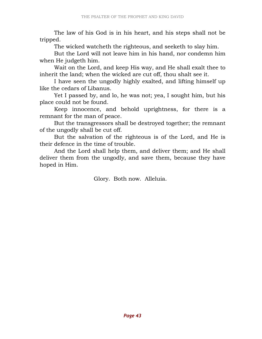The law of his God is in his heart, and his steps shall not be tripped.

The wicked watcheth the righteous, and seeketh to slay him.

 But the Lord will not leave him in his hand, nor condemn him when He judgeth him.

 Wait on the Lord, and keep His way, and He shall exalt thee to inherit the land; when the wicked are cut off, thou shalt see it.

 I have seen the ungodly highly exalted, and lifting himself up like the cedars of Libanus.

 Yet I passed by, and lo, he was not; yea, I sought him, but his place could not be found.

 Keep innocence, and behold uprightness, for there is a remnant for the man of peace.

 But the transgressors shall be destroyed together; the remnant of the ungodly shall be cut off.

 But the salvation of the righteous is of the Lord, and He is their defence in the time of trouble.

 And the Lord shall help them, and deliver them; and He shall deliver them from the ungodly, and save them, because they have hoped in Him.

Glory. Both now. Alleluia.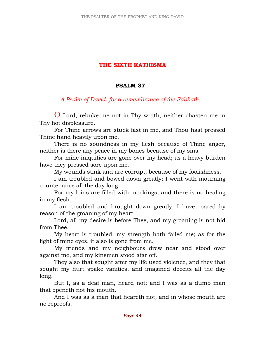# THE SIXTH KATHISMA

### PSALM 37

### A Psalm of David: for a remembrance of the Sabbath.

O Lord, rebuke me not in Thy wrath, neither chasten me in Thy hot displeasure.

 For Thine arrows are stuck fast in me, and Thou hast pressed Thine hand heavily upon me.

 There is no soundness in my flesh because of Thine anger, neither is there any peace in my bones because of my sins.

 For mine iniquities are gone over my head; as a heavy burden have they pressed sore upon me.

My wounds stink and are corrupt, because of my foolishness.

 I am troubled and bowed down greatly; I went with mourning countenance all the day long.

 For my loins are filled with mockings, and there is no healing in my flesh.

 I am troubled and brought down greatly; I have roared by reason of the groaning of my heart.

 Lord, all my desire is before Thee, and my groaning is not hid from Thee.

 My heart is troubled, my strength hath failed me; as for the light of mine eyes, it also is gone from me.

 My friends and my neighbours drew near and stood over against me, and my kinsmen stood afar off.

 They also that sought after my life used violence, and they that sought my hurt spake vanities, and imagined deceits all the day long.

 But I, as a deaf man, heard not; and I was as a dumb man that openeth not his mouth.

 And I was as a man that heareth not, and in whose mouth are no reproofs.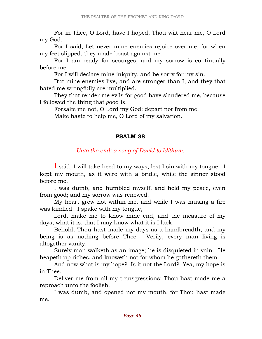For in Thee, O Lord, have I hoped; Thou wilt hear me, O Lord my God.

 For I said, Let never mine enemies rejoice over me; for when my feet slipped, they made boast against me.

 For I am ready for scourges, and my sorrow is continually before me.

For I will declare mine iniquity, and be sorry for my sin.

 But mine enemies live, and are stronger than I, and they that hated me wrongfully are multiplied.

 They that render me evils for good have slandered me, because I followed the thing that good is.

Forsake me not, O Lord my God; depart not from me.

Make haste to help me, O Lord of my salvation.

### PSALM 38

# Unto the end: a song of David to Idithum.

I said, I will take heed to my ways, lest I sin with my tongue. I kept my mouth, as it were with a bridle, while the sinner stood before me.

 I was dumb, and humbled myself, and held my peace, even from good; and my sorrow was renewed.

 My heart grew hot within me, and while I was musing a fire was kindled. I spake with my tongue,

 Lord, make me to know mine end, and the measure of my days, what it is; that I may know what it is I lack.

 Behold, Thou hast made my days as a handbreadth, and my being is as nothing before Thee. Verily, every man living is altogether vanity.

 Surely man walketh as an image; he is disquieted in vain. He heapeth up riches, and knoweth not for whom he gathereth them.

 And now what is my hope? Is it not the Lord? Yea, my hope is in Thee.

 Deliver me from all my transgressions; Thou hast made me a reproach unto the foolish.

 I was dumb, and opened not my mouth, for Thou hast made me.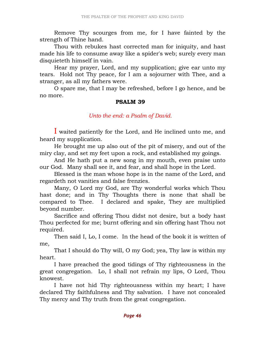Remove Thy scourges from me, for I have fainted by the strength of Thine hand.

 Thou with rebukes hast corrected man for iniquity, and hast made his life to consume away like a spider's web; surely every man disquieteth himself in vain.

 Hear my prayer, Lord, and my supplication; give ear unto my tears. Hold not Thy peace, for I am a sojourner with Thee, and a stranger, as all my fathers were.

 O spare me, that I may be refreshed, before I go hence, and be no more.

#### PSALM 39

#### Unto the end: a Psalm of David.

I waited patiently for the Lord, and He inclined unto me, and heard my supplication.

 He brought me up also out of the pit of misery, and out of the miry clay, and set my feet upon a rock, and established my goings.

 And He hath put a new song in my mouth, even praise unto our God. Many shall see it, and fear, and shall hope in the Lord.

 Blessed is the man whose hope is in the name of the Lord, and regardeth not vanities and false frenzies.

 Many, O Lord my God, are Thy wonderful works which Thou hast done; and in Thy Thoughts there is none that shall be compared to Thee. I declared and spake, They are multiplied beyond number.

 Sacrifice and offering Thou didst not desire, but a body hast Thou perfected for me; burnt offering and sin offering hast Thou not required.

 Then said I, Lo, I come. In the head of the book it is written of me,

 That I should do Thy will, O my God; yea, Thy law is within my heart.

 I have preached the good tidings of Thy righteousness in the great congregation. Lo, I shall not refrain my lips, O Lord, Thou knowest.

 I have not hid Thy righteousness within my heart; I have declared Thy faithfulness and Thy salvation. I have not concealed Thy mercy and Thy truth from the great congregation.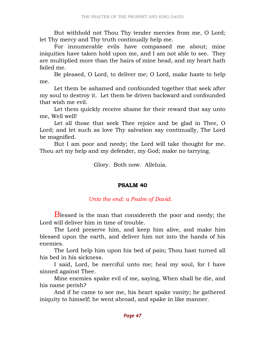But withhold not Thou Thy tender mercies from me, O Lord; let Thy mercy and Thy truth continually help me.

 For innumerable evils have compassed me about; mine iniquities have taken hold upon me, and I am not able to see. They are multiplied more than the hairs of mine head, and my heart hath failed me.

 Be pleased, O Lord, to deliver me; O Lord, make haste to help me.

 Let them be ashamed and confounded together that seek after my soul to destroy it. Let them be driven backward and confounded that wish me evil.

 Let them quickly receive shame for their reward that say unto me, Well well!

 Let all those that seek Thee rejoice and be glad in Thee, O Lord; and let such as love Thy salvation say continually, The Lord be magnified.

 But I am poor and needy; the Lord will take thought for me. Thou art my help and my defender, my God; make no tarrying.

Glory. Both now. Alleluia.

# PSALM 40

# Unto the end: a Psalm of David.

Blessed is the man that considereth the poor and needy; the Lord will deliver him in time of trouble.

 The Lord preserve him, and keep him alive, and make him blessed upon the earth, and deliver him not into the hands of his enemies.

 The Lord help him upon his bed of pain; Thou hast turned all his bed in his sickness.

 I said, Lord, be merciful unto me; heal my soul, for I have sinned against Thee.

 Mine enemies spake evil of me, saying, When shall he die, and his name perish?

 And if he came to see me, his heart spake vanity; he gathered iniquity to himself; he went abroad, and spake in like manner.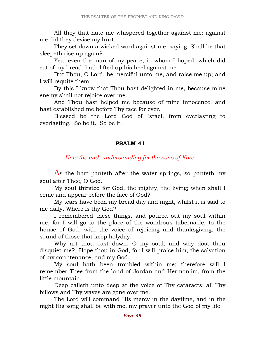All they that hate me whispered together against me; against me did they devise my hurt.

 They set down a wicked word against me, saying, Shall he that sleepeth rise up again?

 Yea, even the man of my peace, in whom I hoped, which did eat of my bread, hath lifted up his heel against me.

 But Thou, O Lord, be merciful unto me, and raise me up; and I will requite them.

 By this I know that Thou hast delighted in me, because mine enemy shall not rejoice over me.

 And Thou hast helped me because of mine innocence, and hast established me before Thy face for ever.

 Blessed be the Lord God of Israel, from everlasting to everlasting. So be it. So be it.

#### PSALM 41

Unto the end: understanding for the sons of Kore.

As the hart panteth after the water springs, so panteth my soul after Thee, O God.

 My soul thirsted for God, the mighty, the living; when shall I come and appear before the face of God?

 My tears have been my bread day and night, whilst it is said to me daily, Where is thy God?

 I remembered these things, and poured out my soul within me; for I will go to the place of the wondrous tabernacle, to the house of God, with the voice of rejoicing and thanksgiving, the sound of those that keep holyday.

 Why art thou cast down, O my soul, and why dost thou disquiet me? Hope thou in God, for I will praise him, the salvation of my countenance, and my God.

 My soul hath been troubled within me; therefore will I remember Thee from the land of Jordan and Hermoniim, from the little mountain.

 Deep calleth unto deep at the voice of Thy cataracts; all Thy billows and Thy waves are gone over me.

 The Lord will command His mercy in the daytime, and in the night His song shall be with me, my prayer unto the God of my life.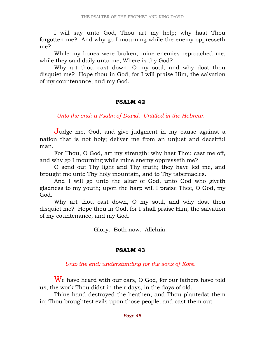I will say unto God, Thou art my help; why hast Thou forgotten me? And why go I mourning while the enemy oppresseth me?

 While my bones were broken, mine enemies reproached me, while they said daily unto me, Where is thy God?

 Why art thou cast down, O my soul, and why dost thou disquiet me? Hope thou in God, for I will praise Him, the salvation of my countenance, and my God.

#### PSALM 42

Unto the end: a Psalm of David. Untitled in the Hebrew.

Judge me, God, and give judgment in my cause against a nation that is not holy; deliver me from an unjust and deceitful man.

 For Thou, O God, art my strength: why hast Thou cast me off, and why go I mourning while mine enemy oppresseth me?

 O send out Thy light and Thy truth; they have led me, and brought me unto Thy holy mountain, and to Thy tabernacles.

 And I will go unto the altar of God, unto God who giveth gladness to my youth; upon the harp will I praise Thee, O God, my God.

 Why art thou cast down, O my soul, and why dost thou disquiet me? Hope thou in God, for I shall praise Him, the salvation of my countenance, and my God.

Glory. Both now. Alleluia.

#### PSALM 43

Unto the end: understanding for the sons of Kore.

We have heard with our ears, O God, for our fathers have told us, the work Thou didst in their days, in the days of old.

 Thine hand destroyed the heathen, and Thou plantedst them in; Thou broughtest evils upon those people, and cast them out.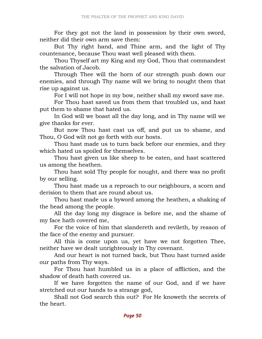For they got not the land in possession by their own sword, neither did their own arm save them:

 But Thy right hand, and Thine arm, and the light of Thy countenance, because Thou wast well pleased with them.

 Thou Thyself art my King and my God, Thou that commandest the salvation of Jacob.

 Through Thee will the horn of our strength push down our enemies, and through Thy name will we bring to nought them that rise up against us.

For I will not hope in my bow, neither shall my sword save me.

 For Thou hast saved us from them that troubled us, and hast put them to shame that hated us.

 In God will we boast all the day long, and in Thy name will we give thanks for ever.

 But now Thou hast cast us off, and put us to shame, and Thou, O God wilt not go forth with our hosts.

 Thou hast made us to turn back before our enemies, and they which hated us spoiled for themselves.

 Thou hast given us like sheep to be eaten, and hast scattered us among the heathen.

 Thou hast sold Thy people for nought, and there was no profit by our selling.

 Thou hast made us a reproach to our neighbours, a scorn and derision to them that are round about us.

 Thou hast made us a byword among the heathen, a shaking of the head among the people.

 All the day long my disgrace is before me, and the shame of my face hath covered me,

 For the voice of him that slandereth and revileth, by reason of the face of the enemy and pursuer.

 All this is come upon us, yet have we not forgotten Thee, neither have we dealt unrighteously in Thy covenant.

 And our heart is not turned back, but Thou hast turned aside our paths from Thy ways.

 For Thou hast humbled us in a place of affliction, and the shadow of death hath covered us.

 If we have forgotten the name of our God, and if we have stretched out our hands to a strange god,

 Shall not God search this out? For He knoweth the secrets of the heart.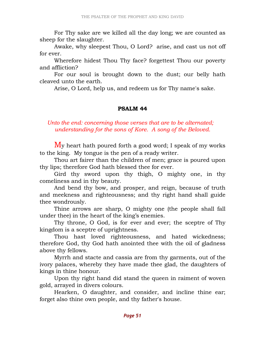For Thy sake are we killed all the day long; we are counted as sheep for the slaughter.

 Awake, why sleepest Thou, O Lord? arise, and cast us not off for ever.

 Wherefore hidest Thou Thy face? forgettest Thou our poverty and affliction?

 For our soul is brought down to the dust; our belly hath cleaved unto the earth.

Arise, O Lord, help us, and redeem us for Thy name's sake.

#### PSALM 44

# Unto the end: concerning those verses that are to be alternated; understanding for the sons of Kore. A song of the Beloved.

My heart hath poured forth a good word; I speak of my works to the king. My tongue is the pen of a ready writer.

 Thou art fairer than the children of men; grace is poured upon thy lips; therefore God hath blessed thee for ever.

 Gird thy sword upon thy thigh, O mighty one, in thy comeliness and in thy beauty.

 And bend thy bow, and prosper, and reign, because of truth and meekness and righteousness; and thy right hand shall guide thee wondrously.

 Thine arrows are sharp, O mighty one (the people shall fall under thee) in the heart of the king's enemies.

 Thy throne, O God, is for ever and ever; the sceptre of Thy kingdom is a sceptre of uprightness.

 Thou hast loved righteousness, and hated wickedness; therefore God, thy God hath anointed thee with the oil of gladness above thy fellows.

 Myrrh and stacte and cassia are from thy garments, out of the ivory palaces, whereby they have made thee glad, the daughters of kings in thine honour.

 Upon thy right hand did stand the queen in raiment of woven gold, arrayed in divers colours.

 Hearken, O daughter, and consider, and incline thine ear; forget also thine own people, and thy father's house.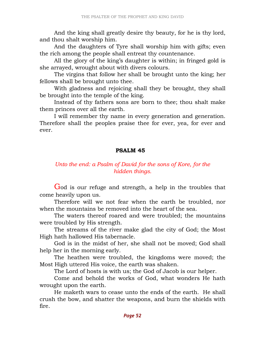And the king shall greatly desire thy beauty, for he is thy lord, and thou shalt worship him.

 And the daughters of Tyre shall worship him with gifts; even the rich among the people shall entreat thy countenance.

 All the glory of the king's daughter is within; in fringed gold is she arrayed, wrought about with divers colours.

 The virgins that follow her shall be brought unto the king; her fellows shall be brought unto thee.

 With gladness and rejoicing shall they be brought, they shall be brought into the temple of the king.

 Instead of thy fathers sons are born to thee; thou shalt make them princes over all the earth.

 I will remember thy name in every generation and generation. Therefore shall the peoples praise thee for ever, yea, for ever and ever.

### PSALM 45

# Unto the end: a Psalm of David for the sons of Kore, for the hidden things.

God is our refuge and strength, a help in the troubles that come heavily upon us.

 Therefore will we not fear when the earth be troubled, nor when the mountains be removed into the heart of the sea.

 The waters thereof roared and were troubled; the mountains were troubled by His strength.

 The streams of the river make glad the city of God; the Most High hath hallowed His tabernacle.

 God is in the midst of her, she shall not be moved; God shall help her in the morning early.

 The heathen were troubled, the kingdoms were moved; the Most High uttered His voice, the earth was shaken.

The Lord of hosts is with us; the God of Jacob is our helper.

 Come and behold the works of God, what wonders He hath wrought upon the earth.

 He maketh wars to cease unto the ends of the earth. He shall crush the bow, and shatter the weapons, and burn the shields with fire.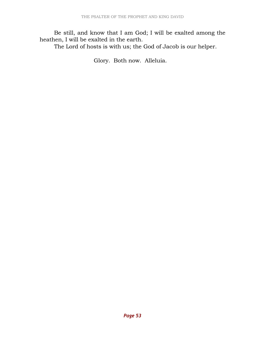Be still, and know that I am God; I will be exalted among the heathen, I will be exalted in the earth.

The Lord of hosts is with us; the God of Jacob is our helper.

Glory. Both now. Alleluia.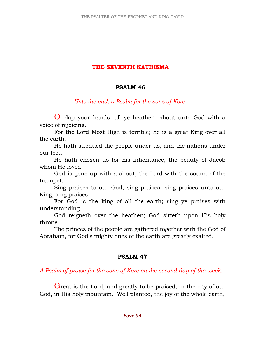### THE SEVENTH KATHISMA

#### PSALM 46

### Unto the end: a Psalm for the sons of Kore.

O clap your hands, all ye heathen; shout unto God with a voice of rejoicing.

 For the Lord Most High is terrible; he is a great King over all the earth.

 He hath subdued the people under us, and the nations under our feet.

 He hath chosen us for his inheritance, the beauty of Jacob whom He loved.

 God is gone up with a shout, the Lord with the sound of the trumpet.

 Sing praises to our God, sing praises; sing praises unto our King, sing praises.

 For God is the king of all the earth; sing ye praises with understanding.

 God reigneth over the heathen; God sitteth upon His holy throne.

 The princes of the people are gathered together with the God of Abraham, for God's mighty ones of the earth are greatly exalted.

### PSALM 47

A Psalm of praise for the sons of Kore on the second day of the week.

Great is the Lord, and greatly to be praised, in the city of our God, in His holy mountain. Well planted, the joy of the whole earth,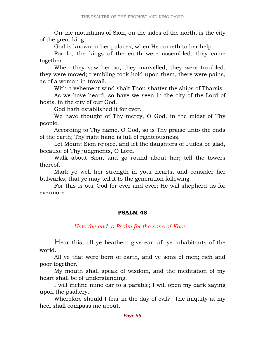On the mountains of Sion, on the sides of the north, is the city of the great king.

God is known in her palaces, when He cometh to her help.

 For lo, the kings of the earth were assembled; they came together.

 When they saw her so, they marvelled, they were troubled, they were moved; trembling took hold upon them, there were pains, as of a woman in travail.

With a vehement wind shalt Thou shatter the ships of Tharsis.

 As we have heard, so have we seen in the city of the Lord of hosts, in the city of our God.

God hath established it for ever.

 We have thought of Thy mercy, O God, in the midst of Thy people.

 According to Thy name, O God, so is Thy praise unto the ends of the earth; Thy right hand is full of righteousness.

 Let Mount Sion rejoice, and let the daughters of Judea be glad, because of Thy judgments, O Lord.

 Walk about Sion, and go round about her; tell the towers thereof.

 Mark ye well her strength in your hearts, and consider her bulwarks, that ye may tell it to the generation following.

 For this is our God for ever and ever; He will shepherd us for evermore.

### PSALM 48

### Unto the end: a Psalm for the sons of Kore.

Hear this, all ye heathen; give ear, all ye inhabitants of the world.

 All ye that were born of earth, and ye sons of men; rich and poor together.

 My mouth shall speak of wisdom, and the meditation of my heart shall be of understanding.

 I will incline mine ear to a parable; I will open my dark saying upon the psaltery.

 Wherefore should I fear in the day of evil? The iniquity at my heel shall compass me about.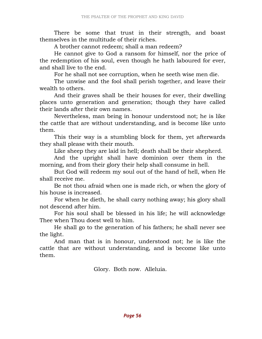There be some that trust in their strength, and boast themselves in the multitude of their riches.

A brother cannot redeem; shall a man redeem?

 He cannot give to God a ransom for himself, nor the price of the redemption of his soul, even though he hath laboured for ever, and shall live to the end.

For he shall not see corruption, when he seeth wise men die.

 The unwise and the fool shall perish together, and leave their wealth to others.

 And their graves shall be their houses for ever, their dwelling places unto generation and generation; though they have called their lands after their own names.

 Nevertheless, man being in honour understood not; he is like the cattle that are without understanding, and is become like unto them.

 This their way is a stumbling block for them, yet afterwards they shall please with their mouth.

Like sheep they are laid in hell; death shall be their shepherd.

 And the upright shall have dominion over them in the morning, and from their glory their help shall consume in hell.

 But God will redeem my soul out of the hand of hell, when He shall receive me.

 Be not thou afraid when one is made rich, or when the glory of his house is increased.

 For when he dieth, he shall carry nothing away; his glory shall not descend after him.

 For his soul shall be blessed in his life; he will acknowledge Thee when Thou doest well to him.

 He shall go to the generation of his fathers; he shall never see the light.

 And man that is in honour, understood not; he is like the cattle that are without understanding, and is become like unto them.

Glory. Both now. Alleluia.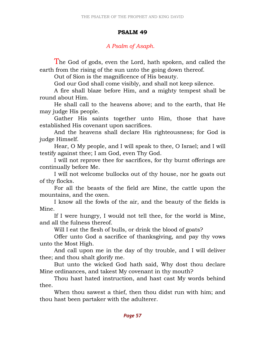# PSALM 49

# A Psalm of Asaph.

The God of gods, even the Lord, hath spoken, and called the earth from the rising of the sun unto the going down thereof.

Out of Sion is the magnificence of His beauty.

God our God shall come visibly, and shall not keep silence.

 A fire shall blaze before Him, and a mighty tempest shall be round about Him.

 He shall call to the heavens above; and to the earth, that He may judge His people.

 Gather His saints together unto Him, those that have established His covenant upon sacrifices.

 And the heavens shall declare His righteousness; for God is judge Himself.

 Hear, O My people, and I will speak to thee, O Israel; and I will testify against thee; I am God, even Thy God.

 I will not reprove thee for sacrifices, for thy burnt offerings are continually before Me.

 I will not welcome bullocks out of thy house, nor he goats out of thy flocks.

 For all the beasts of the field are Mine, the cattle upon the mountains, and the oxen.

 I know all the fowls of the air, and the beauty of the fields is Mine.

 If I were hungry, I would not tell thee, for the world is Mine, and all the fulness thereof.

Will I eat the flesh of bulls, or drink the blood of goats?

 Offer unto God a sacrifice of thanksgiving, and pay thy vows unto the Most High.

 And call upon me in the day of thy trouble, and I will deliver thee; and thou shalt glorify me.

 But unto the wicked God hath said, Why dost thou declare Mine ordinances, and takest My covenant in thy mouth?

 Thou hast hated instruction, and hast cast My words behind thee.

 When thou sawest a thief, then thou didst run with him; and thou hast been partaker with the adulterer.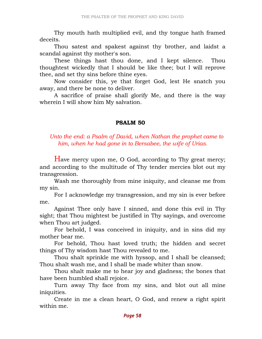Thy mouth hath multiplied evil, and thy tongue hath framed deceits.

 Thou satest and spakest against thy brother, and laidst a scandal against thy mother's son.

 These things hast thou done, and I kept silence. Thou thoughtest wickedly that I should be like thee; but I will reprove thee, and set thy sins before thine eyes.

 Now consider this, ye that forget God, lest He snatch you away, and there be none to deliver.

 A sacrifice of praise shall glorify Me, and there is the way wherein I will show him My salvation.

### PSALM 50

Unto the end: a Psalm of David, when Nathan the prophet came to him, when he had gone in to Bersabee, the wife of Urias.

Have mercy upon me, O God, according to Thy great mercy; and according to the multitude of Thy tender mercies blot out my transgression.

 Wash me thoroughly from mine iniquity, and cleanse me from my sin.

 For I acknowledge my transgression, and my sin is ever before me.

 Against Thee only have I sinned, and done this evil in Thy sight; that Thou mightest be justified in Thy sayings, and overcome when Thou art judged.

 For behold, I was conceived in iniquity, and in sins did my mother bear me.

 For behold, Thou hast loved truth; the hidden and secret things of Thy wisdom hast Thou revealed to me.

 Thou shalt sprinkle me with hyssop, and I shall be cleansed; Thou shalt wash me, and I shall be made whiter than snow.

 Thou shalt make me to hear joy and gladness; the bones that have been humbled shall rejoice.

 Turn away Thy face from my sins, and blot out all mine iniquities.

 Create in me a clean heart, O God, and renew a right spirit within me.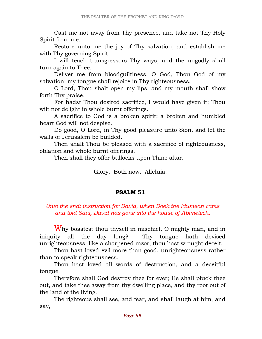Cast me not away from Thy presence, and take not Thy Holy Spirit from me.

 Restore unto me the joy of Thy salvation, and establish me with Thy governing Spirit.

 I will teach transgressors Thy ways, and the ungodly shall turn again to Thee.

 Deliver me from bloodguiltiness, O God, Thou God of my salvation; my tongue shall rejoice in Thy righteousness.

 O Lord, Thou shalt open my lips, and my mouth shall show forth Thy praise.

 For hadst Thou desired sacrifice, I would have given it; Thou wilt not delight in whole burnt offerings.

 A sacrifice to God is a broken spirit; a broken and humbled heart God will not despise.

 Do good, O Lord, in Thy good pleasure unto Sion, and let the walls of Jerusalem be builded.

 Then shalt Thou be pleased with a sacrifice of righteousness, oblation and whole burnt offerings.

Then shall they offer bullocks upon Thine altar.

Glory. Both now. Alleluia.

#### PSALM 51

# Unto the end: instruction for David, when Doek the Idumean came and told Saul, David has gone into the house of Abimelech.

Why boastest thou thyself in mischief, O mighty man, and in iniquity all the day long? Thy tongue hath devised unrighteousness; like a sharpened razor, thou hast wrought deceit.

 Thou hast loved evil more than good, unrighteousness rather than to speak righteousness.

 Thou hast loved all words of destruction, and a deceitful tongue.

 Therefore shall God destroy thee for ever; He shall pluck thee out, and take thee away from thy dwelling place, and thy root out of the land of the living.

 The righteous shall see, and fear, and shall laugh at him, and say,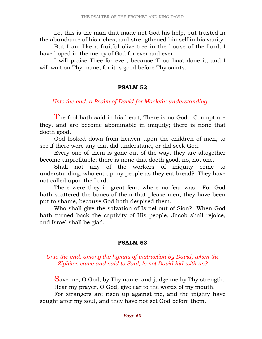Lo, this is the man that made not God his help, but trusted in the abundance of his riches, and strengthened himself in his vanity.

 But I am like a fruitful olive tree in the house of the Lord; I have hoped in the mercy of God for ever and ever.

 I will praise Thee for ever, because Thou hast done it; and I will wait on Thy name, for it is good before Thy saints.

#### PSALM 52

Unto the end: a Psalm of David for Maeleth; understanding.

The fool hath said in his heart, There is no God. Corrupt are they, and are become abominable in iniquity; there is none that doeth good.

 God looked down from heaven upon the children of men, to see if there were any that did understand, or did seek God.

 Every one of them is gone out of the way, they are altogether become unprofitable; there is none that doeth good, no, not one.

 Shall not any of the workers of iniquity come to understanding, who eat up my people as they eat bread? They have not called upon the Lord.

 There were they in great fear, where no fear was. For God hath scattered the bones of them that please men; they have been put to shame, because God hath despised them.

 Who shall give the salvation of Israel out of Sion? When God hath turned back the captivity of His people, Jacob shall rejoice, and Israel shall be glad.

### PSALM 53

### Unto the end: among the hymns of instruction by David, when the Ziphites came and said to Saul, Is not David hid with us?

Save me, O God, by Thy name, and judge me by Thy strength. Hear my prayer, O God; give ear to the words of my mouth. For strangers are risen up against me, and the mighty have sought after my soul, and they have not set God before them.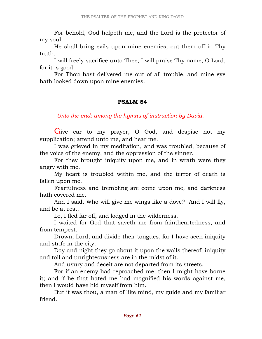For behold, God helpeth me, and the Lord is the protector of my soul.

 He shall bring evils upon mine enemies; cut them off in Thy truth.

 I will freely sacrifice unto Thee; I will praise Thy name, O Lord, for it is good.

 For Thou hast delivered me out of all trouble, and mine eye hath looked down upon mine enemies.

### PSALM 54

# Unto the end: among the hymns of instruction by David.

Give ear to my prayer, O God, and despise not my supplication; attend unto me, and hear me.

 I was grieved in my meditation, and was troubled, because of the voice of the enemy, and the oppression of the sinner.

 For they brought iniquity upon me, and in wrath were they angry with me.

 My heart is troubled within me, and the terror of death is fallen upon me.

 Fearfulness and trembling are come upon me, and darkness hath covered me.

 And I said, Who will give me wings like a dove? And I will fly, and be at rest.

Lo, I fled far off, and lodged in the wilderness.

 I waited for God that saveth me from faintheartedness, and from tempest.

 Drown, Lord, and divide their tongues, for I have seen iniquity and strife in the city.

 Day and night they go about it upon the walls thereof; iniquity and toil and unrighteousness are in the midst of it.

And usury and deceit are not departed from its streets.

 For if an enemy had reproached me, then I might have borne it; and if he that hated me had magnified his words against me, then I would have hid myself from him.

 But it was thou, a man of like mind, my guide and my familiar friend.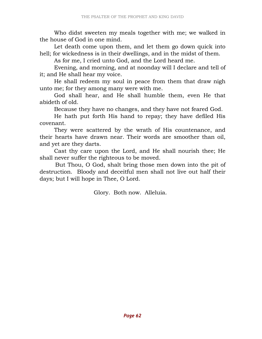Who didst sweeten my meals together with me; we walked in the house of God in one mind.

 Let death come upon them, and let them go down quick into hell; for wickedness is in their dwellings, and in the midst of them.

As for me, I cried unto God, and the Lord heard me.

 Evening, and morning, and at noonday will I declare and tell of it; and He shall hear my voice.

 He shall redeem my soul in peace from them that draw nigh unto me; for they among many were with me.

 God shall hear, and He shall humble them, even He that abideth of old.

Because they have no changes, and they have not feared God.

 He hath put forth His hand to repay; they have defiled His covenant.

 They were scattered by the wrath of His countenance, and their hearts have drawn near. Their words are smoother than oil, and yet are they darts.

 Cast thy care upon the Lord, and He shall nourish thee; He shall never suffer the righteous to be moved.

 But Thou, O God, shalt bring those men down into the pit of destruction. Bloody and deceitful men shall not live out half their days; but I will hope in Thee, O Lord.

Glory. Both now. Alleluia.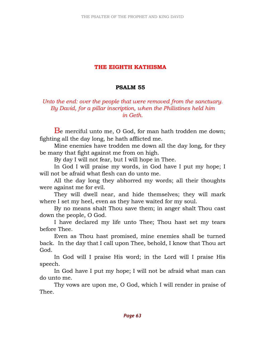# THE EIGHTH KATHISMA

#### PSALM 55

Unto the end: over the people that were removed from the sanctuary. By David, for a pillar inscription, when the Philistines held him in Geth.

Be merciful unto me, O God, for man hath trodden me down; fighting all the day long, he hath afflicted me.

 Mine enemies have trodden me down all the day long, for they be many that fight against me from on high.

By day I will not fear, but I will hope in Thee.

 In God I will praise my words, in God have I put my hope; I will not be afraid what flesh can do unto me.

 All the day long they abhorred my words; all their thoughts were against me for evil.

 They will dwell near, and hide themselves; they will mark where I set my heel, even as they have waited for my soul.

 By no means shalt Thou save them; in anger shalt Thou cast down the people, O God.

 I have declared my life unto Thee; Thou hast set my tears before Thee.

 Even as Thou hast promised, mine enemies shall be turned back. In the day that I call upon Thee, behold, I know that Thou art God.

 In God will I praise His word; in the Lord will I praise His speech.

 In God have I put my hope; I will not be afraid what man can do unto me.

 Thy vows are upon me, O God, which I will render in praise of Thee.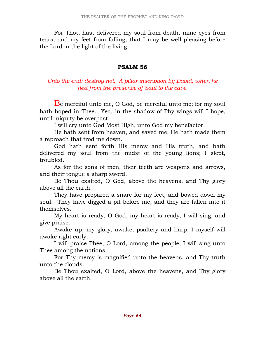For Thou hast delivered my soul from death, mine eyes from tears, and my feet from falling; that I may be well pleasing before the Lord in the light of the living.

#### PSALM 56

# Unto the end: destroy not. A pillar inscription by David, when he fled from the presence of Saul to the cave.

Be merciful unto me, O God, be merciful unto me; for my soul hath hoped in Thee. Yea, in the shadow of Thy wings will I hope, until iniquity be overpast.

I will cry unto God Most High, unto God my benefactor.

 He hath sent from heaven, and saved me; He hath made them a reproach that trod me down.

 God hath sent forth His mercy and His truth, and hath delivered my soul from the midst of the young lions; I slept, troubled.

 As for the sons of men, their teeth are weapons and arrows, and their tongue a sharp sword.

 Be Thou exalted, O God, above the heavens, and Thy glory above all the earth.

 They have prepared a snare for my feet, and bowed down my soul. They have digged a pit before me, and they are fallen into it themselves.

 My heart is ready, O God, my heart is ready; I will sing, and give praise.

 Awake up, my glory; awake, psaltery and harp; I myself will awake right early.

 I will praise Thee, O Lord, among the people; I will sing unto Thee among the nations.

 For Thy mercy is magnified unto the heavens, and Thy truth unto the clouds.

 Be Thou exalted, O Lord, above the heavens, and Thy glory above all the earth.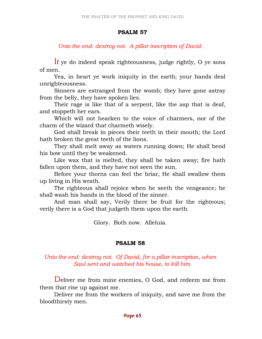#### PSALM 57

Unto the end: destroy not. A pillar inscription of David.

If ye do indeed speak righteousness, judge rightly, O ye sons of men.

 Yea, in heart ye work iniquity in the earth; your hands deal unrighteousness.

 Sinners are estranged from the womb; they have gone astray from the belly, they have spoken lies.

 Their rage is like that of a serpent, like the asp that is deaf, and stoppeth her ears.

 Which will not hearken to the voice of charmers, nor of the charm of the wizard that charmeth wisely.

 God shall break in pieces their teeth in their mouth; the Lord hath broken the great teeth of the lions.

 They shall melt away as waters running down; He shall bend his bow until they be weakened.

 Like wax that is melted, they shall be taken away; fire hath fallen upon them, and they have not seen the sun.

 Before your thorns can feel the briar, He shall swallow them up living in His wrath.

 The righteous shall rejoice when he seeth the vengeance; he shall wash his hands in the blood of the sinner.

 And man shall say, Verily there be fruit for the righteous; verily there is a God that judgeth them upon the earth.

Glory. Both now. Alleluia.

# PSALM 58

### Unto the end: destroy not. Of David, for a pillar inscription, when Saul sent and watched his house, to kill him.

Deliver me from mine enemies, O God, and redeem me from them that rise up against me.

 Deliver me from the workers of iniquity, and save me from the bloodthirsty men.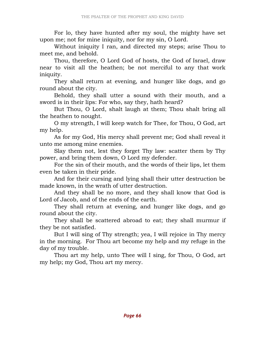For lo, they have hunted after my soul, the mighty have set upon me; not for mine iniquity, nor for my sin, O Lord.

 Without iniquity I ran, and directed my steps; arise Thou to meet me, and behold.

 Thou, therefore, O Lord God of hosts, the God of Israel, draw near to visit all the heathen; be not merciful to any that work iniquity.

 They shall return at evening, and hunger like dogs, and go round about the city.

 Behold, they shall utter a sound with their mouth, and a sword is in their lips: For who, say they, hath heard?

 But Thou, O Lord, shalt laugh at them; Thou shalt bring all the heathen to nought.

 O my strength, I will keep watch for Thee, for Thou, O God, art my help.

 As for my God, His mercy shall prevent me; God shall reveal it unto me among mine enemies.

 Slay them not, lest they forget Thy law: scatter them by Thy power, and bring them down, O Lord my defender.

 For the sin of their mouth, and the words of their lips, let them even be taken in their pride.

 And for their cursing and lying shall their utter destruction be made known, in the wrath of utter destruction.

 And they shall be no more, and they shall know that God is Lord of Jacob, and of the ends of the earth.

 They shall return at evening, and hunger like dogs, and go round about the city.

 They shall be scattered abroad to eat; they shall murmur if they be not satisfied.

 But I will sing of Thy strength; yea, I will rejoice in Thy mercy in the morning. For Thou art become my help and my refuge in the day of my trouble.

 Thou art my help, unto Thee will I sing, for Thou, O God, art my help; my God, Thou art my mercy.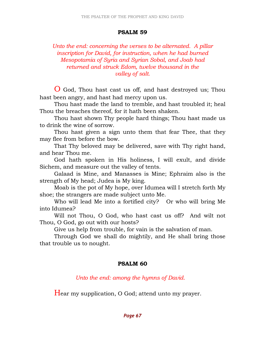#### PSALM 59

### Unto the end: concerning the verses to be alternated. A pillar inscription for David, for instruction, when he had burned Mesopotamia of Syria and Syrian Sobal, and Joab had returned and struck Edom, twelve thousand in the valley of salt.

O God, Thou hast cast us off, and hast destroyed us; Thou hast been angry, and hast had mercy upon us.

 Thou hast made the land to tremble, and hast troubled it; heal Thou the breaches thereof, for it hath been shaken.

 Thou hast shown Thy people hard things; Thou hast made us to drink the wine of sorrow.

 Thou hast given a sign unto them that fear Thee, that they may flee from before the bow.

 That Thy beloved may be delivered, save with Thy right hand, and hear Thou me.

 God hath spoken in His holiness, I will exult, and divide Sichem, and measure out the valley of tents.

 Galaad is Mine, and Manasses is Mine; Ephraim also is the strength of My head; Judea is My king.

 Moab is the pot of My hope, over Idumea will I stretch forth My shoe; the strangers are made subject unto Me.

 Who will lead Me into a fortified city? Or who will bring Me into Idumea?

 Will not Thou, O God, who hast cast us off? And wilt not Thou, O God, go out with our hosts?

Give us help from trouble, for vain is the salvation of man.

 Through God we shall do mightily, and He shall bring those that trouble us to nought.

### PSALM 60

Unto the end: among the hymns of David.

Hear my supplication, O God; attend unto my prayer.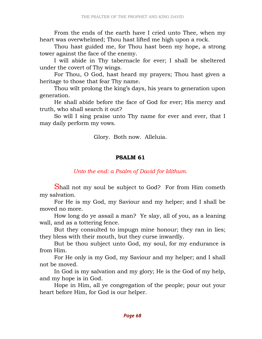From the ends of the earth have I cried unto Thee, when my heart was overwhelmed; Thou hast lifted me high upon a rock.

 Thou hast guided me, for Thou hast been my hope, a strong tower against the face of the enemy.

 I will abide in Thy tabernacle for ever; I shall be sheltered under the covert of Thy wings.

 For Thou, O God, hast heard my prayers; Thou hast given a heritage to those that fear Thy name.

 Thou wilt prolong the king's days, his years to generation upon generation.

 He shall abide before the face of God for ever; His mercy and truth, who shall search it out?

 So will I sing praise unto Thy name for ever and ever, that I may daily perform my vows.

#### Glory. Both now. Alleluia.

#### PSALM 61

#### Unto the end: a Psalm of David for Idithum.

Shall not my soul be subject to God? For from Him cometh my salvation.

 For He is my God, my Saviour and my helper; and I shall be moved no more.

 How long do ye assail a man? Ye slay, all of you, as a leaning wall, and as a tottering fence.

 But they consulted to impugn mine honour; they ran in lies; they bless with their mouth, but they curse inwardly.

 But be thou subject unto God, my soul, for my endurance is from Him.

 For He only is my God, my Saviour and my helper; and I shall not be moved.

 In God is my salvation and my glory; He is the God of my help, and my hope is in God.

 Hope in Him, all ye congregation of the people; pour out your heart before Him, for God is our helper.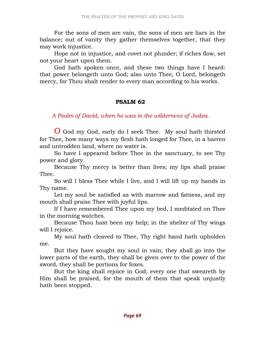For the sons of men are vain, the sons of men are liars in the balance; out of vanity they gather themselves together, that they may work injustice.

 Hope not in injustice, and covet not plunder; if riches flow, set not your heart upon them.

 God hath spoken once, and these two things have I heard: that power belongeth unto God; also unto Thee, O Lord, belongeth mercy, for Thou shalt render to every man according to his works.

# PSALM 62

A Psalm of David, when he was in the wilderness of Judea.

O God my God, early do I seek Thee. My soul hath thirsted for Thee, how many ways my flesh hath longed for Thee, in a barren and untrodden land, where no water is.

 So have I appeared before Thee in the sanctuary, to see Thy power and glory.

 Because Thy mercy is better than lives; my lips shall praise Thee.

 So will I bless Thee while I live, and I will lift up my hands in Thy name.

 Let my soul be satisfied as with marrow and fatness, and my mouth shall praise Thee with joyful lips.

 If I have remembered Thee upon my bed, I meditated on Thee in the morning watches.

 Because Thou hast been my help; in the shelter of Thy wings will I rejoice.

 My soul hath cleaved to Thee, Thy right hand hath upholden me.

 But they have sought my soul in vain; they shall go into the lower parts of the earth, they shall be given over to the power of the sword, they shall be portions for foxes.

 But the king shall rejoice in God; every one that sweareth by Him shall be praised, for the mouth of them that speak unjustly hath been stopped.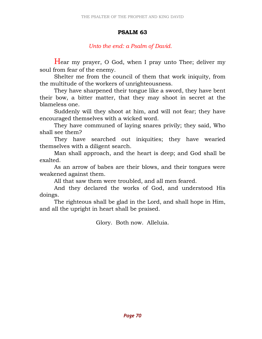#### PSALM 63

### Unto the end: a Psalm of David.

Hear my prayer, O God, when I pray unto Thee; deliver my soul from fear of the enemy.

 Shelter me from the council of them that work iniquity, from the multitude of the workers of unrighteousness.

 They have sharpened their tongue like a sword, they have bent their bow, a bitter matter, that they may shoot in secret at the blameless one.

 Suddenly will they shoot at him, and will not fear; they have encouraged themselves with a wicked word.

 They have communed of laying snares privily; they said, Who shall see them?

 They have searched out iniquities; they have wearied themselves with a diligent search.

 Man shall approach, and the heart is deep; and God shall be exalted.

 As an arrow of babes are their blows, and their tongues were weakened against them.

All that saw them were troubled, and all men feared.

 And they declared the works of God, and understood His doings.

 The righteous shall be glad in the Lord, and shall hope in Him, and all the upright in heart shall be praised.

Glory. Both now. Alleluia.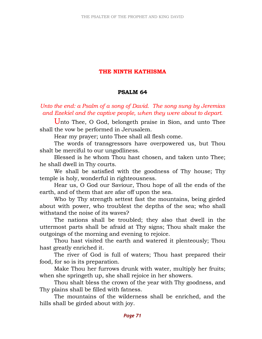# THE NINTH KATHISMA

#### PSALM 64

Unto the end: a Psalm of a song of David. The song sung by Jeremias and Ezekiel and the captive people, when they were about to depart.

Unto Thee, O God, belongeth praise in Sion, and unto Thee shall the vow be performed in Jerusalem.

Hear my prayer; unto Thee shall all flesh come.

 The words of transgressors have overpowered us, but Thou shalt be merciful to our ungodliness.

 Blessed is he whom Thou hast chosen, and taken unto Thee; he shall dwell in Thy courts.

 We shall be satisfied with the goodness of Thy house; Thy temple is holy, wonderful in righteousness.

 Hear us, O God our Saviour, Thou hope of all the ends of the earth, and of them that are afar off upon the sea.

 Who by Thy strength settest fast the mountains, being girded about with power, who troublest the depths of the sea; who shall withstand the noise of its waves?

 The nations shall be troubled; they also that dwell in the uttermost parts shall be afraid at Thy signs; Thou shalt make the outgoings of the morning and evening to rejoice.

 Thou hast visited the earth and watered it plenteously; Thou hast greatly enriched it.

 The river of God is full of waters; Thou hast prepared their food, for so is its preparation.

 Make Thou her furrows drunk with water, multiply her fruits; when she springeth up, she shall rejoice in her showers.

 Thou shalt bless the crown of the year with Thy goodness, and Thy plains shall be filled with fatness.

 The mountains of the wilderness shall be enriched, and the hills shall be girded about with joy.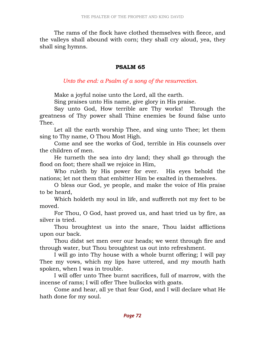The rams of the flock have clothed themselves with fleece, and the valleys shall abound with corn; they shall cry aloud, yea, they shall sing hymns.

### PSALM 65

Unto the end: a Psalm of a song of the resurrection.

Make a joyful noise unto the Lord, all the earth.

Sing praises unto His name, give glory in His praise.

 Say unto God, How terrible are Thy works! Through the greatness of Thy power shall Thine enemies be found false unto Thee.

 Let all the earth worship Thee, and sing unto Thee; let them sing to Thy name, O Thou Most High.

 Come and see the works of God, terrible in His counsels over the children of men.

 He turneth the sea into dry land; they shall go through the flood on foot; there shall we rejoice in Him,

 Who ruleth by His power for ever. His eyes behold the nations; let not them that embitter Him be exalted in themselves.

 O bless our God, ye people, and make the voice of His praise to be heard,

 Which holdeth my soul in life, and suffereth not my feet to be moved.

 For Thou, O God, hast proved us, and hast tried us by fire, as silver is tried.

 Thou broughtest us into the snare, Thou laidst afflictions upon our back.

 Thou didst set men over our heads; we went through fire and through water, but Thou broughtest us out into refreshment.

 I will go into Thy house with a whole burnt offering; I will pay Thee my vows, which my lips have uttered, and my mouth hath spoken, when I was in trouble.

 I will offer unto Thee burnt sacrifices, full of marrow, with the incense of rams; I will offer Thee bullocks with goats.

 Come and hear, all ye that fear God, and I will declare what He hath done for my soul.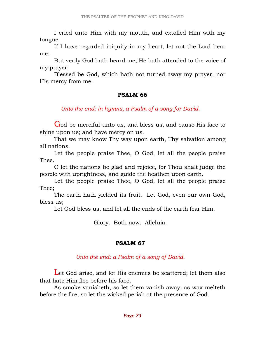I cried unto Him with my mouth, and extolled Him with my tongue.

 If I have regarded iniquity in my heart, let not the Lord hear me.

 But verily God hath heard me; He hath attended to the voice of my prayer.

 Blessed be God, which hath not turned away my prayer, nor His mercy from me.

#### PSALM 66

Unto the end: in hymns, a Psalm of a song for David.

God be merciful unto us, and bless us, and cause His face to shine upon us; and have mercy on us.

 That we may know Thy way upon earth, Thy salvation among all nations.

 Let the people praise Thee, O God, let all the people praise Thee.

 O let the nations be glad and rejoice, for Thou shalt judge the people with uprightness, and guide the heathen upon earth.

 Let the people praise Thee, O God, let all the people praise Thee;

 The earth hath yielded its fruit. Let God, even our own God, bless us;

Let God bless us, and let all the ends of the earth fear Him.

Glory. Both now. Alleluia.

### PSALM 67

### Unto the end: a Psalm of a song of David.

Let God arise, and let His enemies be scattered; let them also that hate Him flee before his face.

 As smoke vanisheth, so let them vanish away; as wax melteth before the fire, so let the wicked perish at the presence of God.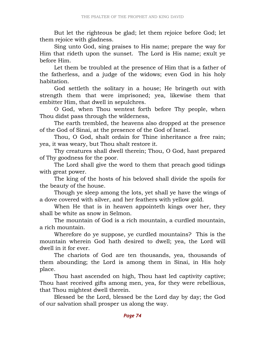But let the righteous be glad; let them rejoice before God; let them rejoice with gladness.

 Sing unto God, sing praises to His name; prepare the way for Him that rideth upon the sunset. The Lord is His name; exult ye before Him.

 Let them be troubled at the presence of Him that is a father of the fatherless, and a judge of the widows; even God in his holy habitation.

 God settleth the solitary in a house; He bringeth out with strength them that were imprisoned; yea, likewise them that embitter Him, that dwell in sepulchres.

 O God, when Thou wentest forth before Thy people, when Thou didst pass through the wilderness,

 The earth trembled, the heavens also dropped at the presence of the God of Sinai, at the presence of the God of Israel.

 Thou, O God, shalt ordain for Thine inheritance a free rain; yea, it was weary, but Thou shalt restore it.

 Thy creatures shall dwell therein; Thou, O God, hast prepared of Thy goodness for the poor.

 The Lord shall give the word to them that preach good tidings with great power.

 The king of the hosts of his beloved shall divide the spoils for the beauty of the house.

 Though ye sleep among the lots, yet shall ye have the wings of a dove covered with silver, and her feathers with yellow gold.

 When He that is in heaven appointeth kings over her, they shall be white as snow in Selmon.

 The mountain of God is a rich mountain, a curdled mountain, a rich mountain.

 Wherefore do ye suppose, ye curdled mountains? This is the mountain wherein God hath desired to dwell; yea, the Lord will dwell in it for ever.

 The chariots of God are ten thousands, yea, thousands of them abounding; the Lord is among them in Sinai, in His holy place.

 Thou hast ascended on high, Thou hast led captivity captive; Thou hast received gifts among men, yea, for they were rebellious, that Thou mightest dwell therein.

 Blessed be the Lord, blessed be the Lord day by day; the God of our salvation shall prosper us along the way.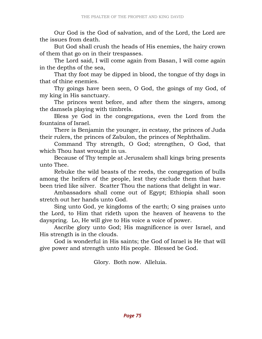Our God is the God of salvation, and of the Lord, the Lord are the issues from death.

 But God shall crush the heads of His enemies, the hairy crown of them that go on in their trespasses.

 The Lord said, I will come again from Basan, I will come again in the depths of the sea,

 That thy foot may be dipped in blood, the tongue of thy dogs in that of thine enemies.

 Thy goings have been seen, O God, the goings of my God, of my king in His sanctuary.

 The princes went before, and after them the singers, among the damsels playing with timbrels.

 Bless ye God in the congregations, even the Lord from the fountains of Israel.

 There is Benjamin the younger, in ecstasy, the princes of Juda their rulers, the princes of Zabulon, the princes of Nephthalim.

 Command Thy strength, O God; strengthen, O God, that which Thou hast wrought in us.

 Because of Thy temple at Jerusalem shall kings bring presents unto Thee.

 Rebuke the wild beasts of the reeds, the congregation of bulls among the heifers of the people, lest they exclude them that have been tried like silver. Scatter Thou the nations that delight in war.

 Ambassadors shall come out of Egypt; Ethiopia shall soon stretch out her hands unto God.

 Sing unto God, ye kingdoms of the earth; O sing praises unto the Lord, to Him that rideth upon the heaven of heavens to the dayspring. Lo, He will give to His voice a voice of power.

 Ascribe glory unto God; His magnificence is over Israel, and His strength is in the clouds.

 God is wonderful in His saints; the God of Israel is He that will give power and strength unto His people. Blessed be God.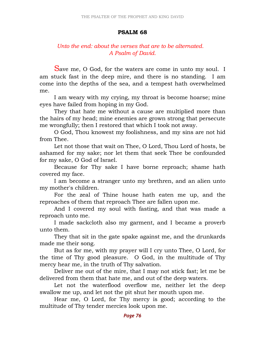#### PSALM 68

## Unto the end: about the verses that are to be alternated. A Psalm of David.

Save me, O God, for the waters are come in unto my soul. I am stuck fast in the deep mire, and there is no standing. I am come into the depths of the sea, and a tempest hath overwhelmed me.

 I am weary with my crying, my throat is become hoarse; mine eyes have failed from hoping in my God.

 They that hate me without a cause are multiplied more than the hairs of my head; mine enemies are grown strong that persecute me wrongfully; then I restored that which I took not away.

 O God, Thou knowest my foolishness, and my sins are not hid from Thee.

 Let not those that wait on Thee, O Lord, Thou Lord of hosts, be ashamed for my sake; nor let them that seek Thee be confounded for my sake, O God of Israel.

 Because for Thy sake I have borne reproach; shame hath covered my face.

 I am become a stranger unto my brethren, and an alien unto my mother's children.

 For the zeal of Thine house hath eaten me up, and the reproaches of them that reproach Thee are fallen upon me.

 And I covered my soul with fasting, and that was made a reproach unto me.

 I made sackcloth also my garment, and I became a proverb unto them.

 They that sit in the gate spake against me, and the drunkards made me their song.

 But as for me, with my prayer will I cry unto Thee, O Lord, for the time of Thy good pleasure. O God, in the multitude of Thy mercy hear me, in the truth of Thy salvation.

 Deliver me out of the mire, that I may not stick fast; let me be delivered from them that hate me, and out of the deep waters.

 Let not the waterflood overflow me, neither let the deep swallow me up, and let not the pit shut her mouth upon me.

 Hear me, O Lord, for Thy mercy is good; according to the multitude of Thy tender mercies look upon me.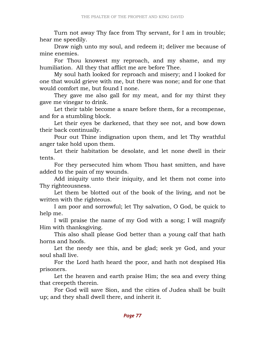Turn not away Thy face from Thy servant, for I am in trouble; hear me speedily.

 Draw nigh unto my soul, and redeem it; deliver me because of mine enemies.

 For Thou knowest my reproach, and my shame, and my humiliation. All they that afflict me are before Thee.

 My soul hath looked for reproach and misery; and I looked for one that would grieve with me, but there was none; and for one that would comfort me, but found I none.

 They gave me also gall for my meat, and for my thirst they gave me vinegar to drink.

 Let their table become a snare before them, for a recompense, and for a stumbling block.

 Let their eyes be darkened, that they see not, and bow down their back continually.

 Pour out Thine indignation upon them, and let Thy wrathful anger take hold upon them.

 Let their habitation be desolate, and let none dwell in their tents.

 For they persecuted him whom Thou hast smitten, and have added to the pain of my wounds.

 Add iniquity unto their iniquity, and let them not come into Thy righteousness.

 Let them be blotted out of the book of the living, and not be written with the righteous.

 I am poor and sorrowful; let Thy salvation, O God, be quick to help me.

 I will praise the name of my God with a song; I will magnify Him with thanksgiving.

 This also shall please God better than a young calf that hath horns and hoofs.

 Let the needy see this, and be glad; seek ye God, and your soul shall live.

 For the Lord hath heard the poor, and hath not despised His prisoners.

 Let the heaven and earth praise Him; the sea and every thing that creepeth therein.

 For God will save Sion, and the cities of Judea shall be built up; and they shall dwell there, and inherit it.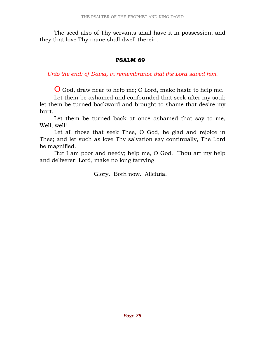The seed also of Thy servants shall have it in possession, and they that love Thy name shall dwell therein.

#### PSALM 69

Unto the end: of David, in remembrance that the Lord saved him.

O God, draw near to help me; O Lord, make haste to help me.

 Let them be ashamed and confounded that seek after my soul; let them be turned backward and brought to shame that desire my hurt.

 Let them be turned back at once ashamed that say to me, Well, well!

 Let all those that seek Thee, O God, be glad and rejoice in Thee; and let such as love Thy salvation say continually, The Lord be magnified.

 But I am poor and needy; help me, O God. Thou art my help and deliverer; Lord, make no long tarrying.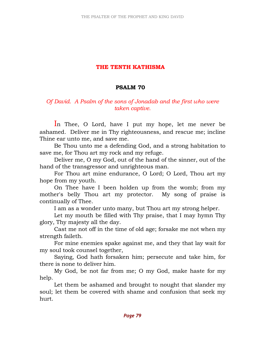## THE TENTH KATHISMA

### PSALM 70

## Of David. A Psalm of the sons of Jonadab and the first who were taken captive.

In Thee, O Lord, have I put my hope, let me never be ashamed. Deliver me in Thy righteousness, and rescue me; incline Thine ear unto me, and save me.

 Be Thou unto me a defending God, and a strong habitation to save me, for Thou art my rock and my refuge.

 Deliver me, O my God, out of the hand of the sinner, out of the hand of the transgressor and unrighteous man.

 For Thou art mine endurance, O Lord; O Lord, Thou art my hope from my youth.

 On Thee have I been holden up from the womb; from my mother's belly Thou art my protector. My song of praise is continually of Thee.

I am as a wonder unto many, but Thou art my strong helper.

 Let my mouth be filled with Thy praise, that I may hymn Thy glory, Thy majesty all the day.

 Cast me not off in the time of old age; forsake me not when my strength faileth.

 For mine enemies spake against me, and they that lay wait for my soul took counsel together,

 Saying, God hath forsaken him; persecute and take him, for there is none to deliver him.

 My God, be not far from me; O my God, make haste for my help.

 Let them be ashamed and brought to nought that slander my soul; let them be covered with shame and confusion that seek my hurt.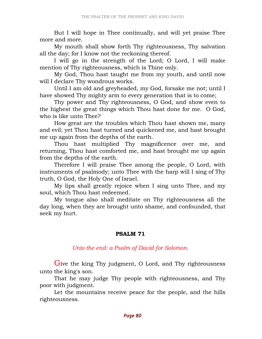But I will hope in Thee continually, and will yet praise Thee more and more.

 My mouth shall show forth Thy righteousness, Thy salvation all the day; for I know not the reckoning thereof.

 I will go in the strength of the Lord; O Lord, I will make mention of Thy righteousness, which is Thine only.

 My God, Thou hast taught me from my youth, and until now will I declare Thy wondrous works.

 Until I am old and greyheaded, my God, forsake me not; until I have showed Thy mighty arm to every generation that is to come;

 Thy power and Thy righteousness, O God, and show even to the highest the great things which Thou hast done for me. O God, who is like unto Thee?

 How great are the troubles which Thou hast shown me, many and evil; yet Thou hast turned and quickened me, and hast brought me up again from the depths of the earth.

 Thou hast multiplied Thy magnificence over me, and returning, Thou hast comforted me, and hast brought me up again from the depths of the earth.

 Therefore I will praise Thee among the people, O Lord, with instruments of psalmody; unto Thee with the harp will I sing of Thy truth, O God, the Holy One of Israel.

 My lips shall greatly rejoice when I sing unto Thee, and my soul, which Thou hast redeemed.

 My tongue also shall meditate on Thy righteousness all the day long, when they are brought unto shame, and confounded, that seek my hurt.

### PSALM 71

Unto the end: a Psalm of David for Solomon.

Give the king Thy judgment, O Lord, and Thy righteousness unto the king's son.

 That he may judge Thy people with righteousness, and Thy poor with judgment.

 Let the mountains receive peace for the people, and the hills righteousness.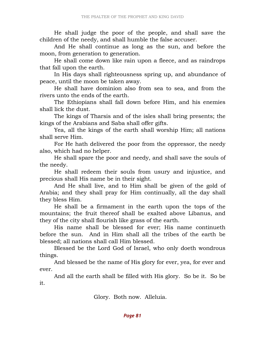He shall judge the poor of the people, and shall save the children of the needy, and shall humble the false accuser.

 And He shall continue as long as the sun, and before the moon, from generation to generation.

 He shall come down like rain upon a fleece, and as raindrops that fall upon the earth.

 In His days shall righteousness spring up, and abundance of peace, until the moon be taken away.

 He shall have dominion also from sea to sea, and from the rivers unto the ends of the earth.

 The Ethiopians shall fall down before Him, and his enemies shall lick the dust.

 The kings of Tharsis and of the isles shall bring presents; the kings of the Arabians and Saba shall offer gifts.

 Yea, all the kings of the earth shall worship Him; all nations shall serve Him.

 For He hath delivered the poor from the oppressor, the needy also, which had no helper.

 He shall spare the poor and needy, and shall save the souls of the needy.

 He shall redeem their souls from usury and injustice, and precious shall His name be in their sight.

 And He shall live, and to Him shall be given of the gold of Arabia; and they shall pray for Him continually, all the day shall they bless Him.

 He shall be a firmament in the earth upon the tops of the mountains; the fruit thereof shall be exalted above Libanus, and they of the city shall flourish like grass of the earth.

 His name shall be blessed for ever; His name continueth before the sun. And in Him shall all the tribes of the earth be blessed; all nations shall call Him blessed.

 Blessed be the Lord God of Israel, who only doeth wondrous things.

 And blessed be the name of His glory for ever, yea, for ever and ever.

 And all the earth shall be filled with His glory. So be it. So be it.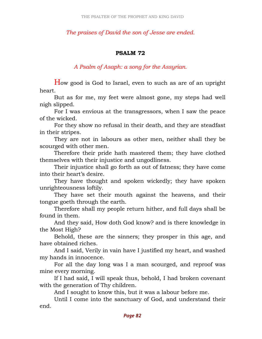The praises of David the son of Jesse are ended.

### PSALM 72

A Psalm of Asaph: a song for the Assyrian.

How good is God to Israel, even to such as are of an upright heart.

 But as for me, my feet were almost gone, my steps had well nigh slipped.

 For I was envious at the transgressors, when I saw the peace of the wicked.

 For they show no refusal in their death, and they are steadfast in their stripes.

 They are not in labours as other men, neither shall they be scourged with other men.

 Therefore their pride hath mastered them; they have clothed themselves with their injustice and ungodliness.

 Their injustice shall go forth as out of fatness; they have come into their heart's desire.

 They have thought and spoken wickedly; they have spoken unrighteousness loftily.

 They have set their mouth against the heavens, and their tongue goeth through the earth.

 Therefore shall my people return hither, and full days shall be found in them.

 And they said, How doth God know? and is there knowledge in the Most High?

 Behold, these are the sinners; they prosper in this age, and have obtained riches.

 And I said, Verily in vain have I justified my heart, and washed my hands in innocence.

 For all the day long was I a man scourged, and reproof was mine every morning.

 If I had said, I will speak thus, behold, I had broken covenant with the generation of Thy children.

And I sought to know this, but it was a labour before me.

 Until I come into the sanctuary of God, and understand their end.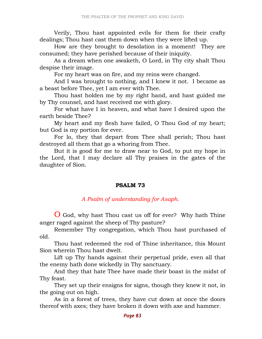Verily, Thou hast appointed evils for them for their crafty dealings; Thou hast cast them down when they were lifted up.

 How are they brought to desolation in a moment! They are consumed; they have perished because of their iniquity.

 As a dream when one awaketh, O Lord, in Thy city shalt Thou despise their image.

For my heart was on fire, and my reins were changed.

 And I was brought to nothing, and I knew it not. I became as a beast before Thee, yet I am ever with Thee.

 Thou hast holden me by my right hand, and hast guided me by Thy counsel, and hast received me with glory.

 For what have I in heaven, and what have I desired upon the earth beside Thee?

 My heart and my flesh have failed, O Thou God of my heart; but God is my portion for ever.

 For lo, they that depart from Thee shall perish; Thou hast destroyed all them that go a whoring from Thee.

 But it is good for me to draw near to God, to put my hope in the Lord, that I may declare all Thy praises in the gates of the daughter of Sion.

#### PSALM 73

#### A Psalm of understanding for Asaph.

O God, why hast Thou cast us off for ever? Why hath Thine anger raged against the sheep of Thy pasture?

 Remember Thy congregation, which Thou hast purchased of old.

 Thou hast redeemed the rod of Thine inheritance, this Mount Sion wherein Thou hast dwelt.

 Lift up Thy hands against their perpetual pride, even all that the enemy hath done wickedly in Thy sanctuary.

 And they that hate Thee have made their boast in the midst of Thy feast.

 They set up their ensigns for signs, though they knew it not, in the going out on high.

 As in a forest of trees, they have cut down at once the doors thereof with axes; they have broken it down with axe and hammer.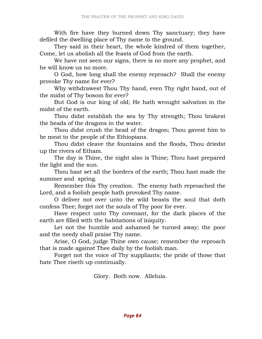With fire have they burned down Thy sanctuary; they have defiled the dwelling place of Thy name to the ground.

 They said in their heart, the whole kindred of them together, Come, let us abolish all the feasts of God from the earth.

 We have not seen our signs, there is no more any prophet, and he will know us no more.

 O God, how long shall the enemy reproach? Shall the enemy provoke Thy name for ever?

 Why withdrawest Thou Thy hand, even Thy right hand, out of the midst of Thy bosom for ever?

 But God is our king of old; He hath wrought salvation in the midst of the earth.

 Thou didst establish the sea by Thy strength; Thou brakest the heads of the dragons in the water.

 Thou didst crush the head of the dragon; Thou gavest him to be meat to the people of the Ethiopians.

 Thou didst cleave the fountains and the floods, Thou driedst up the rivers of Etham.

 The day is Thine, the night also is Thine; Thou hast prepared the light and the sun.

 Thou hast set all the borders of the earth; Thou hast made the summer and spring.

 Remember this Thy creation. The enemy hath reproached the Lord, and a foolish people hath provoked Thy name.

 O deliver not over unto the wild beasts the soul that doth confess Thee; forget not the souls of Thy poor for ever.

 Have respect unto Thy covenant, for the dark places of the earth are filled with the habitations of iniquity.

 Let not the humble and ashamed be turned away; the poor and the needy shall praise Thy name.

 Arise, O God, judge Thine own cause; remember the reproach that is made against Thee daily by the foolish man.

 Forget not the voice of Thy suppliants; the pride of those that hate Thee riseth up continually.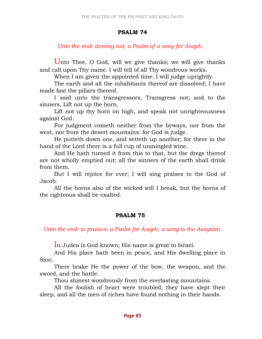#### PSALM 74

## Unto the end: destroy not; a Psalm of a song for Asaph.

Unto Thee, O God, will we give thanks; we will give thanks and call upon Thy name. I will tell of all Thy wondrous works.

When I am given the appointed time, I will judge uprightly.

 The earth and all the inhabitants thereof are dissolved; I have made fast the pillars thereof.

 I said unto the transgressors, Transgress not; and to the sinners, Lift not up the horn.

 Lift not up thy horn on high, and speak not unrighteousness against God.

 For judgment cometh neither from the byways, nor from the west, nor from the desert mountains: for God is judge.

 He putteth down one, and setteth up another; for there in the hand of the Lord there is a full cup of unmingled wine.

 And He hath turned it from this to that, but the dregs thereof are not wholly emptied out; all the sinners of the earth shall drink from them.

 But I will rejoice for ever; I will sing praises to the God of Jacob.

 All the horns also of the wicked will I break, but the horns of the righteous shall be exalted.

# PSALM 75

Unto the end: in praises; a Psalm for Asaph; a song to the Assyrian.

In Judea is God known; His name is great in Israel.

 And His place hath been in peace, and His dwelling place in Sion.

 There brake He the power of the bow, the weapon, and the sword, and the battle.

Thou shinest wondrously from the everlasting mountains.

 All the foolish of heart were troubled, they have slept their sleep, and all the men of riches have found nothing in their hands.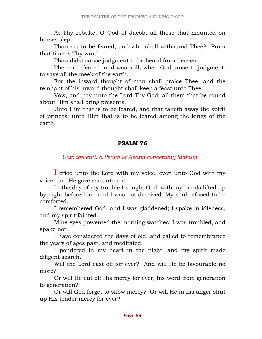At Thy rebuke, O God of Jacob, all those that mounted on horses slept.

 Thou art to be feared, and who shall withstand Thee? From that time is Thy wrath.

Thou didst cause judgment to be heard from heaven.

 The earth feared, and was still, when God arose to judgment, to save all the meek of the earth.

 For the inward thought of man shall praise Thee, and the remnant of his inward thought shall keep a feast unto Thee.

 Vow, and pay unto the Lord Thy God; all them that be round about Him shall bring presents,

 Unto Him that is to be feared, and that taketh away the spirit of princes; unto Him that is to be feared among the kings of the earth.

### PSALM 76

Unto the end: a Psalm of Asaph concerning Idithum.

I cried unto the Lord with my voice, even unto God with my voice; and He gave ear unto me.

 In the day of my trouble I sought God, with my hands lifted up by night before him; and I was not deceived. My soul refused to be comforted.

 I remembered God, and I was gladdened; I spake in idleness, and my spirit fainted.

 Mine eyes prevented the morning watches; I was troubled, and spake not.

 I have considered the days of old, and called to remembrance the years of ages past, and meditated.

 I pondered in my heart in the night, and my spirit made diligent search.

 Will the Lord cast off for ever? And will He be favourable no more?

 Or will He cut off His mercy for ever, his word from generation to generation?

 Or will God forget to show mercy? Or will He in his anger shut up His tender mercy for ever?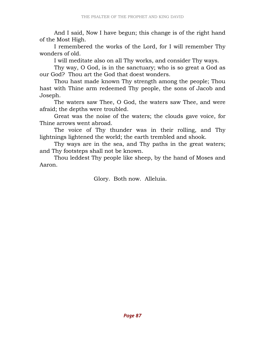And I said, Now I have begun; this change is of the right hand of the Most High.

 I remembered the works of the Lord, for I will remember Thy wonders of old.

I will meditate also on all Thy works, and consider Thy ways.

 Thy way, O God, is in the sanctuary; who is so great a God as our God? Thou art the God that doest wonders.

 Thou hast made known Thy strength among the people; Thou hast with Thine arm redeemed Thy people, the sons of Jacob and Joseph.

 The waters saw Thee, O God, the waters saw Thee, and were afraid; the depths were troubled.

 Great was the noise of the waters; the clouds gave voice, for Thine arrows went abroad.

 The voice of Thy thunder was in their rolling, and Thy lightnings lightened the world; the earth trembled and shook.

 Thy ways are in the sea, and Thy paths in the great waters; and Thy footsteps shall not be known.

 Thou leddest Thy people like sheep, by the hand of Moses and Aaron.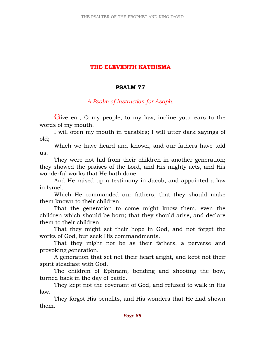# THE ELEVENTH KATHISMA

## PSALM 77

A Psalm of instruction for Asaph.

Give ear, O my people, to my law; incline your ears to the words of my mouth.

 I will open my mouth in parables; I will utter dark sayings of old;

 Which we have heard and known, and our fathers have told us.

 They were not hid from their children in another generation; they showed the praises of the Lord, and His mighty acts, and His wonderful works that He hath done.

 And He raised up a testimony in Jacob, and appointed a law in Israel.

 Which He commanded our fathers, that they should make them known to their children;

 That the generation to come might know them, even the children which should be born; that they should arise, and declare them to their children.

 That they might set their hope in God, and not forget the works of God, but seek His commandments.

 That they might not be as their fathers, a perverse and provoking generation.

 A generation that set not their heart aright, and kept not their spirit steadfast with God.

 The children of Ephraim, bending and shooting the bow, turned back in the day of battle.

 They kept not the covenant of God, and refused to walk in His law.

 They forgot His benefits, and His wonders that He had shown them.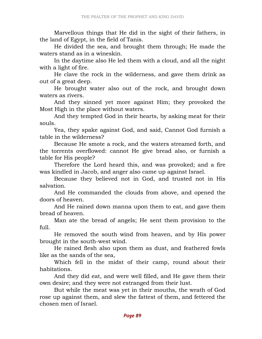Marvellous things that He did in the sight of their fathers, in the land of Egypt, in the field of Tanis.

 He divided the sea, and brought them through; He made the waters stand as in a wineskin.

 In the daytime also He led them with a cloud, and all the night with a light of fire.

 He clave the rock in the wilderness, and gave them drink as out of a great deep.

 He brought water also out of the rock, and brought down waters as rivers.

 And they sinned yet more against Him; they provoked the Most High in the place without waters.

 And they tempted God in their hearts, by asking meat for their souls.

 Yea, they spake against God, and said, Cannot God furnish a table in the wilderness?

 Because He smote a rock, and the waters streamed forth, and the torrents overflowed: cannot He give bread also, or furnish a table for His people?

 Therefore the Lord heard this, and was provoked; and a fire was kindled in Jacob, and anger also came up against Israel.

 Because they believed not in God, and trusted not in His salvation.

 And He commanded the clouds from above, and opened the doors of heaven.

 And He rained down manna upon them to eat, and gave them bread of heaven.

 Man ate the bread of angels; He sent them provision to the full.

 He removed the south wind from heaven, and by His power brought in the south-west wind.

 He rained flesh also upon them as dust, and feathered fowls like as the sands of the sea,

 Which fell in the midst of their camp, round about their habitations.

 And they did eat, and were well filled, and He gave them their own desire; and they were not estranged from their lust.

 But while the meat was yet in their mouths, the wrath of God rose up against them, and slew the fattest of them, and fettered the chosen men of Israel.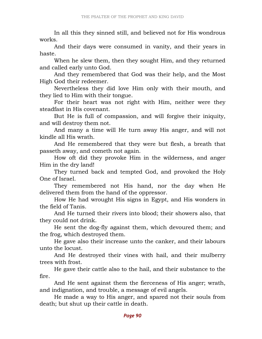In all this they sinned still, and believed not for His wondrous works.

 And their days were consumed in vanity, and their years in haste.

 When he slew them, then they sought Him, and they returned and called early unto God.

 And they remembered that God was their help, and the Most High God their redeemer.

 Nevertheless they did love Him only with their mouth, and they lied to Him with their tongue.

 For their heart was not right with Him, neither were they steadfast in His covenant.

 But He is full of compassion, and will forgive their iniquity, and will destroy them not.

 And many a time will He turn away His anger, and will not kindle all His wrath.

 And He remembered that they were but flesh, a breath that passeth away, and cometh not again.

 How oft did they provoke Him in the wilderness, and anger Him in the dry land!

 They turned back and tempted God, and provoked the Holy One of Israel.

 They remembered not His hand, nor the day when He delivered them from the hand of the oppressor.

 How He had wrought His signs in Egypt, and His wonders in the field of Tanis.

 And He turned their rivers into blood; their showers also, that they could not drink.

 He sent the dog-fly against them, which devoured them; and the frog, which destroyed them.

 He gave also their increase unto the canker, and their labours unto the locust.

 And He destroyed their vines with hail, and their mulberry trees with frost.

 He gave their cattle also to the hail, and their substance to the fire.

 And He sent against them the fierceness of His anger; wrath, and indignation, and trouble, a message of evil angels.

 He made a way to His anger, and spared not their souls from death; but shut up their cattle in death.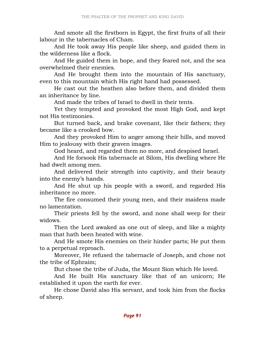And smote all the firstborn in Egypt, the first fruits of all their labour in the tabernacles of Cham.

 And He took away His people like sheep, and guided them in the wilderness like a flock.

 And He guided them in hope, and they feared not, and the sea overwhelmed their enemies.

 And He brought them into the mountain of His sanctuary, even to this mountain which His right hand had possessed.

 He cast out the heathen also before them, and divided them an inheritance by line.

And made the tribes of Israel to dwell in their tents.

 Yet they tempted and provoked the most High God, and kept not His testimonies.

 But turned back, and brake covenant, like their fathers; they became like a crooked bow.

 And they provoked Him to anger among their hills, and moved Him to jealousy with their graven images.

God heard, and regarded them no more, and despised Israel.

 And He forsook His tabernacle at Silom, His dwelling where He had dwelt among men.

 And delivered their strength into captivity, and their beauty into the enemy's hands.

 And He shut up his people with a sword, and regarded His inheritance no more.

 The fire consumed their young men, and their maidens made no lamentation.

 Their priests fell by the sword, and none shall weep for their widows.

 Then the Lord awaked as one out of sleep, and like a mighty man that hath been heated with wine.

 And He smote His enemies on their hinder parts; He put them to a perpetual reproach.

 Moreover, He refused the tabernacle of Joseph, and chose not the tribe of Ephraim;

But chose the tribe of Juda, the Mount Sion which He loved.

 And He built His sanctuary like that of an unicorn; He established it upon the earth for ever.

 He chose David also His servant, and took him from the flocks of sheep.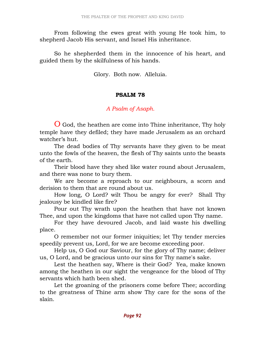From following the ewes great with young He took him, to shepherd Jacob His servant, and Israel His inheritance.

 So he shepherded them in the innocence of his heart, and guided them by the skilfulness of his hands.

Glory. Both now. Alleluia.

#### PSALM 78

### A Psalm of Asaph.

O God, the heathen are come into Thine inheritance, Thy holy temple have they defiled; they have made Jerusalem as an orchard watcher's hut.

 The dead bodies of Thy servants have they given to be meat unto the fowls of the heaven, the flesh of Thy saints unto the beasts of the earth.

 Their blood have they shed like water round about Jerusalem, and there was none to bury them.

 We are become a reproach to our neighbours, a scorn and derision to them that are round about us.

 How long, O Lord? wilt Thou be angry for ever? Shall Thy jealousy be kindled like fire?

 Pour out Thy wrath upon the heathen that have not known Thee, and upon the kingdoms that have not called upon Thy name.

 For they have devoured Jacob, and laid waste his dwelling place.

 O remember not our former iniquities; let Thy tender mercies speedily prevent us, Lord, for we are become exceeding poor.

 Help us, O God our Saviour, for the glory of Thy name; deliver us, O Lord, and be gracious unto our sins for Thy name's sake.

 Lest the heathen say, Where is their God? Yea, make known among the heathen in our sight the vengeance for the blood of Thy servants which hath been shed.

 Let the groaning of the prisoners come before Thee; according to the greatness of Thine arm show Thy care for the sons of the slain.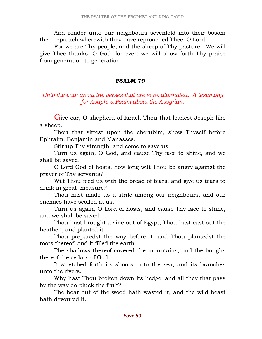And render unto our neighbours sevenfold into their bosom their reproach wherewith they have reproached Thee, O Lord.

 For we are Thy people, and the sheep of Thy pasture. We will give Thee thanks, O God, for ever; we will show forth Thy praise from generation to generation.

## PSALM 79

## Unto the end: about the verses that are to be alternated. A testimony for Asaph, a Psalm about the Assyrian.

Give ear, O shepherd of Israel, Thou that leadest Joseph like a sheep.

 Thou that sittest upon the cherubim, show Thyself before Ephraim, Benjamin and Manasses.

Stir up Thy strength, and come to save us.

 Turn us again, O God, and cause Thy face to shine, and we shall be saved.

 O Lord God of hosts, how long wilt Thou be angry against the prayer of Thy servants?

 Wilt Thou feed us with the bread of tears, and give us tears to drink in great measure?

 Thou hast made us a strife among our neighbours, and our enemies have scoffed at us.

 Turn us again, O Lord of hosts, and cause Thy face to shine, and we shall be saved.

 Thou hast brought a vine out of Egypt; Thou hast cast out the heathen, and planted it.

 Thou preparedst the way before it, and Thou plantedst the roots thereof, and it filled the earth.

 The shadows thereof covered the mountains, and the boughs thereof the cedars of God.

 It stretched forth its shoots unto the sea, and its branches unto the rivers.

 Why hast Thou broken down its hedge, and all they that pass by the way do pluck the fruit?

 The boar out of the wood hath wasted it, and the wild beast hath devoured it.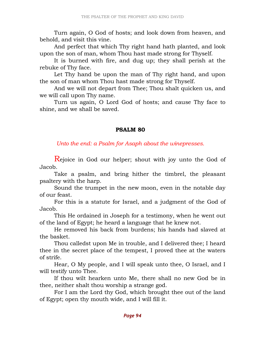Turn again, O God of hosts; and look down from heaven, and behold, and visit this vine.

 And perfect that which Thy right hand hath planted, and look upon the son of man, whom Thou hast made strong for Thyself.

 It is burned with fire, and dug up; they shall perish at the rebuke of Thy face.

 Let Thy hand be upon the man of Thy right hand, and upon the son of man whom Thou hast made strong for Thyself.

 And we will not depart from Thee; Thou shalt quicken us, and we will call upon Thy name.

 Turn us again, O Lord God of hosts; and cause Thy face to shine, and we shall be saved.

#### PSALM 80

Unto the end: a Psalm for Asaph about the winepresses.

Rejoice in God our helper; shout with joy unto the God of Jacob.

 Take a psalm, and bring hither the timbrel, the pleasant psaltery with the harp.

 Sound the trumpet in the new moon, even in the notable day of our feast.

 For this is a statute for Israel, and a judgment of the God of Jacob.

 This He ordained in Joseph for a testimony, when he went out of the land of Egypt; he heard a language that he knew not.

 He removed his back from burdens; his hands had slaved at the basket.

 Thou calledst upon Me in trouble, and I delivered thee; I heard thee in the secret place of the tempest, I proved thee at the waters of strife.

 Hear, O My people, and I will speak unto thee, O Israel, and I will testify unto Thee.

 If thou wilt hearken unto Me, there shall no new God be in thee, neither shalt thou worship a strange god.

 For I am the Lord thy God, which brought thee out of the land of Egypt; open thy mouth wide, and I will fill it.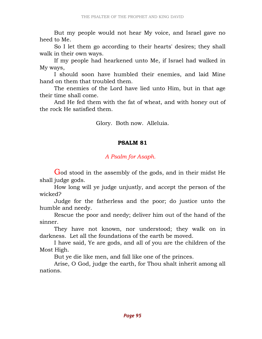But my people would not hear My voice, and Israel gave no heed to Me.

 So I let them go according to their hearts' desires; they shall walk in their own ways.

 If my people had hearkened unto Me, if Israel had walked in My ways,

 I should soon have humbled their enemies, and laid Mine hand on them that troubled them.

 The enemies of the Lord have lied unto Him, but in that age their time shall come.

 And He fed them with the fat of wheat, and with honey out of the rock He satisfied them.

Glory. Both now. Alleluia.

#### PSALM 81

## A Psalm for Asaph.

God stood in the assembly of the gods, and in their midst He shall judge gods.

 How long will ye judge unjustly, and accept the person of the wicked?

 Judge for the fatherless and the poor; do justice unto the humble and needy.

 Rescue the poor and needy; deliver him out of the hand of the sinner.

 They have not known, nor understood; they walk on in darkness. Let all the foundations of the earth be moved.

 I have said, Ye are gods, and all of you are the children of the Most High.

But ye die like men, and fall like one of the princes.

 Arise, O God, judge the earth, for Thou shalt inherit among all nations.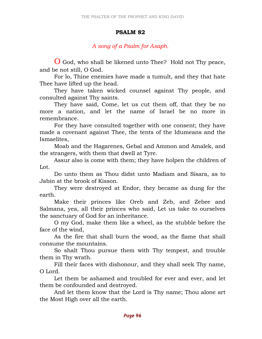### PSALM 82

## A song of a Psalm for Asaph.

O God, who shall be likened unto Thee? Hold not Thy peace, and be not still, O God.

 For lo, Thine enemies have made a tumult, and they that hate Thee have lifted up the head.

 They have taken wicked counsel against Thy people, and consulted against Thy saints.

 They have said, Come, let us cut them off, that they be no more a nation, and let the name of Israel be no more in remembrance.

 For they have consulted together with one consent; they have made a covenant against Thee, the tents of the Idumeans and the Ismaelites,

 Moab and the Hagarenes, Gebal and Ammon and Amalek, and the strangers, with them that dwell at Tyre.

 Assur also is come with them; they have holpen the children of Lot.

 Do unto them as Thou didst unto Madiam and Sisara, as to Jabin at the brook of Kisson.

 They were destroyed at Endor, they became as dung for the earth.

 Make their princes like Oreb and Zeb, and Zebee and Salmana, yea, all their princes who said, Let us take to ourselves the sanctuary of God for an inheritance.

 O my God, make them like a wheel, as the stubble before the face of the wind,

 As the fire that shall burn the wood, as the flame that shall consume the mountains.

 So shalt Thou pursue them with Thy tempest, and trouble them in Thy wrath.

 Fill their faces with dishonour, and they shall seek Thy name, O Lord.

 Let them be ashamed and troubled for ever and ever, and let them be confounded and destroyed.

 And let them know that the Lord is Thy name; Thou alone art the Most High over all the earth.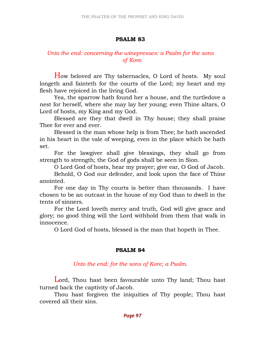## PSALM 83

# Unto the end: concerning the winepresses: a Psalm for the sons of Kore.

How beloved are Thy tabernacles, O Lord of hosts. My soul longeth and fainteth for the courts of the Lord; my heart and my flesh have rejoiced in the living God.

 Yea, the sparrow hath found her a house, and the turtledove a nest for herself, where she may lay her young; even Thine altars, O Lord of hosts, my King and my God.

 Blessed are they that dwell in Thy house; they shall praise Thee for ever and ever.

 Blessed is the man whose help is from Thee; he hath ascended in his heart in the vale of weeping, even in the place which he hath set.

 For the lawgiver shall give blessings, they shall go from strength to strength; the God of gods shall be seen in Sion.

O Lord God of hosts, hear my prayer; give ear, O God of Jacob.

 Behold, O God our defender, and look upon the face of Thine anointed.

 For one day in Thy courts is better than thousands. I have chosen to be an outcast in the house of my God than to dwell in the tents of sinners.

 For the Lord loveth mercy and truth, God will give grace and glory; no good thing will the Lord withhold from them that walk in innocence.

O Lord God of hosts, blessed is the man that hopeth in Thee.

### PSALM 84

### Unto the end: for the sons of Kore; a Psalm.

Lord, Thou hast been favourable unto Thy land; Thou hast turned back the captivity of Jacob.

 Thou hast forgiven the iniquities of Thy people; Thou hast covered all their sins.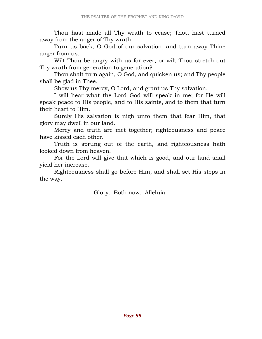Thou hast made all Thy wrath to cease; Thou hast turned away from the anger of Thy wrath.

 Turn us back, O God of our salvation, and turn away Thine anger from us.

 Wilt Thou be angry with us for ever, or wilt Thou stretch out Thy wrath from generation to generation?

 Thou shalt turn again, O God, and quicken us; and Thy people shall be glad in Thee.

Show us Thy mercy, O Lord, and grant us Thy salvation.

 I will hear what the Lord God will speak in me; for He will speak peace to His people, and to His saints, and to them that turn their heart to Him.

 Surely His salvation is nigh unto them that fear Him, that glory may dwell in our land.

 Mercy and truth are met together; righteousness and peace have kissed each other.

 Truth is sprung out of the earth, and righteousness hath looked down from heaven.

 For the Lord will give that which is good, and our land shall yield her increase.

 Righteousness shall go before Him, and shall set His steps in the way.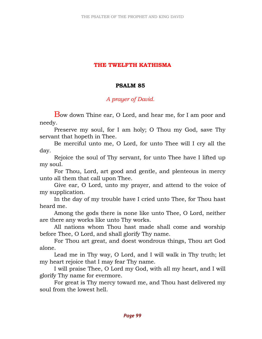## THE TWELFTH KATHISMA

### PSALM 85

# A prayer of David.

Bow down Thine ear, O Lord, and hear me, for I am poor and needy.

 Preserve my soul, for I am holy; O Thou my God, save Thy servant that hopeth in Thee.

 Be merciful unto me, O Lord, for unto Thee will I cry all the day.

 Rejoice the soul of Thy servant, for unto Thee have I lifted up my soul.

 For Thou, Lord, art good and gentle, and plenteous in mercy unto all them that call upon Thee.

 Give ear, O Lord, unto my prayer, and attend to the voice of my supplication.

 In the day of my trouble have I cried unto Thee, for Thou hast heard me.

 Among the gods there is none like unto Thee, O Lord, neither are there any works like unto Thy works.

 All nations whom Thou hast made shall come and worship before Thee, O Lord, and shall glorify Thy name.

 For Thou art great, and doest wondrous things, Thou art God alone.

 Lead me in Thy way, O Lord, and I will walk in Thy truth; let my heart rejoice that I may fear Thy name.

 I will praise Thee, O Lord my God, with all my heart, and I will glorify Thy name for evermore.

 For great is Thy mercy toward me, and Thou hast delivered my soul from the lowest hell.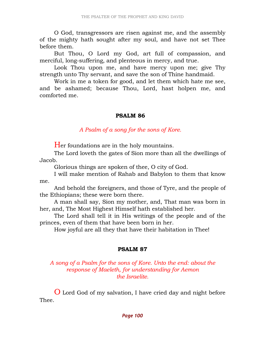O God, transgressors are risen against me, and the assembly of the mighty hath sought after my soul, and have not set Thee before them.

 But Thou, O Lord my God, art full of compassion, and merciful, long-suffering, and plenteous in mercy, and true.

 Look Thou upon me, and have mercy upon me; give Thy strength unto Thy servant, and save the son of Thine handmaid.

 Work in me a token for good, and let them which hate me see, and be ashamed; because Thou, Lord, hast holpen me, and comforted me.

# PSALM 86

A Psalm of a song for the sons of Kore.

Her foundations are in the holy mountains.

 The Lord loveth the gates of Sion more than all the dwellings of Jacob.

Glorious things are spoken of thee, O city of God.

 I will make mention of Rahab and Babylon to them that know me.

 And behold the foreigners, and those of Tyre, and the people of the Ethiopians; these were born there.

 A man shall say, Sion my mother, and, That man was born in her, and, The Most Highest Himself hath established her.

 The Lord shall tell it in His writings of the people and of the princes, even of them that have been born in her.

How joyful are all they that have their habitation in Thee!

### PSALM 87

## A song of a Psalm for the sons of Kore. Unto the end: about the response of Maeleth, for understanding for Aemon the Israelite.

O Lord God of my salvation, I have cried day and night before Thee.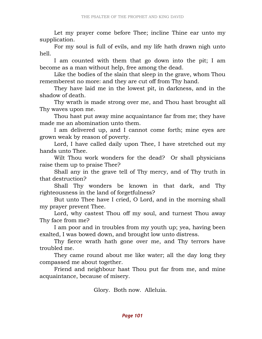Let my prayer come before Thee; incline Thine ear unto my supplication.

 For my soul is full of evils, and my life hath drawn nigh unto hell.

 I am counted with them that go down into the pit; I am become as a man without help, free among the dead.

 Like the bodies of the slain that sleep in the grave, whom Thou rememberest no more: and they are cut off from Thy hand.

 They have laid me in the lowest pit, in darkness, and in the shadow of death.

 Thy wrath is made strong over me, and Thou hast brought all Thy waves upon me.

 Thou hast put away mine acquaintance far from me; they have made me an abomination unto them.

 I am delivered up, and I cannot come forth; mine eyes are grown weak by reason of poverty.

 Lord, I have called daily upon Thee, I have stretched out my hands unto Thee.

 Wilt Thou work wonders for the dead? Or shall physicians raise them up to praise Thee?

 Shall any in the grave tell of Thy mercy, and of Thy truth in that destruction?

 Shall Thy wonders be known in that dark, and Thy righteousness in the land of forgetfulness?

 But unto Thee have I cried, O Lord, and in the morning shall my prayer prevent Thee.

 Lord, why castest Thou off my soul, and turnest Thou away Thy face from me?

 I am poor and in troubles from my youth up; yea, having been exalted, I was bowed down, and brought low unto distress.

 Thy fierce wrath hath gone over me, and Thy terrors have troubled me.

 They came round about me like water; all the day long they compassed me about together.

 Friend and neighbour hast Thou put far from me, and mine acquaintance, because of misery.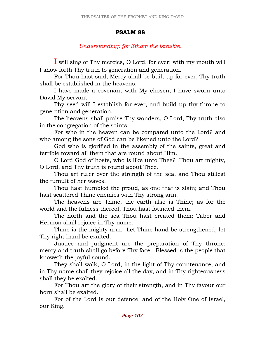# PSALM 88

# Understanding: for Etham the Israelite.

I will sing of Thy mercies, O Lord, for ever; with my mouth will I show forth Thy truth to generation and generation.

 For Thou hast said, Mercy shall be built up for ever; Thy truth shall be established in the heavens.

 I have made a covenant with My chosen, I have sworn unto David My servant.

 Thy seed will I establish for ever, and build up thy throne to generation and generation.

 The heavens shall praise Thy wonders, O Lord, Thy truth also in the congregation of the saints.

 For who in the heaven can be compared unto the Lord? and who among the sons of God can be likened unto the Lord?

 God who is glorified in the assembly of the saints, great and terrible toward all them that are round about Him.

 O Lord God of hosts, who is like unto Thee? Thou art mighty, O Lord, and Thy truth is round about Thee.

 Thou art ruler over the strength of the sea, and Thou stillest the tumult of her waves.

 Thou hast humbled the proud, as one that is slain; and Thou hast scattered Thine enemies with Thy strong arm.

 The heavens are Thine, the earth also is Thine; as for the world and the fulness thereof, Thou hast founded them.

 The north and the sea Thou hast created them; Tabor and Hermon shall rejoice in Thy name.

 Thine is the mighty arm. Let Thine hand be strengthened, let Thy right hand be exalted.

 Justice and judgment are the preparation of Thy throne; mercy and truth shall go before Thy face. Blessed is the people that knoweth the joyful sound.

 They shall walk, O Lord, in the light of Thy countenance, and in Thy name shall they rejoice all the day, and in Thy righteousness shall they be exalted.

 For Thou art the glory of their strength, and in Thy favour our horn shall be exalted.

 For of the Lord is our defence, and of the Holy One of Israel, our King.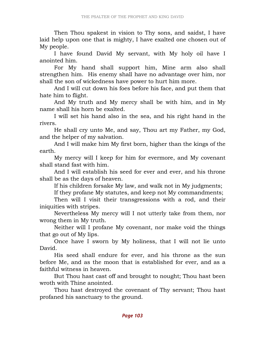Then Thou spakest in vision to Thy sons, and saidst, I have laid help upon one that is mighty, I have exalted one chosen out of My people.

 I have found David My servant, with My holy oil have I anointed him.

 For My hand shall support him, Mine arm also shall strengthen him. His enemy shall have no advantage over him, nor shall the son of wickedness have power to hurt him more.

 And I will cut down his foes before his face, and put them that hate him to flight.

 And My truth and My mercy shall be with him, and in My name shall his horn be exalted.

 I will set his hand also in the sea, and his right hand in the rivers.

 He shall cry unto Me, and say, Thou art my Father, my God, and the helper of my salvation.

 And I will make him My first born, higher than the kings of the earth.

 My mercy will I keep for him for evermore, and My covenant shall stand fast with him.

 And I will establish his seed for ever and ever, and his throne shall be as the days of heaven.

If his children forsake My law, and walk not in My judgments;

If they profane My statutes, and keep not My commandments;

 Then will I visit their transgressions with a rod, and their iniquities with stripes.

 Nevertheless My mercy will I not utterly take from them, nor wrong them in My truth.

 Neither will I profane My covenant, nor make void the things that go out of My lips.

 Once have I sworn by My holiness, that I will not lie unto David.

 His seed shall endure for ever, and his throne as the sun before Me, and as the moon that is established for ever, and as a faithful witness in heaven.

 But Thou hast cast off and brought to nought; Thou hast been wroth with Thine anointed.

 Thou hast destroyed the covenant of Thy servant; Thou hast profaned his sanctuary to the ground.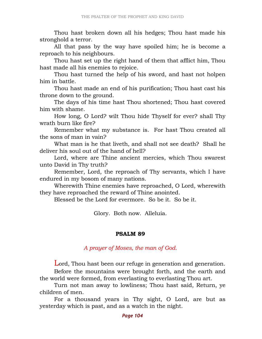Thou hast broken down all his hedges; Thou hast made his stronghold a terror.

 All that pass by the way have spoiled him; he is become a reproach to his neighbours.

 Thou hast set up the right hand of them that afflict him, Thou hast made all his enemies to rejoice.

 Thou hast turned the help of his sword, and hast not holpen him in battle.

 Thou hast made an end of his purification; Thou hast cast his throne down to the ground.

 The days of his time hast Thou shortened; Thou hast covered him with shame.

 How long, O Lord? wilt Thou hide Thyself for ever? shall Thy wrath burn like fire?

 Remember what my substance is. For hast Thou created all the sons of man in vain?

 What man is he that liveth, and shall not see death? Shall he deliver his soul out of the hand of hell?

 Lord, where are Thine ancient mercies, which Thou swarest unto David in Thy truth?

 Remember, Lord, the reproach of Thy servants, which I have endured in my bosom of many nations.

 Wherewith Thine enemies have reproached, O Lord, wherewith they have reproached the reward of Thine anointed.

Blessed be the Lord for evermore. So be it. So be it.

Glory. Both now. Alleluia.

#### PSALM 89

### A prayer of Moses, the man of God.

Lord, Thou hast been our refuge in generation and generation. Before the mountains were brought forth, and the earth and the world were formed, from everlasting to everlasting Thou art.

 Turn not man away to lowliness; Thou hast said, Return, ye children of men.

 For a thousand years in Thy sight, O Lord, are but as yesterday which is past, and as a watch in the night.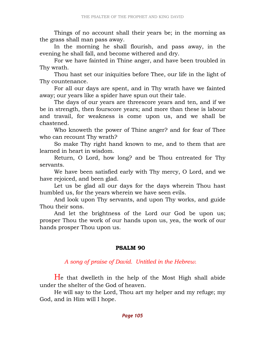Things of no account shall their years be; in the morning as the grass shall man pass away.

 In the morning he shall flourish, and pass away, in the evening he shall fall, and become withered and dry.

 For we have fainted in Thine anger, and have been troubled in Thy wrath.

 Thou hast set our iniquities before Thee, our life in the light of Thy countenance.

 For all our days are spent, and in Thy wrath have we fainted away; our years like a spider have spun out their tale.

 The days of our years are threescore years and ten, and if we be in strength, then fourscore years; and more than these is labour and travail, for weakness is come upon us, and we shall be chastened.

 Who knoweth the power of Thine anger? and for fear of Thee who can recount Thy wrath?

 So make Thy right hand known to me, and to them that are learned in heart in wisdom.

 Return, O Lord, how long? and be Thou entreated for Thy servants.

 We have been satisfied early with Thy mercy, O Lord, and we have rejoiced, and been glad.

 Let us be glad all our days for the days wherein Thou hast humbled us, for the years wherein we have seen evils.

 And look upon Thy servants, and upon Thy works, and guide Thou their sons.

 And let the brightness of the Lord our God be upon us; prosper Thou the work of our hands upon us, yea, the work of our hands prosper Thou upon us.

# PSALM 90

A song of praise of David. Untitled in the Hebrew.

He that dwelleth in the help of the Most High shall abide under the shelter of the God of heaven.

 He will say to the Lord, Thou art my helper and my refuge; my God, and in Him will I hope.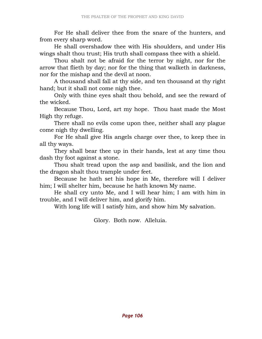For He shall deliver thee from the snare of the hunters, and from every sharp word.

 He shall overshadow thee with His shoulders, and under His wings shalt thou trust; His truth shall compass thee with a shield.

 Thou shalt not be afraid for the terror by night, nor for the arrow that flieth by day; nor for the thing that walketh in darkness, nor for the mishap and the devil at noon.

 A thousand shall fall at thy side, and ten thousand at thy right hand; but it shall not come nigh thee.

 Only with thine eyes shalt thou behold, and see the reward of the wicked.

 Because Thou, Lord, art my hope. Thou hast made the Most High thy refuge.

 There shall no evils come upon thee, neither shall any plague come nigh thy dwelling.

 For He shall give His angels charge over thee, to keep thee in all thy ways.

 They shall bear thee up in their hands, lest at any time thou dash thy foot against a stone.

 Thou shalt tread upon the asp and basilisk, and the lion and the dragon shalt thou trample under feet.

 Because he hath set his hope in Me, therefore will I deliver him; I will shelter him, because he hath known My name.

 He shall cry unto Me, and I will hear him; I am with him in trouble, and I will deliver him, and glorify him.

With long life will I satisfy him, and show him My salvation.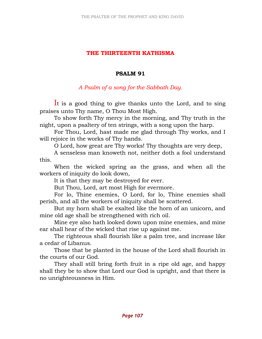## THE THIRTEENTH KATHISMA

### PSALM 91

### A Psalm of a song for the Sabbath Day.

It is a good thing to give thanks unto the Lord, and to sing praises unto Thy name, O Thou Most High.

 To show forth Thy mercy in the morning, and Thy truth in the night, upon a psaltery of ten strings, with a song upon the harp.

 For Thou, Lord, hast made me glad through Thy works, and I will rejoice in the works of Thy hands.

O Lord, how great are Thy works! Thy thoughts are very deep,

 A senseless man knoweth not, neither doth a fool understand this.

 When the wicked spring as the grass, and when all the workers of iniquity do look down,

It is that they may be destroyed for ever.

But Thou, Lord, art most High for evermore.

 For lo, Thine enemies, O Lord, for lo, Thine enemies shall perish, and all the workers of iniquity shall be scattered.

 But my horn shall be exalted like the horn of an unicorn, and mine old age shall be strengthened with rich oil.

 Mine eye also hath looked down upon mine enemies, and mine ear shall hear of the wicked that rise up against me.

 The righteous shall flourish like a palm tree, and increase like a cedar of Libanus.

 Those that be planted in the house of the Lord shall flourish in the courts of our God.

 They shall still bring forth fruit in a ripe old age, and happy shall they be to show that Lord our God is upright, and that there is no unrighteousness in Him.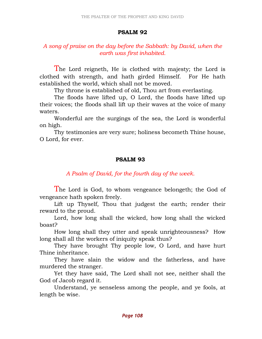## PSALM 92

# A song of praise on the day before the Sabbath: by David, when the earth was first inhabited.

The Lord reigneth, He is clothed with majesty; the Lord is clothed with strength, and hath girded Himself. For He hath established the world, which shall not be moved.

Thy throne is established of old, Thou art from everlasting.

 The floods have lifted up, O Lord, the floods have lifted up their voices; the floods shall lift up their waves at the voice of many waters.

 Wonderful are the surgings of the sea, the Lord is wonderful on high.

 Thy testimonies are very sure; holiness becometh Thine house, O Lord, for ever.

# PSALM 93

A Psalm of David, for the fourth day of the week.

The Lord is God, to whom vengeance belongeth; the God of vengeance hath spoken freely.

 Lift up Thyself, Thou that judgest the earth; render their reward to the proud.

 Lord, how long shall the wicked, how long shall the wicked boast?

 How long shall they utter and speak unrighteousness? How long shall all the workers of iniquity speak thus?

 They have brought Thy people low, O Lord, and have hurt Thine inheritance.

 They have slain the widow and the fatherless, and have murdered the stranger.

 Yet they have said, The Lord shall not see, neither shall the God of Jacob regard it.

 Understand, ye senseless among the people, and ye fools, at length be wise.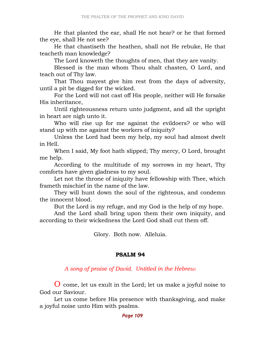He that planted the ear, shall He not hear? or he that formed the eye, shall He not see?

 He that chastiseth the heathen, shall not He rebuke, He that teacheth man knowledge?

The Lord knoweth the thoughts of men, that they are vanity.

 Blessed is the man whom Thou shalt chasten, O Lord, and teach out of Thy law.

 That Thou mayest give him rest from the days of adversity, until a pit be digged for the wicked.

 For the Lord will not cast off His people, neither will He forsake His inheritance,

 Until righteousness return unto judgment, and all the upright in heart are nigh unto it.

 Who will rise up for me against the evildoers? or who will stand up with me against the workers of iniquity?

 Unless the Lord had been my help, my soul had almost dwelt in Hell.

 When I said, My foot hath slipped; Thy mercy, O Lord, brought me help.

 According to the multitude of my sorrows in my heart, Thy comforts have given gladness to my soul.

 Let not the throne of iniquity have fellowship with Thee, which frameth mischief in the name of the law.

 They will hunt down the soul of the righteous, and condemn the innocent blood.

But the Lord is my refuge, and my God is the help of my hope.

 And the Lord shall bring upon them their own iniquity, and according to their wickedness the Lord God shall cut them off.

Glory. Both now. Alleluia.

### PSALM 94

A song of praise of David. Untitled in the Hebrew.

O come, let us exult in the Lord; let us make a joyful noise to God our Saviour.

 Let us come before His presence with thanksgiving, and make a joyful noise unto Him with psalms.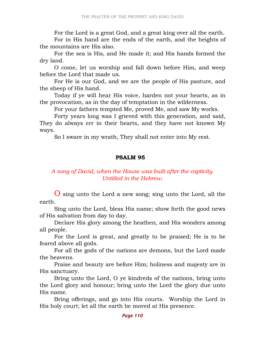For the Lord is a great God, and a great king over all the earth.

 For in His hand are the ends of the earth, and the heights of the mountains are His also.

 For the sea is His, and He made it; and His hands formed the dry land.

 O come, let us worship and fall down before Him, and weep before the Lord that made us.

 For He is our God, and we are the people of His pasture, and the sheep of His hand.

 Today if ye will hear His voice, harden not your hearts, as in the provocation, as in the day of temptation in the wilderness.

For your fathers tempted Me, proved Me, and saw My works.

 Forty years long was I grieved with this generation, and said, They do always err in their hearts, and they have not known My ways.

So I sware in my wrath, They shall not enter into My rest.

### PSALM 95

### A song of David, when the House was built after the captivity. Untitled in the Hebrew.

O sing unto the Lord a new song; sing unto the Lord, all the earth.

 Sing unto the Lord, bless His name; show forth the good news of His salvation from day to day.

 Declare His glory among the heathen, and His wonders among all people.

 For the Lord is great, and greatly to be praised; He is to be feared above all gods.

 For all the gods of the nations are demons, but the Lord made the heavens.

 Praise and beauty are before Him; holiness and majesty are in His sanctuary.

 Bring unto the Lord, O ye kindreds of the nations, bring unto the Lord glory and honour; bring unto the Lord the glory due unto His name.

 Bring offerings, and go into His courts. Worship the Lord in His holy court; let all the earth be moved at His presence.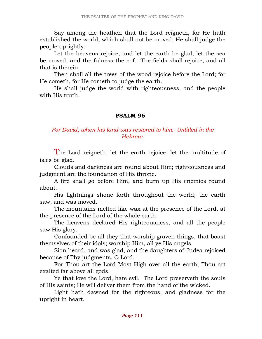Say among the heathen that the Lord reigneth, for He hath established the world, which shall not be moved; He shall judge the people uprightly.

 Let the heavens rejoice, and let the earth be glad; let the sea be moved, and the fulness thereof. The fields shall rejoice, and all that is therein.

 Then shall all the trees of the wood rejoice before the Lord; for He cometh, for He cometh to judge the earth.

 He shall judge the world with righteousness, and the people with His truth.

### PSALM 96

### For David, when his land was restored to him. Untitled in the Hebrew.

The Lord reigneth, let the earth rejoice; let the multitude of isles be glad.

 Clouds and darkness are round about Him; righteousness and judgment are the foundation of His throne.

 A fire shall go before Him, and burn up His enemies round about.

 His lightnings shone forth throughout the world; the earth saw, and was moved.

 The mountains melted like wax at the presence of the Lord, at the presence of the Lord of the whole earth.

 The heavens declared His righteousness, and all the people saw His glory.

 Confounded be all they that worship graven things, that boast themselves of their idols; worship Him, all ye His angels.

 Sion heard, and was glad, and the daughters of Judea rejoiced because of Thy judgments, O Lord.

 For Thou art the Lord Most High over all the earth; Thou art exalted far above all gods.

 Ye that love the Lord, hate evil. The Lord preserveth the souls of His saints; He will deliver them from the hand of the wicked.

 Light hath dawned for the righteous, and gladness for the upright in heart.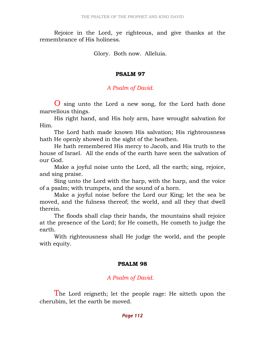Rejoice in the Lord, ye righteous, and give thanks at the remembrance of His holiness.

Glory. Both now. Alleluia.

#### PSALM 97

### A Psalm of David.

O sing unto the Lord a new song, for the Lord hath done marvellous things.

 His right hand, and His holy arm, have wrought salvation for Him.

 The Lord hath made known His salvation; His righteousness hath He openly showed in the sight of the heathen.

 He hath remembered His mercy to Jacob, and His truth to the house of Israel. All the ends of the earth have seen the salvation of our God.

 Make a joyful noise unto the Lord, all the earth; sing, rejoice, and sing praise.

 Sing unto the Lord with the harp, with the harp, and the voice of a psalm; with trumpets, and the sound of a horn.

 Make a joyful noise before the Lord our King; let the sea be moved, and the fulness thereof; the world, and all they that dwell therein.

 The floods shall clap their hands, the mountains shall rejoice at the presence of the Lord; for He cometh, He cometh to judge the earth.

 With righteousness shall He judge the world, and the people with equity.

### PSALM 98

## A Psalm of David.

The Lord reigneth; let the people rage: He sitteth upon the cherubim, let the earth be moved.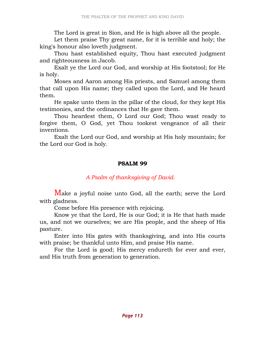The Lord is great in Sion, and He is high above all the people.

 Let them praise Thy great name, for it is terrible and holy; the king's honour also loveth judgment.

 Thou hast established equity, Thou hast executed judgment and righteousness in Jacob.

 Exalt ye the Lord our God, and worship at His footstool; for He is holy.

 Moses and Aaron among His priests, and Samuel among them that call upon His name; they called upon the Lord, and He heard them.

 He spake unto them in the pillar of the cloud, for they kept His testimonies, and the ordinances that He gave them.

 Thou heardest them, O Lord our God; Thou wast ready to forgive them, O God, yet Thou tookest vengeance of all their inventions.

 Exalt the Lord our God, and worship at His holy mountain; for the Lord our God is holy.

#### PSALM 99

## A Psalm of thanksgiving of David.

Make a joyful noise unto God, all the earth; serve the Lord with gladness.

Come before His presence with rejoicing.

 Know ye that the Lord, He is our God; it is He that hath made us, and not we ourselves; we are His people, and the sheep of His pasture.

 Enter into His gates with thanksgiving, and into His courts with praise; be thankful unto Him, and praise His name.

 For the Lord is good; His mercy endureth for ever and ever, and His truth from generation to generation.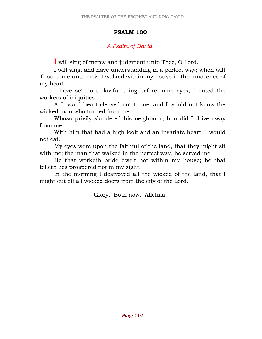#### PSALM 100

## A Psalm of David.

I will sing of mercy and judgment unto Thee, O Lord.

 I will sing, and have understanding in a perfect way; when wilt Thou come unto me? I walked within my house in the innocence of my heart.

 I have set no unlawful thing before mine eyes; I hated the workers of iniquities.

 A froward heart cleaved not to me, and I would not know the wicked man who turned from me.

 Whoso privily slandered his neighbour, him did I drive away from me.

 With him that had a high look and an insatiate heart, I would not eat.

 My eyes were upon the faithful of the land, that they might sit with me; the man that walked in the perfect way, he served me.

 He that worketh pride dwelt not within my house; he that telleth lies prospered not in my sight.

 In the morning I destroyed all the wicked of the land, that I might cut off all wicked doers from the city of the Lord.

Glory. Both now. Alleluia.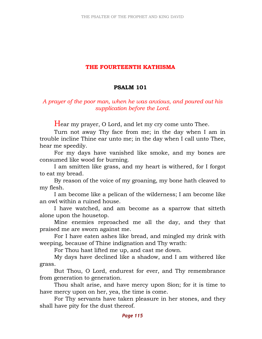### THE FOURTEENTH KATHISMA

### PSALM 101

## A prayer of the poor man, when he was anxious, and poured out his supplication before the Lord.

Hear my prayer, O Lord, and let my cry come unto Thee.

 Turn not away Thy face from me; in the day when I am in trouble incline Thine ear unto me; in the day when I call unto Thee, hear me speedily.

 For my days have vanished like smoke, and my bones are consumed like wood for burning.

 I am smitten like grass, and my heart is withered, for I forgot to eat my bread.

 By reason of the voice of my groaning, my bone hath cleaved to my flesh.

 I am become like a pelican of the wilderness; I am become like an owl within a ruined house.

 I have watched, and am become as a sparrow that sitteth alone upon the housetop.

 Mine enemies reproached me all the day, and they that praised me are sworn against me.

 For I have eaten ashes like bread, and mingled my drink with weeping, because of Thine indignation and Thy wrath:

For Thou hast lifted me up, and cast me down.

 My days have declined like a shadow, and I am withered like grass.

 But Thou, O Lord, endurest for ever, and Thy remembrance from generation to generation.

 Thou shalt arise, and have mercy upon Sion; for it is time to have mercy upon on her, yea, the time is come.

 For Thy servants have taken pleasure in her stones, and they shall have pity for the dust thereof.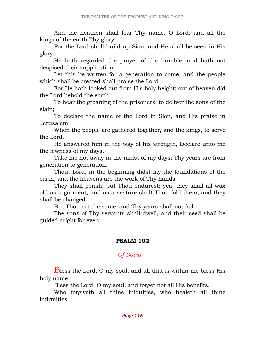And the heathen shall fear Thy name, O Lord, and all the kings of the earth Thy glory.

 For the Lord shall build up Sion, and He shall be seen in His glory.

 He hath regarded the prayer of the humble, and hath not despised their supplication.

 Let this be written for a generation to come, and the people which shall be created shall praise the Lord.

 For He hath looked out from His holy height; out of heaven did the Lord behold the earth,

 To hear the groaning of the prisoners; to deliver the sons of the slain;

 To declare the name of the Lord in Sion, and His praise in Jerusalem.

 When the people are gathered together, and the kings, to serve the Lord.

 He answered him in the way of his strength, Declare unto me the fewness of my days.

 Take me not away in the midst of my days; Thy years are from generation to generation.

 Thou, Lord, in the beginning didst lay the foundations of the earth, and the heavens are the work of Thy hands.

 They shall perish, but Thou endurest; yea, they shall all wax old as a garment, and as a vesture shalt Thou fold them, and they shall be changed.

But Thou art the same, and Thy years shall not fail.

 The sons of Thy servants shall dwell, and their seed shall be guided aright for ever.

## PSALM 102

# Of David.

Bless the Lord, O my soul, and all that is within me bless His holy name.

Bless the Lord, O my soul, and forget not all His benefits.

 Who forgiveth all thine iniquities, who healeth all thine infirmities.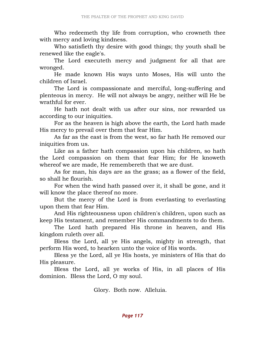Who redeemeth thy life from corruption, who crowneth thee with mercy and loving kindness.

 Who satisfieth thy desire with good things; thy youth shall be renewed like the eagle's.

 The Lord executeth mercy and judgment for all that are wronged.

 He made known His ways unto Moses, His will unto the children of Israel.

 The Lord is compassionate and merciful, long-suffering and plenteous in mercy. He will not always be angry, neither will He be wrathful for ever.

 He hath not dealt with us after our sins, nor rewarded us according to our iniquities.

 For as the heaven is high above the earth, the Lord hath made His mercy to prevail over them that fear Him.

 As far as the east is from the west, so far hath He removed our iniquities from us.

 Like as a father hath compassion upon his children, so hath the Lord compassion on them that fear Him; for He knoweth whereof we are made, He remembereth that we are dust.

 As for man, his days are as the grass; as a flower of the field, so shall he flourish.

 For when the wind hath passed over it, it shall be gone, and it will know the place thereof no more.

 But the mercy of the Lord is from everlasting to everlasting upon them that fear Him.

 And His righteousness upon children's children, upon such as keep His testament, and remember His commandments to do them.

 The Lord hath prepared His throne in heaven, and His kingdom ruleth over all.

 Bless the Lord, all ye His angels, mighty in strength, that perform His word, to hearken unto the voice of His words.

 Bless ye the Lord, all ye His hosts, ye ministers of His that do His pleasure.

 Bless the Lord, all ye works of His, in all places of His dominion. Bless the Lord, O my soul.

Glory. Both now. Alleluia.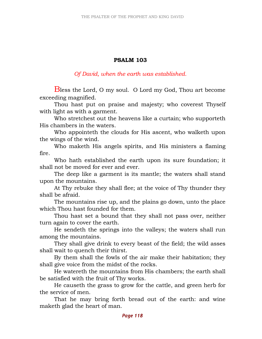### PSALM 103

Of David, when the earth was established.

Bless the Lord, O my soul. O Lord my God, Thou art become exceeding magnified.

 Thou hast put on praise and majesty; who coverest Thyself with light as with a garment.

 Who stretchest out the heavens like a curtain; who supporteth His chambers in the waters.

 Who appointeth the clouds for His ascent, who walketh upon the wings of the wind.

 Who maketh His angels spirits, and His ministers a flaming fire.

 Who hath established the earth upon its sure foundation; it shall not be moved for ever and ever.

 The deep like a garment is its mantle; the waters shall stand upon the mountains.

 At Thy rebuke they shall flee; at the voice of Thy thunder they shall be afraid.

 The mountains rise up, and the plains go down, unto the place which Thou hast founded for them.

 Thou hast set a bound that they shall not pass over, neither turn again to cover the earth.

 He sendeth the springs into the valleys; the waters shall run among the mountains.

 They shall give drink to every beast of the field; the wild asses shall wait to quench their thirst.

 By them shall the fowls of the air make their habitation; they shall give voice from the midst of the rocks.

 He watereth the mountains from His chambers; the earth shall be satisfied with the fruit of Thy works.

 He causeth the grass to grow for the cattle, and green herb for the service of men.

 That he may bring forth bread out of the earth: and wine maketh glad the heart of man.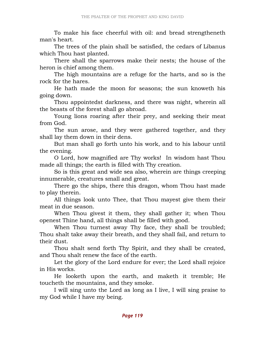To make his face cheerful with oil: and bread strengtheneth man's heart.

 The trees of the plain shall be satisfied, the cedars of Libanus which Thou hast planted.

 There shall the sparrows make their nests; the house of the heron is chief among them.

 The high mountains are a refuge for the harts, and so is the rock for the hares.

 He hath made the moon for seasons; the sun knoweth his going down.

 Thou appointedst darkness, and there was night, wherein all the beasts of the forest shall go abroad.

 Young lions roaring after their prey, and seeking their meat from God.

 The sun arose, and they were gathered together, and they shall lay them down in their dens.

 But man shall go forth unto his work, and to his labour until the evening.

 O Lord, how magnified are Thy works! In wisdom hast Thou made all things; the earth is filled with Thy creation.

 So is this great and wide sea also, wherein are things creeping innumerable, creatures small and great.

 There go the ships, there this dragon, whom Thou hast made to play therein.

 All things look unto Thee, that Thou mayest give them their meat in due season.

 When Thou givest it them, they shall gather it; when Thou openest Thine hand, all things shall be filled with good.

 When Thou turnest away Thy face, they shall be troubled; Thou shalt take away their breath, and they shall fail, and return to their dust.

 Thou shalt send forth Thy Spirit, and they shall be created, and Thou shalt renew the face of the earth.

 Let the glory of the Lord endure for ever; the Lord shall rejoice in His works.

 He looketh upon the earth, and maketh it tremble; He toucheth the mountains, and they smoke.

 I will sing unto the Lord as long as I live, I will sing praise to my God while I have my being.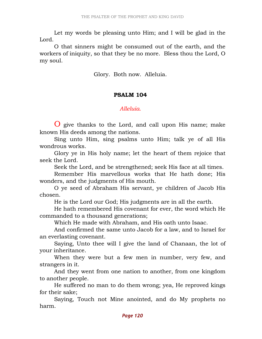Let my words be pleasing unto Him; and I will be glad in the Lord.

 O that sinners might be consumed out of the earth, and the workers of iniquity, so that they be no more. Bless thou the Lord, O my soul.

Glory. Both now. Alleluia.

#### PSALM 104

#### Alleluia.

O give thanks to the Lord, and call upon His name; make known His deeds among the nations.

 Sing unto Him, sing psalms unto Him; talk ye of all His wondrous works.

 Glory ye in His holy name; let the heart of them rejoice that seek the Lord.

Seek the Lord, and be strengthened; seek His face at all times.

 Remember His marvellous works that He hath done; His wonders, and the judgments of His mouth.

 O ye seed of Abraham His servant, ye children of Jacob His chosen.

He is the Lord our God; His judgments are in all the earth.

 He hath remembered His covenant for ever, the word which He commanded to a thousand generations;

Which He made with Abraham, and His oath unto Isaac.

 And confirmed the same unto Jacob for a law, and to Israel for an everlasting covenant.

 Saying, Unto thee will I give the land of Chanaan, the lot of your inheritance.

 When they were but a few men in number, very few, and strangers in it.

 And they went from one nation to another, from one kingdom to another people.

 He suffered no man to do them wrong; yea, He reproved kings for their sake;

 Saying, Touch not Mine anointed, and do My prophets no harm.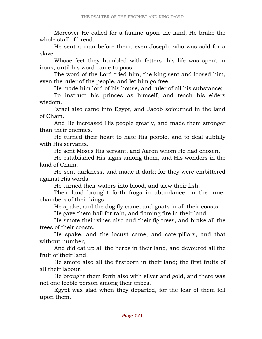Moreover He called for a famine upon the land; He brake the whole staff of bread.

 He sent a man before them, even Joseph, who was sold for a slave.

 Whose feet they humbled with fetters; his life was spent in irons, until his word came to pass.

 The word of the Lord tried him, the king sent and loosed him, even the ruler of the people, and let him go free.

He made him lord of his house, and ruler of all his substance;

 To instruct his princes as himself, and teach his elders wisdom.

 Israel also came into Egypt, and Jacob sojourned in the land of Cham.

 And He increased His people greatly, and made them stronger than their enemies.

 He turned their heart to hate His people, and to deal subtilly with His servants.

He sent Moses His servant, and Aaron whom He had chosen.

 He established His signs among them, and His wonders in the land of Cham.

 He sent darkness, and made it dark; for they were embittered against His words.

He turned their waters into blood, and slew their fish.

 Their land brought forth frogs in abundance, in the inner chambers of their kings.

He spake, and the dog fly came, and gnats in all their coasts.

He gave them hail for rain, and flaming fire in their land.

 He smote their vines also and their fig trees, and brake all the trees of their coasts.

 He spake, and the locust came, and caterpillars, and that without number,

 And did eat up all the herbs in their land, and devoured all the fruit of their land.

 He smote also all the firstborn in their land; the first fruits of all their labour.

 He brought them forth also with silver and gold, and there was not one feeble person among their tribes.

 Egypt was glad when they departed, for the fear of them fell upon them.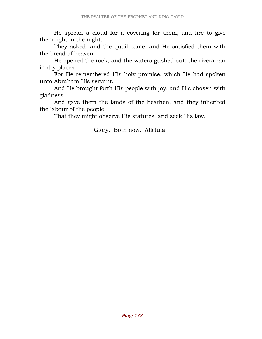He spread a cloud for a covering for them, and fire to give them light in the night.

 They asked, and the quail came; and He satisfied them with the bread of heaven.

 He opened the rock, and the waters gushed out; the rivers ran in dry places.

 For He remembered His holy promise, which He had spoken unto Abraham His servant.

 And He brought forth His people with joy, and His chosen with gladness.

 And gave them the lands of the heathen, and they inherited the labour of the people.

That they might observe His statutes, and seek His law.

Glory. Both now. Alleluia.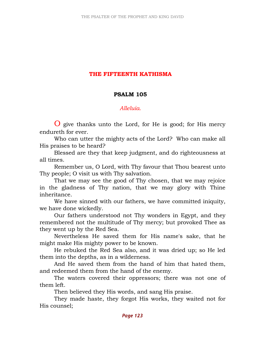## THE FIFTEENTH KATHISMA

#### PSALM 105

### Alleluia.

O give thanks unto the Lord, for He is good; for His mercy endureth for ever.

 Who can utter the mighty acts of the Lord? Who can make all His praises to be heard?

 Blessed are they that keep judgment, and do righteousness at all times.

 Remember us, O Lord, with Thy favour that Thou bearest unto Thy people; O visit us with Thy salvation.

 That we may see the good of Thy chosen, that we may rejoice in the gladness of Thy nation, that we may glory with Thine inheritance.

 We have sinned with our fathers, we have committed iniquity, we have done wickedly.

 Our fathers understood not Thy wonders in Egypt, and they remembered not the multitude of Thy mercy; but provoked Thee as they went up by the Red Sea.

 Nevertheless He saved them for His name's sake, that he might make His mighty power to be known.

 He rebuked the Red Sea also, and it was dried up; so He led them into the depths, as in a wilderness.

 And He saved them from the hand of him that hated them, and redeemed them from the hand of the enemy.

 The waters covered their oppressors; there was not one of them left.

Then believed they His words, and sang His praise.

 They made haste, they forgot His works, they waited not for His counsel;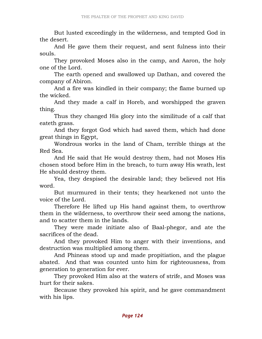But lusted exceedingly in the wilderness, and tempted God in the desert.

 And He gave them their request, and sent fulness into their souls.

 They provoked Moses also in the camp, and Aaron, the holy one of the Lord.

 The earth opened and swallowed up Dathan, and covered the company of Abiron.

 And a fire was kindled in their company; the flame burned up the wicked.

 And they made a calf in Horeb, and worshipped the graven thing.

 Thus they changed His glory into the similitude of a calf that eateth grass.

 And they forgot God which had saved them, which had done great things in Egypt,

 Wondrous works in the land of Cham, terrible things at the Red Sea.

 And He said that He would destroy them, had not Moses His chosen stood before Him in the breach, to turn away His wrath, lest He should destroy them.

 Yea, they despised the desirable land; they believed not His word.

 But murmured in their tents; they hearkened not unto the voice of the Lord.

 Therefore He lifted up His hand against them, to overthrow them in the wilderness, to overthrow their seed among the nations, and to scatter them in the lands.

 They were made initiate also of Baal-phegor, and ate the sacrifices of the dead.

 And they provoked Him to anger with their inventions, and destruction was multiplied among them.

 And Phineas stood up and made propitiation, and the plague abated. And that was counted unto him for righteousness, from generation to generation for ever.

 They provoked Him also at the waters of strife, and Moses was hurt for their sakes.

 Because they provoked his spirit, and he gave commandment with his lips.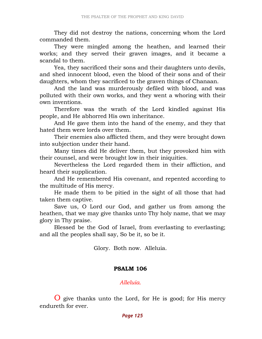They did not destroy the nations, concerning whom the Lord commanded them.

 They were mingled among the heathen, and learned their works; and they served their graven images, and it became a scandal to them.

 Yea, they sacrificed their sons and their daughters unto devils, and shed innocent blood, even the blood of their sons and of their daughters, whom they sacrificed to the graven things of Chanaan.

 And the land was murderously defiled with blood, and was polluted with their own works, and they went a whoring with their own inventions.

 Therefore was the wrath of the Lord kindled against His people, and He abhorred His own inheritance.

 And He gave them into the hand of the enemy, and they that hated them were lords over them.

 Their enemies also afflicted them, and they were brought down into subjection under their hand.

 Many times did He deliver them, but they provoked him with their counsel, and were brought low in their iniquities.

 Nevertheless the Lord regarded them in their affliction, and heard their supplication.

 And He remembered His covenant, and repented according to the multitude of His mercy.

 He made them to be pitied in the sight of all those that had taken them captive.

 Save us, O Lord our God, and gather us from among the heathen, that we may give thanks unto Thy holy name, that we may glory in Thy praise.

 Blessed be the God of Israel, from everlasting to everlasting; and all the peoples shall say, So be it, so be it.

Glory. Both now. Alleluia.

### PSALM 106

Alleluia.

O give thanks unto the Lord, for He is good; for His mercy endureth for ever.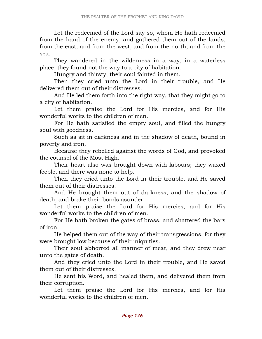Let the redeemed of the Lord say so, whom He hath redeemed from the hand of the enemy, and gathered them out of the lands; from the east, and from the west, and from the north, and from the sea.

 They wandered in the wilderness in a way, in a waterless place; they found not the way to a city of habitation.

Hungry and thirsty, their soul fainted in them.

 Then they cried unto the Lord in their trouble, and He delivered them out of their distresses.

 And He led them forth into the right way, that they might go to a city of habitation.

 Let them praise the Lord for His mercies, and for His wonderful works to the children of men.

 For He hath satisfied the empty soul, and filled the hungry soul with goodness.

 Such as sit in darkness and in the shadow of death, bound in poverty and iron,

 Because they rebelled against the words of God, and provoked the counsel of the Most High.

 Their heart also was brought down with labours; they waxed feeble, and there was none to help.

 Then they cried unto the Lord in their trouble, and He saved them out of their distresses.

 And He brought them out of darkness, and the shadow of death; and brake their bonds asunder.

 Let them praise the Lord for His mercies, and for His wonderful works to the children of men.

 For He hath broken the gates of brass, and shattered the bars of iron.

 He helped them out of the way of their transgressions, for they were brought low because of their iniquities.

 Their soul abhorred all manner of meat, and they drew near unto the gates of death.

 And they cried unto the Lord in their trouble, and He saved them out of their distresses.

 He sent his Word, and healed them, and delivered them from their corruption.

 Let them praise the Lord for His mercies, and for His wonderful works to the children of men.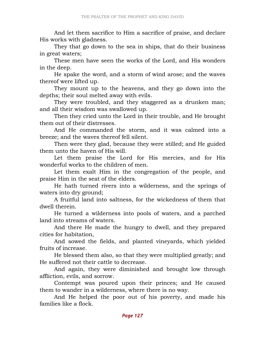And let them sacrifice to Him a sacrifice of praise, and declare His works with gladness.

 They that go down to the sea in ships, that do their business in great waters;

 These men have seen the works of the Lord, and His wonders in the deep.

 He spake the word, and a storm of wind arose; and the waves thereof were lifted up.

 They mount up to the heavens, and they go down into the depths; their soul melted away with evils.

 They were troubled, and they staggered as a drunken man; and all their wisdom was swallowed up.

 Then they cried unto the Lord in their trouble, and He brought them out of their distresses.

 And He commanded the storm, and it was calmed into a breeze; and the waves thereof fell silent.

 Then were they glad, because they were stilled; and He guided them unto the haven of His will.

 Let them praise the Lord for His mercies, and for His wonderful works to the children of men.

 Let them exalt Him in the congregation of the people, and praise Him in the seat of the elders.

 He hath turned rivers into a wilderness, and the springs of waters into dry ground;

 A fruitful land into saltness, for the wickedness of them that dwell therein.

 He turned a wilderness into pools of waters, and a parched land into streams of waters.

 And there He made the hungry to dwell, and they prepared cities for habitation,

 And sowed the fields, and planted vineyards, which yielded fruits of increase.

 He blessed them also, so that they were multiplied greatly; and He suffered not their cattle to decrease.

 And again, they were diminished and brought low through affliction, evils, and sorrow.

 Contempt was poured upon their princes; and He caused them to wander in a wilderness, where there is no way.

 And He helped the poor out of his poverty, and made his families like a flock.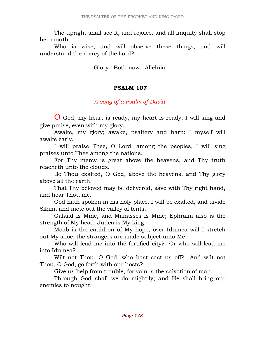The upright shall see it, and rejoice, and all iniquity shall stop her mouth.

 Who is wise, and will observe these things, and will understand the mercy of the Lord?

Glory. Both now. Alleluia.

### PSALM 107

### A song of a Psalm of David.

O God, my heart is ready, my heart is ready; I will sing and give praise, even with my glory.

 Awake, my glory; awake, psaltery and harp: I myself will awake early.

 I will praise Thee, O Lord, among the peoples, I will sing praises unto Thee among the nations.

 For Thy mercy is great above the heavens, and Thy truth reacheth unto the clouds.

 Be Thou exalted, O God, above the heavens, and Thy glory above all the earth.

 That Thy beloved may be delivered, save with Thy right hand, and hear Thou me.

 God hath spoken in his holy place, I will be exalted, and divide Sikim, and mete out the valley of tents.

 Galaad is Mine, and Manasses is Mine; Ephraim also is the strength of My head, Judea is My king.

 Moab is the cauldron of My hope, over Idumea will I stretch out My shoe; the strangers are made subject unto Me.

 Who will lead me into the fortified city? Or who will lead me into Idumea?

 Wilt not Thou, O God, who hast cast us off? And wilt not Thou, O God, go forth with our hosts?

Give us help from trouble, for vain is the salvation of man.

 Through God shall we do mightily; and He shall bring our enemies to nought.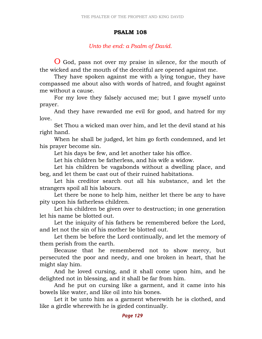#### PSALM 108

### Unto the end: a Psalm of David.

O God, pass not over my praise in silence, for the mouth of the wicked and the mouth of the deceitful are opened against me.

 They have spoken against me with a lying tongue, they have compassed me about also with words of hatred, and fought against me without a cause.

 For my love they falsely accused me; but I gave myself unto prayer.

 And they have rewarded me evil for good, and hatred for my love.

 Set Thou a wicked man over him, and let the devil stand at his right hand.

 When he shall be judged, let him go forth condemned, and let his prayer become sin.

Let his days be few, and let another take his office.

Let his children be fatherless, and his wife a widow.

 Let his children be vagabonds without a dwelling place, and beg, and let them be cast out of their ruined habitations.

 Let his creditor search out all his substance, and let the strangers spoil all his labours.

Let there be none to help him, neither let there be any to have pity upon his fatherless children.

 Let his children be given over to destruction; in one generation let his name be blotted out.

 Let the iniquity of his fathers be remembered before the Lord, and let not the sin of his mother be blotted out.

 Let them be before the Lord continually, and let the memory of them perish from the earth.

 Because that he remembered not to show mercy, but persecuted the poor and needy, and one broken in heart, that he might slay him.

 And he loved cursing, and it shall come upon him, and he delighted not in blessing, and it shall be far from him.

 And he put on cursing like a garment, and it came into his bowels like water, and like oil into his bones.

 Let it be unto him as a garment wherewith he is clothed, and like a girdle wherewith he is girded continually.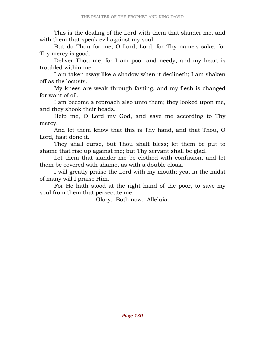This is the dealing of the Lord with them that slander me, and with them that speak evil against my soul.

 But do Thou for me, O Lord, Lord, for Thy name's sake, for Thy mercy is good.

 Deliver Thou me, for I am poor and needy, and my heart is troubled within me.

 I am taken away like a shadow when it declineth; I am shaken off as the locusts.

 My knees are weak through fasting, and my flesh is changed for want of oil.

 I am become a reproach also unto them; they looked upon me, and they shook their heads.

 Help me, O Lord my God, and save me according to Thy mercy.

 And let them know that this is Thy hand, and that Thou, O Lord, hast done it.

 They shall curse, but Thou shalt bless; let them be put to shame that rise up against me; but Thy servant shall be glad.

 Let them that slander me be clothed with confusion, and let them be covered with shame, as with a double cloak.

 I will greatly praise the Lord with my mouth; yea, in the midst of many will I praise Him.

 For He hath stood at the right hand of the poor, to save my soul from them that persecute me.

Glory. Both now. Alleluia.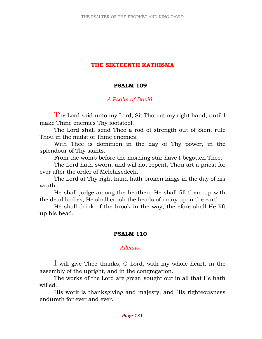### THE SIXTEENTH KATHISMA

### PSALM 109

### A Psalm of David.

The Lord said unto my Lord, Sit Thou at my right hand, until I make Thine enemies Thy footstool.

 The Lord shall send Thee a rod of strength out of Sion; rule Thou in the midst of Thine enemies.

 With Thee is dominion in the day of Thy power, in the splendour of Thy saints.

From the womb before the morning star have I begotten Thee.

 The Lord hath sworn, and will not repent, Thou art a priest for ever after the order of Melchisedech.

 The Lord at Thy right hand hath broken kings in the day of his wrath.

 He shall judge among the heathen, He shall fill them up with the dead bodies; He shall crush the heads of many upon the earth.

 He shall drink of the brook in the way; therefore shall He lift up his head.

### PSALM 110

### Alleluia.

I will give Thee thanks, O Lord, with my whole heart, in the assembly of the upright, and in the congregation.

 The works of the Lord are great, sought out in all that He hath willed.

 His work is thanksgiving and majesty, and His righteousness endureth for ever and ever.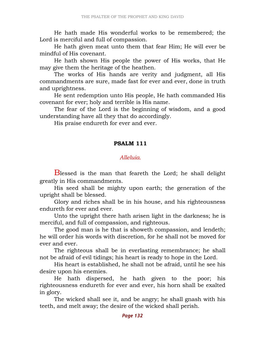He hath made His wonderful works to be remembered; the Lord is merciful and full of compassion.

 He hath given meat unto them that fear Him; He will ever be mindful of His covenant.

 He hath shown His people the power of His works, that He may give them the heritage of the heathen.

 The works of His hands are verity and judgment, all His commandments are sure, made fast for ever and ever, done in truth and uprightness.

 He sent redemption unto His people, He hath commanded His covenant for ever; holy and terrible is His name.

 The fear of the Lord is the beginning of wisdom, and a good understanding have all they that do accordingly.

His praise endureth for ever and ever.

#### PSALM 111

#### Allehuia

Blessed is the man that feareth the Lord; he shall delight greatly in His commandments.

 His seed shall be mighty upon earth; the generation of the upright shall be blessed.

 Glory and riches shall be in his house, and his righteousness endureth for ever and ever.

 Unto the upright there hath arisen light in the darkness; he is merciful, and full of compassion, and righteous.

 The good man is he that is showeth compassion, and lendeth; he will order his words with discretion, for he shall not be moved for ever and ever.

 The righteous shall be in everlasting remembrance; he shall not be afraid of evil tidings; his heart is ready to hope in the Lord.

 His heart is established, he shall not be afraid, until he see his desire upon his enemies.

 He hath dispersed, he hath given to the poor; his righteousness endureth for ever and ever, his horn shall be exalted in glory.

 The wicked shall see it, and be angry; he shall gnash with his teeth, and melt away; the desire of the wicked shall perish.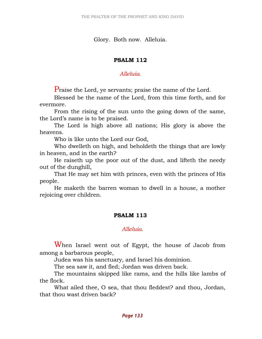Glory. Both now. Alleluia.

## PSALM 112

## Allehuia

Praise the Lord, ye servants; praise the name of the Lord.

 Blessed be the name of the Lord, from this time forth, and for evermore.

 From the rising of the sun unto the going down of the same, the Lord's name is to be praised.

 The Lord is high above all nations; His glory is above the heavens.

Who is like unto the Lord our God,

 Who dwelleth on high, and beholdeth the things that are lowly in heaven, and in the earth?

 He raiseth up the poor out of the dust, and lifteth the needy out of the dunghill,

 That He may set him with princes, even with the princes of His people.

 He maketh the barren woman to dwell in a house, a mother rejoicing over children.

# PSALM 113

## Alleluia.

When Israel went out of Egypt, the house of Jacob from among a barbarous people,

Judea was his sanctuary, and Israel his dominion.

The sea saw it, and fled; Jordan was driven back.

 The mountains skipped like rams, and the hills like lambs of the flock.

 What ailed thee, O sea, that thou fleddest? and thou, Jordan, that thou wast driven back?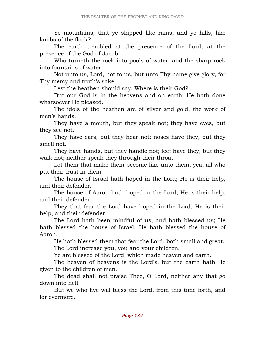Ye mountains, that ye skipped like rams, and ye hills, like lambs of the flock?

 The earth trembled at the presence of the Lord, at the presence of the God of Jacob.

 Who turneth the rock into pools of water, and the sharp rock into fountains of water.

 Not unto us, Lord, not to us, but unto Thy name give glory, for Thy mercy and truth's sake.

Lest the heathen should say, Where is their God?

 But our God is in the heavens and on earth; He hath done whatsoever He pleased.

 The idols of the heathen are of silver and gold, the work of men's hands.

 They have a mouth, but they speak not; they have eyes, but they see not.

 They have ears, but they hear not; noses have they, but they smell not.

 They have hands, but they handle not; feet have they, but they walk not; neither speak they through their throat.

 Let them that make them become like unto them, yea, all who put their trust in them.

 The house of Israel hath hoped in the Lord; He is their help, and their defender.

 The house of Aaron hath hoped in the Lord; He is their help, and their defender.

 They that fear the Lord have hoped in the Lord; He is their help, and their defender.

 The Lord hath been mindful of us, and hath blessed us; He hath blessed the house of Israel, He hath blessed the house of Aaron.

 He hath blessed them that fear the Lord, both small and great. The Lord increase you, you and your children.

Ye are blessed of the Lord, which made heaven and earth.

 The heaven of heavens is the Lord's, but the earth hath He given to the children of men.

 The dead shall not praise Thee, O Lord, neither any that go down into hell.

 But we who live will bless the Lord, from this time forth, and for evermore.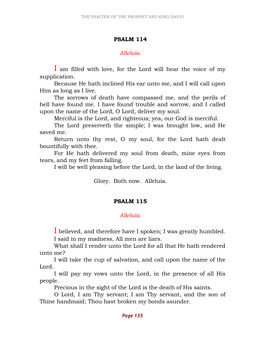## PSALM 114

## Alleluia.

I am filled with love, for the Lord will hear the voice of my supplication.

 Because He hath inclined His ear unto me, and I will call upon Him as long as I live.

 The sorrows of death have compassed me, and the perils of hell have found me. I have found trouble and sorrow, and I called upon the name of the Lord, O Lord, deliver my soul.

Merciful is the Lord, and righteous; yea, our God is merciful.

 The Lord preserveth the simple; I was brought low, and He saved me.

 Return unto thy rest, O my soul, for the Lord hath dealt bountifully with thee.

 For He hath delivered my soul from death, mine eyes from tears, and my feet from falling.

I will be well pleasing before the Lord, in the land of the living.

Glory. Both now. Alleluia.

## PSALM 115

# Alleluia.

I believed, and therefore have I spoken; I was greatly humbled. I said in my madness, All men are liars.

 What shall I render unto the Lord for all that He hath rendered unto me?

 I will take the cup of salvation, and call upon the name of the Lord.

 I will pay my vows unto the Lord, in the presence of all His people.

Precious in the sight of the Lord is the death of His saints.

 O Lord, I am Thy servant; I am Thy servant, and the son of Thine handmaid; Thou hast broken my bonds asunder.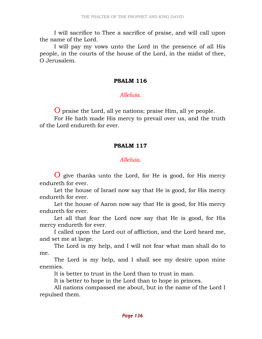I will sacrifice to Thee a sacrifice of praise, and will call upon the name of the Lord.

 I will pay my vows unto the Lord in the presence of all His people, in the courts of the house of the Lord, in the midst of thee, O Jerusalem.

#### PSALM 116

### Alleluia.

O praise the Lord, all ye nations; praise Him, all ye people.

 For He hath made His mercy to prevail over us, and the truth of the Lord endureth for ever.

### PSALM 117

## Allehuia

O give thanks unto the Lord, for He is good, for His mercy endureth for ever.

 Let the house of Israel now say that He is good, for His mercy endureth for ever.

 Let the house of Aaron now say that He is good, for His mercy endureth for ever.

 Let all that fear the Lord now say that He is good, for His mercy endureth for ever.

 I called upon the Lord out of affliction, and the Lord heard me, and set me at large.

 The Lord is my help, and I will not fear what man shall do to me.

 The Lord is my help, and I shall see my desire upon mine enemies.

It is better to trust in the Lord than to trust in man.

It is better to hope in the Lord than to hope in princes.

 All nations compassed me about, but in the name of the Lord I repulsed them.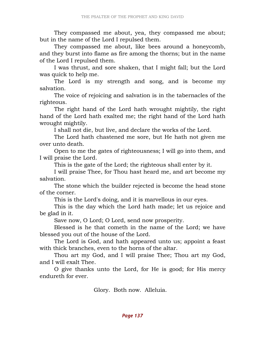They compassed me about, yea, they compassed me about; but in the name of the Lord I repulsed them.

 They compassed me about, like bees around a honeycomb, and they burst into flame as fire among the thorns; but in the name of the Lord I repulsed them.

 I was thrust, and sore shaken, that I might fall; but the Lord was quick to help me.

 The Lord is my strength and song, and is become my salvation.

 The voice of rejoicing and salvation is in the tabernacles of the righteous.

 The right hand of the Lord hath wrought mightily, the right hand of the Lord hath exalted me; the right hand of the Lord hath wrought mightily.

I shall not die, but live, and declare the works of the Lord.

 The Lord hath chastened me sore, but He hath not given me over unto death.

 Open to me the gates of righteousness; I will go into them, and I will praise the Lord.

This is the gate of the Lord; the righteous shall enter by it.

 I will praise Thee, for Thou hast heard me, and art become my salvation.

 The stone which the builder rejected is become the head stone of the corner.

This is the Lord's doing, and it is marvellous in our eyes.

 This is the day which the Lord hath made; let us rejoice and be glad in it.

Save now, O Lord; O Lord, send now prosperity.

 Blessed is he that cometh in the name of the Lord; we have blessed you out of the house of the Lord.

 The Lord is God, and hath appeared unto us; appoint a feast with thick branches, even to the horns of the altar.

 Thou art my God, and I will praise Thee; Thou art my God, and I will exalt Thee.

 O give thanks unto the Lord, for He is good; for His mercy endureth for ever.

Glory. Both now. Alleluia.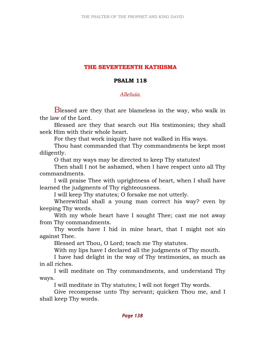## THE SEVENTEENTH KATHISMA

### PSALM 118

### Alleluia.

**B** blessed are they that are blameless in the way, who walk in the law of the Lord.

 Blessed are they that search out His testimonies; they shall seek Him with their whole heart.

For they that work iniquity have not walked in His ways.

 Thou hast commanded that Thy commandments be kept most diligently.

O that my ways may be directed to keep Thy statutes!

 Then shall I not be ashamed, when I have respect unto all Thy commandments.

 I will praise Thee with uprightness of heart, when I shall have learned the judgments of Thy righteousness.

I will keep Thy statutes; O forsake me not utterly.

 Wherewithal shall a young man correct his way? even by keeping Thy words.

 With my whole heart have I sought Thee; cast me not away from Thy commandments.

 Thy words have I hid in mine heart, that I might not sin against Thee.

Blessed art Thou, O Lord; teach me Thy statutes.

With my lips have I declared all the judgments of Thy mouth.

 I have had delight in the way of Thy testimonies, as much as in all riches.

 I will meditate on Thy commandments, and understand Thy ways.

I will meditate in Thy statutes; I will not forget Thy words.

 Give recompense unto Thy servant; quicken Thou me, and I shall keep Thy words.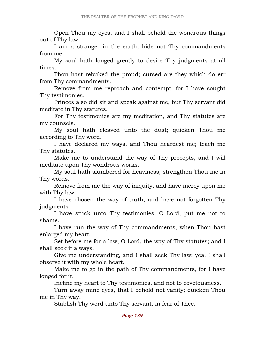Open Thou my eyes, and I shall behold the wondrous things out of Thy law.

 I am a stranger in the earth; hide not Thy commandments from me.

 My soul hath longed greatly to desire Thy judgments at all times.

 Thou hast rebuked the proud; cursed are they which do err from Thy commandments.

 Remove from me reproach and contempt, for I have sought Thy testimonies.

 Princes also did sit and speak against me, but Thy servant did meditate in Thy statutes.

 For Thy testimonies are my meditation, and Thy statutes are my counsels.

 My soul hath cleaved unto the dust; quicken Thou me according to Thy word.

 I have declared my ways, and Thou heardest me; teach me Thy statutes.

 Make me to understand the way of Thy precepts, and I will meditate upon Thy wondrous works.

 My soul hath slumbered for heaviness; strengthen Thou me in Thy words.

 Remove from me the way of iniquity, and have mercy upon me with Thy law.

 I have chosen the way of truth, and have not forgotten Thy judgments.

 I have stuck unto Thy testimonies; O Lord, put me not to shame.

 I have run the way of Thy commandments, when Thou hast enlarged my heart.

 Set before me for a law, O Lord, the way of Thy statutes; and I shall seek it always.

 Give me understanding, and I shall seek Thy law; yea, I shall observe it with my whole heart.

 Make me to go in the path of Thy commandments, for I have longed for it.

Incline my heart to Thy testimonies, and not to covetousness.

 Turn away mine eyes, that I behold not vanity; quicken Thou me in Thy way.

Stablish Thy word unto Thy servant, in fear of Thee.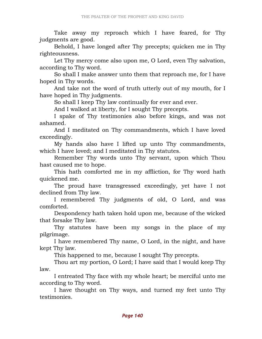Take away my reproach which I have feared, for Thy judgments are good.

 Behold, I have longed after Thy precepts; quicken me in Thy righteousness.

 Let Thy mercy come also upon me, O Lord, even Thy salvation, according to Thy word.

 So shall I make answer unto them that reproach me, for I have hoped in Thy words.

 And take not the word of truth utterly out of my mouth, for I have hoped in Thy judgments.

So shall I keep Thy law continually for ever and ever.

And I walked at liberty, for I sought Thy precepts.

 I spake of Thy testimonies also before kings, and was not ashamed.

 And I meditated on Thy commandments, which I have loved exceedingly.

 My hands also have I lifted up unto Thy commandments, which I have loved; and I meditated in Thy statutes.

 Remember Thy words unto Thy servant, upon which Thou hast caused me to hope.

 This hath comforted me in my affliction, for Thy word hath quickened me.

 The proud have transgressed exceedingly, yet have I not declined from Thy law.

 I remembered Thy judgments of old, O Lord, and was comforted.

 Despondency hath taken hold upon me, because of the wicked that forsake Thy law.

 Thy statutes have been my songs in the place of my pilgrimage.

 I have remembered Thy name, O Lord, in the night, and have kept Thy law.

This happened to me, because I sought Thy precepts.

 Thou art my portion, O Lord; I have said that I would keep Thy law.

 I entreated Thy face with my whole heart; be merciful unto me according to Thy word.

 I have thought on Thy ways, and turned my feet unto Thy testimonies.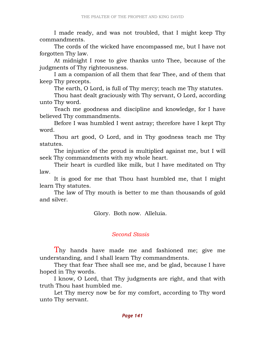I made ready, and was not troubled, that I might keep Thy commandments.

 The cords of the wicked have encompassed me, but I have not forgotten Thy law.

 At midnight I rose to give thanks unto Thee, because of the judgments of Thy righteousness.

 I am a companion of all them that fear Thee, and of them that keep Thy precepts.

The earth, O Lord, is full of Thy mercy; teach me Thy statutes.

 Thou hast dealt graciously with Thy servant, O Lord, according unto Thy word.

 Teach me goodness and discipline and knowledge, for I have believed Thy commandments.

 Before I was humbled I went astray; therefore have I kept Thy word.

 Thou art good, O Lord, and in Thy goodness teach me Thy statutes.

 The injustice of the proud is multiplied against me, but I will seek Thy commandments with my whole heart.

 Their heart is curdled like milk, but I have meditated on Thy law.

 It is good for me that Thou hast humbled me, that I might learn Thy statutes.

 The law of Thy mouth is better to me than thousands of gold and silver.

Glory. Both now. Alleluia.

#### Second Stasis

Thy hands have made me and fashioned me; give me understanding, and I shall learn Thy commandments.

 They that fear Thee shall see me, and be glad, because I have hoped in Thy words.

 I know, O Lord, that Thy judgments are right, and that with truth Thou hast humbled me.

 Let Thy mercy now be for my comfort, according to Thy word unto Thy servant.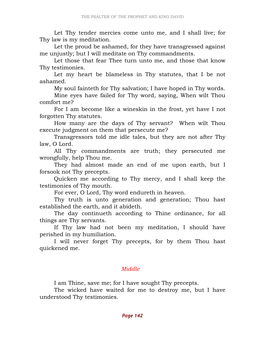Let Thy tender mercies come unto me, and I shall live; for Thy law is my meditation.

 Let the proud be ashamed, for they have transgressed against me unjustly; but I will meditate on Thy commandments.

 Let those that fear Thee turn unto me, and those that know Thy testimonies.

 Let my heart be blameless in Thy statutes, that I be not ashamed.

My soul fainteth for Thy salvation; I have hoped in Thy words.

 Mine eyes have failed for Thy word, saying, When wilt Thou comfort me?

 For I am become like a wineskin in the frost, yet have I not forgotten Thy statutes.

 How many are the days of Thy servant? When wilt Thou execute judgment on them that persecute me?

 Transgressors told me idle tales, but they are not after Thy law, O Lord.

 All Thy commandments are truth; they persecuted me wrongfully, help Thou me.

 They had almost made an end of me upon earth, but I forsook not Thy precepts.

 Quicken me according to Thy mercy, and I shall keep the testimonies of Thy mouth.

For ever, O Lord, Thy word endureth in heaven.

 Thy truth is unto generation and generation; Thou hast established the earth, and it abideth.

 The day continueth according to Thine ordinance, for all things are Thy servants.

 If Thy law had not been my meditation, I should have perished in my humiliation.

 I will never forget Thy precepts, for by them Thou hast quickened me.

### Middle

I am Thine, save me; for I have sought Thy precepts.

 The wicked have waited for me to destroy me, but I have understood Thy testimonies.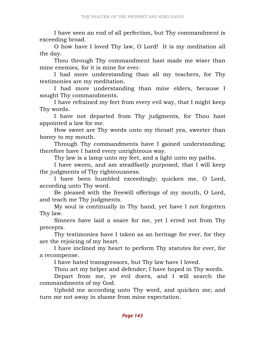I have seen an end of all perfection, but Thy commandment is exceeding broad.

 O how have I loved Thy law, O Lord! It is my meditation all the day.

 Thou through Thy commandment hast made me wiser than mine enemies, for it is mine for ever.

 I had more understanding than all my teachers, for Thy testimonies are my meditation.

 I had more understanding than mine elders, because I sought Thy commandments.

 I have refrained my feet from every evil way, that I might keep Thy words.

 I have not departed from Thy judgments, for Thou hast appointed a law for me.

 How sweet are Thy words unto my throat! yea, sweeter than honey to my mouth.

 Through Thy commandments have I gained understanding; therefore have I hated every unrighteous way.

Thy law is a lamp unto my feet, and a light unto my paths.

 I have sworn, and am steadfastly purposed, that I will keep the judgments of Thy righteousness.

 I have been humbled exceedingly; quicken me, O Lord, according unto Thy word.

 Be pleased with the freewill offerings of my mouth, O Lord, and teach me Thy judgments.

 My soul is continually in Thy hand, yet have I not forgotten Thy law.

 Sinners have laid a snare for me, yet I erred not from Thy precepts.

 Thy testimonies have I taken as an heritage for ever, for they are the rejoicing of my heart.

 I have inclined my heart to perform Thy statutes for ever, for a recompense.

I have hated transgressors, but Thy law have I loved.

Thou art my helper and defender; I have hoped in Thy words.

 Depart from me, ye evil doers, and I will search the commandments of my God.

 Uphold me according unto Thy word, and quicken me; and turn me not away in shame from mine expectation.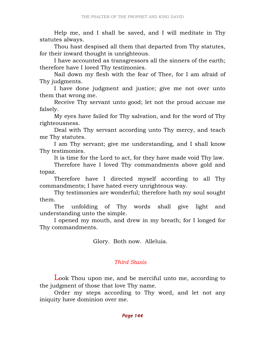Help me, and I shall be saved, and I will meditate in Thy statutes always.

 Thou hast despised all them that departed from Thy statutes, for their inward thought is unrighteous.

 I have accounted as transgressors all the sinners of the earth; therefore have I loved Thy testimonies.

 Nail down my flesh with the fear of Thee, for I am afraid of Thy judgments.

 I have done judgment and justice; give me not over unto them that wrong me.

 Receive Thy servant unto good; let not the proud accuse me falsely.

 My eyes have failed for Thy salvation, and for the word of Thy righteousness.

 Deal with Thy servant according unto Thy mercy, and teach me Thy statutes.

 I am Thy servant; give me understanding, and I shall know Thy testimonies.

It is time for the Lord to act, for they have made void Thy law.

 Therefore have I loved Thy commandments above gold and topaz.

 Therefore have I directed myself according to all Thy commandments; I have hated every unrighteous way.

 Thy testimonies are wonderful; therefore hath my soul sought them.

 The unfolding of Thy words shall give light and understanding unto the simple.

 I opened my mouth, and drew in my breath; for I longed for Thy commandments.

Glory. Both now. Alleluia.

### Third Stasis

Look Thou upon me, and be merciful unto me, according to the judgment of those that love Thy name.

 Order my steps according to Thy word, and let not any iniquity have dominion over me.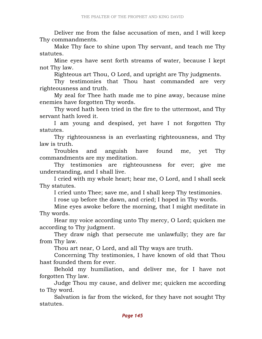Deliver me from the false accusation of men, and I will keep Thy commandments.

 Make Thy face to shine upon Thy servant, and teach me Thy statutes.

 Mine eyes have sent forth streams of water, because I kept not Thy law.

Righteous art Thou, O Lord, and upright are Thy judgments.

 Thy testimonies that Thou hast commanded are very righteousness and truth.

 My zeal for Thee hath made me to pine away, because mine enemies have forgotten Thy words.

 Thy word hath been tried in the fire to the uttermost, and Thy servant hath loved it.

 I am young and despised, yet have I not forgotten Thy statutes.

 Thy righteousness is an everlasting righteousness, and Thy law is truth.

 Troubles and anguish have found me, yet Thy commandments are my meditation.

 Thy testimonies are righteousness for ever; give me understanding, and I shall live.

 I cried with my whole heart; hear me, O Lord, and I shall seek Thy statutes.

I cried unto Thee; save me, and I shall keep Thy testimonies.

I rose up before the dawn, and cried; I hoped in Thy words.

 Mine eyes awoke before the morning, that I might meditate in Thy words.

 Hear my voice according unto Thy mercy, O Lord; quicken me according to Thy judgment.

 They draw nigh that persecute me unlawfully; they are far from Thy law.

Thou art near, O Lord, and all Thy ways are truth.

 Concerning Thy testimonies, I have known of old that Thou hast founded them for ever.

 Behold my humiliation, and deliver me, for I have not forgotten Thy law.

 Judge Thou my cause, and deliver me; quicken me according to Thy word.

 Salvation is far from the wicked, for they have not sought Thy statutes.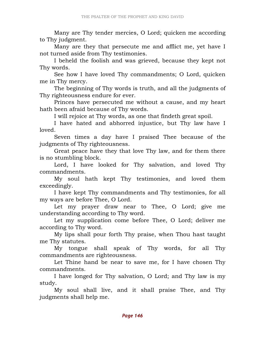Many are Thy tender mercies, O Lord; quicken me according to Thy judgment.

 Many are they that persecute me and afflict me, yet have I not turned aside from Thy testimonies.

 I beheld the foolish and was grieved, because they kept not Thy words.

 See how I have loved Thy commandments; O Lord, quicken me in Thy mercy.

 The beginning of Thy words is truth, and all the judgments of Thy righteousness endure for ever.

 Princes have persecuted me without a cause, and my heart hath been afraid because of Thy words.

I will rejoice at Thy words, as one that findeth great spoil.

 I have hated and abhorred injustice, but Thy law have I loved.

 Seven times a day have I praised Thee because of the judgments of Thy righteousness.

 Great peace have they that love Thy law, and for them there is no stumbling block.

 Lord, I have looked for Thy salvation, and loved Thy commandments.

 My soul hath kept Thy testimonies, and loved them exceedingly.

 I have kept Thy commandments and Thy testimonies, for all my ways are before Thee, O Lord.

 Let my prayer draw near to Thee, O Lord; give me understanding according to Thy word.

 Let my supplication come before Thee, O Lord; deliver me according to Thy word.

 My lips shall pour forth Thy praise, when Thou hast taught me Thy statutes.

 My tongue shall speak of Thy words, for all Thy commandments are righteousness.

 Let Thine hand be near to save me, for I have chosen Thy commandments.

 I have longed for Thy salvation, O Lord; and Thy law is my study.

 My soul shall live, and it shall praise Thee, and Thy judgments shall help me.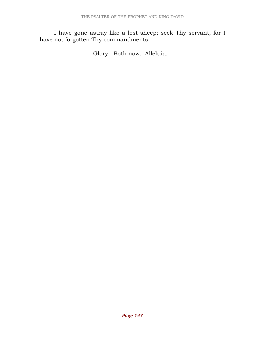I have gone astray like a lost sheep; seek Thy servant, for I have not forgotten Thy commandments.

Glory. Both now. Alleluia.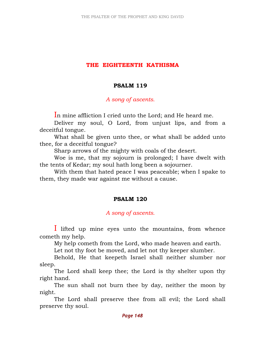## THE EIGHTEENTH KATHISMA

## PSALM 119

### A song of ascents.

In mine affliction I cried unto the Lord; and He heard me.

 Deliver my soul, O Lord, from unjust lips, and from a deceitful tongue.

 What shall be given unto thee, or what shall be added unto thee, for a deceitful tongue?

Sharp arrows of the mighty with coals of the desert.

 Woe is me, that my sojourn is prolonged; I have dwelt with the tents of Kedar; my soul hath long been a sojourner.

 With them that hated peace I was peaceable; when I spake to them, they made war against me without a cause.

# PSALM 120

# A song of ascents.

I lifted up mine eyes unto the mountains, from whence cometh my help.

My help cometh from the Lord, who made heaven and earth.

Let not thy foot be moved, and let not thy keeper slumber.

 Behold, He that keepeth Israel shall neither slumber nor sleep.

 The Lord shall keep thee; the Lord is thy shelter upon thy right hand.

 The sun shall not burn thee by day, neither the moon by night.

 The Lord shall preserve thee from all evil; the Lord shall preserve thy soul.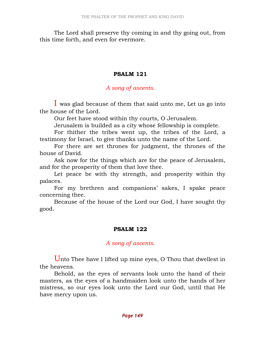The Lord shall preserve thy coming in and thy going out, from this time forth, and even for evermore.

## PSALM 121

## A song of ascents.

I was glad because of them that said unto me, Let us go into the house of the Lord.

Our feet have stood within thy courts, O Jerusalem.

Jerusalem is builded as a city whose fellowship is complete.

 For thither the tribes went up, the tribes of the Lord, a testimony for Israel, to give thanks unto the name of the Lord.

 For there are set thrones for judgment, the thrones of the house of David.

 Ask now for the things which are for the peace of Jerusalem, and for the prosperity of them that love thee.

 Let peace be with thy strength, and prosperity within thy palaces.

 For my brethren and companions' sakes, I spake peace concerning thee.

 Because of the house of the Lord our God, I have sought thy good.

### PSALM 122

# A song of ascents.

Unto Thee have I lifted up mine eyes, O Thou that dwellest in the heavens.

 Behold, as the eyes of servants look unto the hand of their masters, as the eyes of a handmaiden look unto the hands of her mistress, so our eyes look unto the Lord our God, until that He have mercy upon us.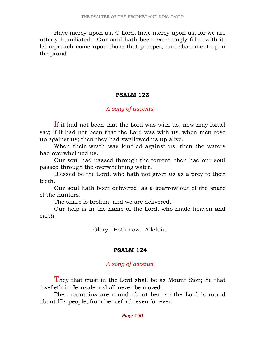Have mercy upon us, O Lord, have mercy upon us, for we are utterly humiliated. Our soul hath been exceedingly filled with it; let reproach come upon those that prosper, and abasement upon the proud.

### PSALM 123

### A song of ascents.

If it had not been that the Lord was with us, now may Israel say; if it had not been that the Lord was with us, when men rose up against us; then they had swallowed us up alive.

 When their wrath was kindled against us, then the waters had overwhelmed us.

 Our soul had passed through the torrent; then had our soul passed through the overwhelming water.

 Blessed be the Lord, who hath not given us as a prey to their teeth.

 Our soul hath been delivered, as a sparrow out of the snare of the hunters.

The snare is broken, and we are delivered.

 Our help is in the name of the Lord, who made heaven and earth.

Glory. Both now. Alleluia.

#### PSALM 124

#### A song of ascents.

They that trust in the Lord shall be as Mount Sion; he that dwelleth in Jerusalem shall never be moved.

 The mountains are round about her; so the Lord is round about His people, from henceforth even for ever.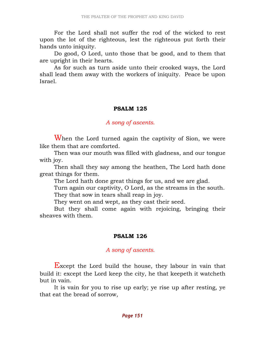For the Lord shall not suffer the rod of the wicked to rest upon the lot of the righteous, lest the righteous put forth their hands unto iniquity.

 Do good, O Lord, unto those that be good, and to them that are upright in their hearts.

 As for such as turn aside unto their crooked ways, the Lord shall lead them away with the workers of iniquity. Peace be upon Israel.

#### PSALM 125

### A song of ascents.

When the Lord turned again the captivity of Sion, we were like them that are comforted.

 Then was our mouth was filled with gladness, and our tongue with joy.

 Then shall they say among the heathen, The Lord hath done great things for them.

The Lord hath done great things for us, and we are glad.

 Turn again our captivity, O Lord, as the streams in the south. They that sow in tears shall reap in joy.

They went on and wept, as they cast their seed.

 But they shall come again with rejoicing, bringing their sheaves with them.

### PSALM 126

### A song of ascents.

Except the Lord build the house, they labour in vain that build it: except the Lord keep the city, he that keepeth it watcheth but in vain.

 It is vain for you to rise up early; ye rise up after resting, ye that eat the bread of sorrow,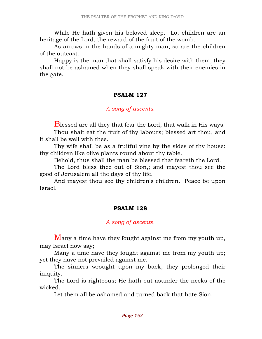While He hath given his beloved sleep. Lo, children are an heritage of the Lord, the reward of the fruit of the womb.

 As arrows in the hands of a mighty man, so are the children of the outcast.

 Happy is the man that shall satisfy his desire with them; they shall not be ashamed when they shall speak with their enemies in the gate.

#### PSALM 127

#### A song of ascents.

Blessed are all they that fear the Lord, that walk in His ways.

 Thou shalt eat the fruit of thy labours; blessed art thou, and it shall be well with thee.

 Thy wife shall be as a fruitful vine by the sides of thy house: thy children like olive plants round about thy table.

Behold, thus shall the man be blessed that feareth the Lord.

 The Lord bless thee out of Sion,; and mayest thou see the good of Jerusalem all the days of thy life.

 And mayest thou see thy children's children. Peace be upon Israel.

#### PSALM 128

#### A song of ascents.

Many a time have they fought against me from my youth up, may Israel now say;

 Many a time have they fought against me from my youth up; yet they have not prevailed against me.

 The sinners wrought upon my back, they prolonged their iniquity.

 The Lord is righteous; He hath cut asunder the necks of the wicked.

Let them all be ashamed and turned back that hate Sion.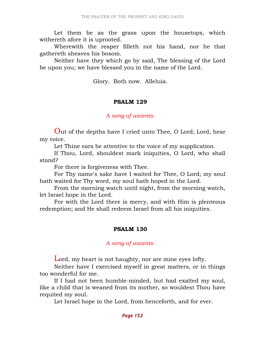Let them be as the grass upon the housetops, which withereth afore it is uprooted.

 Wherewith the reaper filleth not his hand, nor he that gathereth sheaves his bosom.

 Neither have they which go by said, The blessing of the Lord be upon you; we have blessed you in the name of the Lord.

Glory. Both now. Alleluia.

### PSALM 129

### A song of ascents.

Out of the depths have I cried unto Thee, O Lord; Lord, hear my voice.

Let Thine ears be attentive to the voice of my supplication.

 If Thou, Lord, shouldest mark iniquities, O Lord, who shall stand?

For there is forgiveness with Thee.

 For Thy name's sake have I waited for Thee, O Lord; my soul hath waited for Thy word, my soul hath hoped in the Lord.

 From the morning watch until night, from the morning watch, let Israel hope in the Lord.

 For with the Lord there is mercy, and with Him is plenteous redemption; and He shall redeem Israel from all his iniquities.

### PSALM 130

### A song of ascents.

Lord, my heart is not haughty, nor are mine eyes lofty.

 Neither have I exercised myself in great matters, or in things too wonderful for me.

 If I had not been humble-minded, but had exalted my soul, like a child that is weaned from its mother, so wouldest Thou have requited my soul.

Let Israel hope in the Lord, from henceforth, and for ever.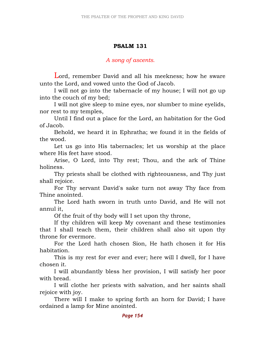# PSALM 131

### A song of ascents.

Lord, remember David and all his meekness; how he sware unto the Lord, and vowed unto the God of Jacob.

 I will not go into the tabernacle of my house; I will not go up into the couch of my bed;

 I will not give sleep to mine eyes, nor slumber to mine eyelids, nor rest to my temples,

 Until I find out a place for the Lord, an habitation for the God of Jacob.

 Behold, we heard it in Ephratha; we found it in the fields of the wood.

 Let us go into His tabernacles; let us worship at the place where His feet have stood.

 Arise, O Lord, into Thy rest; Thou, and the ark of Thine holiness.

 Thy priests shall be clothed with righteousness, and Thy just shall rejoice.

 For Thy servant David's sake turn not away Thy face from Thine anointed.

 The Lord hath sworn in truth unto David, and He will not annul it,

Of the fruit of thy body will I set upon thy throne,

 If thy children will keep My covenant and these testimonies that I shall teach them, their children shall also sit upon thy throne for evermore.

 For the Lord hath chosen Sion, He hath chosen it for His habitation.

 This is my rest for ever and ever; here will I dwell, for I have chosen it.

 I will abundantly bless her provision, I will satisfy her poor with bread.

 I will clothe her priests with salvation, and her saints shall rejoice with joy.

 There will I make to spring forth an horn for David; I have ordained a lamp for Mine anointed.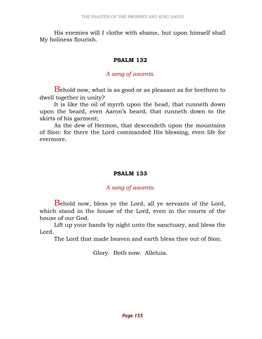His enemies will I clothe with shame, but upon himself shall My holiness flourish.

### PSALM 132

## A song of ascents.

Behold now, what is as good or as pleasant as for brethren to dwell together in unity?

 It is like the oil of myrrh upon the head, that runneth down upon the beard, even Aaron's beard, that runneth down to the skirts of his garment;

 As the dew of Hermon, that descendeth upon the mountains of Sion: for there the Lord commanded His blessing, even life for evermore.

# PSALM 133

### A song of ascents.

Behold now, bless ye the Lord, all ye servants of the Lord, which stand in the house of the Lord, even in the courts of the house of our God.

 Lift up your hands by night unto the sanctuary, and bless the Lord.

The Lord that made heaven and earth bless thee out of Sion.

Glory. Both now. Alleluia.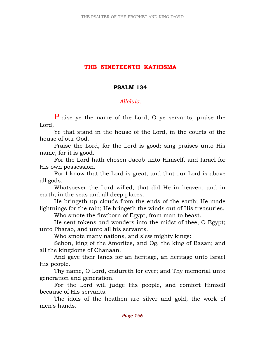# THE NINETEENTH KATHISMA

### PSALM 134

## Alleluia.

Praise ye the name of the Lord; O ye servants, praise the Lord,

 Ye that stand in the house of the Lord, in the courts of the house of our God.

 Praise the Lord, for the Lord is good; sing praises unto His name, for it is good.

 For the Lord hath chosen Jacob unto Himself, and Israel for His own possession.

 For I know that the Lord is great, and that our Lord is above all gods.

 Whatsoever the Lord willed, that did He in heaven, and in earth, in the seas and all deep places.

 He bringeth up clouds from the ends of the earth; He made lightnings for the rain; He bringeth the winds out of His treasuries.

Who smote the firstborn of Egypt, from man to beast.

 He sent tokens and wonders into the midst of thee, O Egypt; unto Pharao, and unto all his servants.

Who smote many nations, and slew mighty kings:

 Sehon, king of the Amorites, and Og, the king of Basan; and all the kingdoms of Chanaan.

 And gave their lands for an heritage, an heritage unto Israel His people.

 Thy name, O Lord, endureth for ever; and Thy memorial unto generation and generation.

 For the Lord will judge His people, and comfort Himself because of His servants.

 The idols of the heathen are silver and gold, the work of men's hands.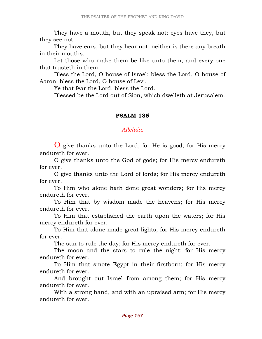They have a mouth, but they speak not; eyes have they, but they see not.

 They have ears, but they hear not; neither is there any breath in their mouths.

 Let those who make them be like unto them, and every one that trusteth in them.

 Bless the Lord, O house of Israel: bless the Lord, O house of Aaron: bless the Lord, O house of Levi.

Ye that fear the Lord, bless the Lord.

Blessed be the Lord out of Sion, which dwelleth at Jerusalem.

### PSALM 135

#### Alleluia.

O give thanks unto the Lord, for He is good; for His mercy endureth for ever.

 O give thanks unto the God of gods; for His mercy endureth for ever.

 O give thanks unto the Lord of lords; for His mercy endureth for ever.

 To Him who alone hath done great wonders; for His mercy endureth for ever.

 To Him that by wisdom made the heavens; for His mercy endureth for ever.

 To Him that established the earth upon the waters; for His mercy endureth for ever.

 To Him that alone made great lights; for His mercy endureth for ever.

The sun to rule the day; for His mercy endureth for ever.

 The moon and the stars to rule the night; for His mercy endureth for ever.

 To Him that smote Egypt in their firstborn; for His mercy endureth for ever.

 And brought out Israel from among them; for His mercy endureth for ever.

 With a strong hand, and with an upraised arm; for His mercy endureth for ever.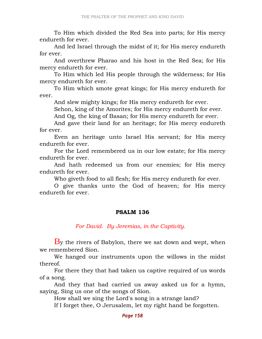To Him which divided the Red Sea into parts; for His mercy endureth for ever.

 And led Israel through the midst of it; for His mercy endureth for ever.

 And overthrew Pharao and his host in the Red Sea; for His mercy endureth for ever.

 To Him which led His people through the wilderness; for His mercy endureth for ever.

 To Him which smote great kings; for His mercy endureth for ever.

And slew mighty kings; for His mercy endureth for ever.

Sehon, king of the Amorites; for His mercy endureth for ever.

And Og, the king of Basan; for His mercy endureth for ever.

 And gave their land for an heritage; for His mercy endureth for ever.

 Even an heritage unto Israel His servant; for His mercy endureth for ever.

 For the Lord remembered us in our low estate; for His mercy endureth for ever.

 And hath redeemed us from our enemies; for His mercy endureth for ever.

Who giveth food to all flesh; for His mercy endureth for ever.

 O give thanks unto the God of heaven; for His mercy endureth for ever.

#### PSALM 136

### For David. By Jeremias, in the Captivity.

 $\overline{B}$ y the rivers of Babylon, there we sat down and wept, when we remembered Sion.

 We hanged our instruments upon the willows in the midst thereof.

 For there they that had taken us captive required of us words of a song.

 And they that had carried us away asked us for a hymn, saying, Sing us one of the songs of Sion.

How shall we sing the Lord's song in a strange land?

If I forget thee, O Jerusalem, let my right hand be forgotten.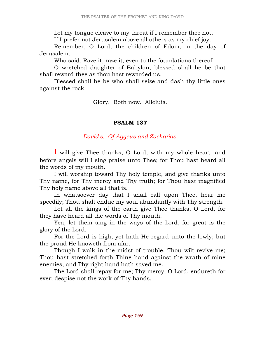Let my tongue cleave to my throat if I remember thee not, If I prefer not Jerusalem above all others as my chief joy.

 Remember, O Lord, the children of Edom, in the day of Jerusalem.

Who said, Raze it, raze it, even to the foundations thereof.

 O wretched daughter of Babylon, blessed shall he be that shall reward thee as thou hast rewarded us.

 Blessed shall he be who shall seize and dash thy little ones against the rock.

Glory. Both now. Alleluia.

## PSALM 137

David's. Of Aggeus and Zacharias.

I will give Thee thanks, O Lord, with my whole heart: and before angels will I sing praise unto Thee; for Thou hast heard all the words of my mouth.

 I will worship toward Thy holy temple, and give thanks unto Thy name, for Thy mercy and Thy truth; for Thou hast magnified Thy holy name above all that is.

 In whatsoever day that I shall call upon Thee, hear me speedily; Thou shalt endue my soul abundantly with Thy strength.

 Let all the kings of the earth give Thee thanks, O Lord, for they have heard all the words of Thy mouth.

 Yea, let them sing in the ways of the Lord, for great is the glory of the Lord.

 For the Lord is high, yet hath He regard unto the lowly; but the proud He knoweth from afar.

 Though I walk in the midst of trouble, Thou wilt revive me; Thou hast stretched forth Thine hand against the wrath of mine enemies, and Thy right hand hath saved me.

 The Lord shall repay for me; Thy mercy, O Lord, endureth for ever; despise not the work of Thy hands.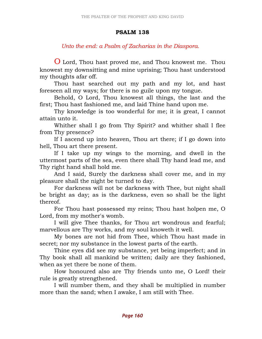# PSALM 138

# Unto the end: a Psalm of Zacharias in the Diaspora.

O Lord, Thou hast proved me, and Thou knowest me. Thou knowest my downsitting and mine uprising; Thou hast understood my thoughts afar off.

 Thou hast searched out my path and my lot, and hast foreseen all my ways; for there is no guile upon my tongue.

 Behold, O Lord, Thou knowest all things, the last and the first; Thou hast fashioned me, and laid Thine hand upon me.

 Thy knowledge is too wonderful for me; it is great, I cannot attain unto it.

 Whither shall I go from Thy Spirit? and whither shall I flee from Thy presence?

 If I ascend up into heaven, Thou art there; if I go down into hell, Thou art there present.

 If I take up my wings to the morning, and dwell in the uttermost parts of the sea, even there shall Thy hand lead me, and Thy right hand shall hold me.

 And I said, Surely the darkness shall cover me, and in my pleasure shall the night be turned to day.

 For darkness will not be darkness with Thee, but night shall be bright as day; as is the darkness, even so shall be the light thereof.

 For Thou hast possessed my reins; Thou hast holpen me, O Lord, from my mother's womb.

 I will give Thee thanks, for Thou art wondrous and fearful; marvellous are Thy works, and my soul knoweth it well.

 My bones are not hid from Thee, which Thou hast made in secret; nor my substance in the lowest parts of the earth.

 Thine eyes did see my substance, yet being imperfect; and in Thy book shall all mankind be written; daily are they fashioned, when as yet there be none of them.

 How honoured also are Thy friends unto me, O Lord! their rule is greatly strengthened.

 I will number them, and they shall be multiplied in number more than the sand; when I awake, I am still with Thee.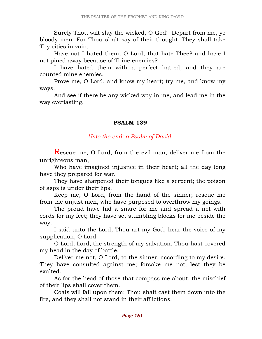Surely Thou wilt slay the wicked, O God! Depart from me, ye bloody men. For Thou shalt say of their thought, They shall take Thy cities in vain.

 Have not I hated them, O Lord, that hate Thee? and have I not pined away because of Thine enemies?

 I have hated them with a perfect hatred, and they are counted mine enemies.

 Prove me, O Lord, and know my heart; try me, and know my ways.

 And see if there be any wicked way in me, and lead me in the way everlasting.

# PSALM 139

Unto the end: a Psalm of David.

Rescue me, O Lord, from the evil man; deliver me from the unrighteous man,

 Who have imagined injustice in their heart; all the day long have they prepared for war.

 They have sharpened their tongues like a serpent; the poison of asps is under their lips.

 Keep me, O Lord, from the hand of the sinner; rescue me from the unjust men, who have purposed to overthrow my goings.

 The proud have hid a snare for me and spread a net with cords for my feet; they have set stumbling blocks for me beside the way.

 I said unto the Lord, Thou art my God; hear the voice of my supplication, O Lord.

 O Lord, Lord, the strength of my salvation, Thou hast covered my head in the day of battle.

 Deliver me not, O Lord, to the sinner, according to my desire. They have consulted against me; forsake me not, lest they be exalted.

 As for the head of those that compass me about, the mischief of their lips shall cover them.

 Coals will fall upon them; Thou shalt cast them down into the fire, and they shall not stand in their afflictions.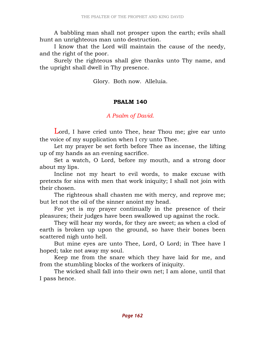A babbling man shall not prosper upon the earth; evils shall hunt an unrighteous man unto destruction.

 I know that the Lord will maintain the cause of the needy, and the right of the poor.

 Surely the righteous shall give thanks unto Thy name, and the upright shall dwell in Thy presence.

Glory. Both now. Alleluia.

### PSALM 140

## A Psalm of David.

Lord, I have cried unto Thee, hear Thou me; give ear unto the voice of my supplication when I cry unto Thee.

 Let my prayer be set forth before Thee as incense, the lifting up of my hands as an evening sacrifice.

 Set a watch, O Lord, before my mouth, and a strong door about my lips.

 Incline not my heart to evil words, to make excuse with pretexts for sins with men that work iniquity; I shall not join with their chosen.

 The righteous shall chasten me with mercy, and reprove me; but let not the oil of the sinner anoint my head.

 For yet is my prayer continually in the presence of their pleasures; their judges have been swallowed up against the rock.

 They will hear my words, for they are sweet; as when a clod of earth is broken up upon the ground, so have their bones been scattered nigh unto hell.

 But mine eyes are unto Thee, Lord, O Lord; in Thee have I hoped; take not away my soul.

 Keep me from the snare which they have laid for me, and from the stumbling blocks of the workers of iniquity.

 The wicked shall fall into their own net; I am alone, until that I pass hence.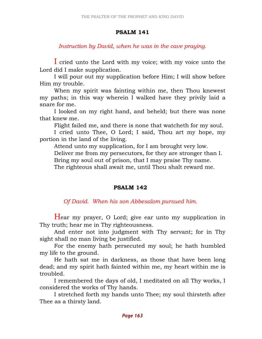## PSALM 141

Instruction by David, when he was in the cave praying.

I cried unto the Lord with my voice; with my voice unto the Lord did I make supplication.

 I will pour out my supplication before Him; I will show before Him my trouble.

 When my spirit was fainting within me, then Thou knewest my paths; in this way wherein I walked have they privily laid a snare for me.

 I looked on my right hand, and beheld; but there was none that knew me.

Flight failed me, and there is none that watcheth for my soul.

 I cried unto Thee, O Lord; I said, Thou art my hope, my portion in the land of the living.

Attend unto my supplication, for I am brought very low.

Deliver me from my persecutors, for they are stronger than I.

Bring my soul out of prison, that I may praise Thy name.

The righteous shall await me, until Thou shalt reward me.

# PSALM 142

Of David. When his son Abbesalom pursued him.

Hear my prayer, O Lord; give ear unto my supplication in Thy truth; hear me in Thy righteousness.

 And enter not into judgment with Thy servant; for in Thy sight shall no man living be justified.

 For the enemy hath persecuted my soul; he hath humbled my life to the ground.

 He hath sat me in darkness, as those that have been long dead; and my spirit hath fainted within me, my heart within me is troubled.

 I remembered the days of old, I meditated on all Thy works, I considered the works of Thy hands.

 I stretched forth my hands unto Thee; my soul thirsteth after Thee as a thirsty land.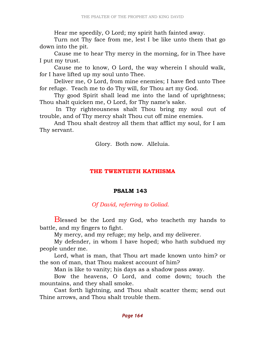Hear me speedily, O Lord; my spirit hath fainted away.

 Turn not Thy face from me, lest I be like unto them that go down into the pit.

 Cause me to hear Thy mercy in the morning, for in Thee have I put my trust.

 Cause me to know, O Lord, the way wherein I should walk, for I have lifted up my soul unto Thee.

 Deliver me, O Lord, from mine enemies; I have fled unto Thee for refuge. Teach me to do Thy will, for Thou art my God.

 Thy good Spirit shall lead me into the land of uprightness; Thou shalt quicken me, O Lord, for Thy name's sake.

 In Thy righteousness shalt Thou bring my soul out of trouble, and of Thy mercy shalt Thou cut off mine enemies.

 And Thou shalt destroy all them that afflict my soul, for I am Thy servant.

Glory. Both now. Alleluia.

### THE TWENTIETH KATHISMA

### PSALM 143

# Of David, referring to Goliad.

Blessed be the Lord my God, who teacheth my hands to battle, and my fingers to fight.

My mercy, and my refuge; my help, and my deliverer.

 My defender, in whom I have hoped; who hath subdued my people under me.

 Lord, what is man, that Thou art made known unto him? or the son of man, that Thou makest account of him?

Man is like to vanity; his days as a shadow pass away.

 Bow the heavens, O Lord, and come down; touch the mountains, and they shall smoke.

 Cast forth lightning, and Thou shalt scatter them; send out Thine arrows, and Thou shalt trouble them.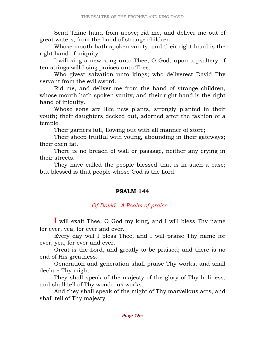Send Thine hand from above; rid me, and deliver me out of great waters, from the hand of strange children,

 Whose mouth hath spoken vanity, and their right hand is the right hand of iniquity.

 I will sing a new song unto Thee, O God; upon a psaltery of ten strings will I sing praises unto Thee;

 Who givest salvation unto kings; who deliverest David Thy servant from the evil sword.

 Rid me, and deliver me from the hand of strange children, whose mouth hath spoken vanity, and their right hand is the right hand of iniquity.

 Whose sons are like new plants, strongly planted in their youth; their daughters decked out, adorned after the fashion of a temple.

Their garners full, flowing out with all manner of store;

 Their sheep fruitful with young, abounding in their gateways; their oxen fat.

 There is no breach of wall or passage, neither any crying in their streets.

 They have called the people blessed that is in such a case; but blessed is that people whose God is the Lord.

# PSALM 144

# Of David. A Psalm of praise.

I will exalt Thee, O God my king, and I will bless Thy name for ever, yea, for ever and ever.

 Every day will I bless Thee, and I will praise Thy name for ever, yea, for ever and ever.

 Great is the Lord, and greatly to be praised; and there is no end of His greatness.

 Generation and generation shall praise Thy works, and shall declare Thy might.

 They shall speak of the majesty of the glory of Thy holiness, and shall tell of Thy wondrous works.

 And they shall speak of the might of Thy marvellous acts, and shall tell of Thy majesty.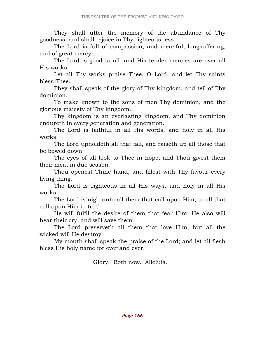They shall utter the memory of the abundance of Thy goodness, and shall rejoice in Thy righteousness.

 The Lord is full of compassion, and merciful; longsuffering, and of great mercy.

 The Lord is good to all, and His tender mercies are over all His works.

 Let all Thy works praise Thee, O Lord, and let Thy saints bless Thee.

 They shall speak of the glory of Thy kingdom, and tell of Thy dominion.

 To make known to the sons of men Thy dominion, and the glorious majesty of Thy kingdom.

 Thy kingdom is an everlasting kingdom, and Thy dominion endureth in every generation and generation.

 The Lord is faithful in all His words, and holy in all His works.

 The Lord upholdeth all that fall, and raiseth up all those that be bowed down.

 The eyes of all look to Thee in hope, and Thou givest them their meat in due season.

 Thou openest Thine hand, and fillest with Thy favour every living thing.

 The Lord is righteous in all His ways, and holy in all His works.

 The Lord is nigh unto all them that call upon Him, to all that call upon Him in truth.

 He will fulfil the desire of them that fear Him; He also will hear their cry, and will save them.

 The Lord preserveth all them that love Him, but all the wicked will He destroy.

 My mouth shall speak the praise of the Lord; and let all flesh bless His holy name for ever and ever.

Glory. Both now. Alleluia.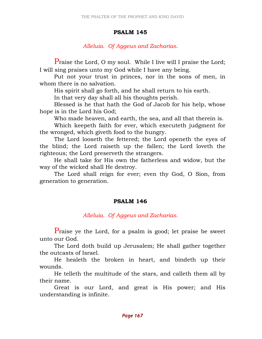### PSALM 145

## Alleluia. Of Aggeus and Zacharias.

Praise the Lord, O my soul. While I live will I praise the Lord; I will sing praises unto my God while I have any being.

 Put not your trust in princes, nor in the sons of men, in whom there is no salvation.

His spirit shall go forth, and he shall return to his earth.

In that very day shall all his thoughts perish.

 Blessed is he that hath the God of Jacob for his help, whose hope is in the Lord his God;

Who made heaven, and earth, the sea, and all that therein is.

 Which keepeth faith for ever, which executeth judgment for the wronged, which giveth food to the hungry.

 The Lord looseth the fettered; the Lord openeth the eyes of the blind; the Lord raiseth up the fallen; the Lord loveth the righteous; the Lord preserveth the strangers.

 He shall take for His own the fatherless and widow, but the way of the wicked shall He destroy.

 The Lord shall reign for ever; even thy God, O Sion, from generation to generation.

### PSALM 146

Alleluia. Of Aggeus and Zacharias.

Praise ye the Lord, for a psalm is good; let praise be sweet unto our God.

 The Lord doth build up Jerusalem; He shall gather together the outcasts of Israel.

 He healeth the broken in heart, and bindeth up their wounds.

 He telleth the multitude of the stars, and calleth them all by their name.

 Great is our Lord, and great is His power; and His understanding is infinite.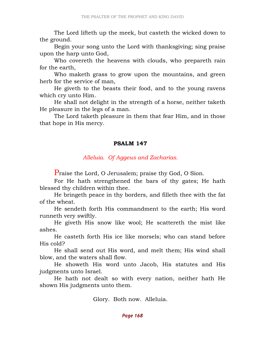The Lord lifteth up the meek, but casteth the wicked down to the ground.

 Begin your song unto the Lord with thanksgiving; sing praise upon the harp unto God,

 Who covereth the heavens with clouds, who prepareth rain for the earth,

 Who maketh grass to grow upon the mountains, and green herb for the service of man,

 He giveth to the beasts their food, and to the young ravens which cry unto Him.

 He shall not delight in the strength of a horse, neither taketh He pleasure in the legs of a man.

 The Lord taketh pleasure in them that fear Him, and in those that hope in His mercy.

### PSALM 147

Alleluia. Of Aggeus and Zacharias.

Praise the Lord, O Jerusalem; praise thy God, O Sion.

 For He hath strengthened the bars of thy gates; He hath blessed thy children within thee.

 He bringeth peace in thy borders, and filleth thee with the fat of the wheat.

 He sendeth forth His commandment to the earth; His word runneth very swiftly.

 He giveth His snow like wool; He scattereth the mist like ashes.

 He casteth forth His ice like morsels; who can stand before His cold?

 He shall send out His word, and melt them; His wind shall blow, and the waters shall flow.

 He showeth His word unto Jacob, His statutes and His judgments unto Israel.

 He hath not dealt so with every nation, neither hath He shown His judgments unto them.

Glory. Both now. Alleluia.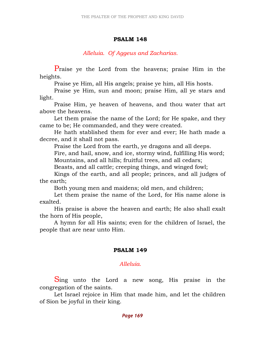### PSALM 148

# Alleluia. Of Aggeus and Zacharias.

Praise ye the Lord from the heavens; praise Him in the heights.

Praise ye Him, all His angels; praise ye him, all His hosts.

 Praise ye Him, sun and moon; praise Him, all ye stars and light.

 Praise Him, ye heaven of heavens, and thou water that art above the heavens.

 Let them praise the name of the Lord; for He spake, and they came to be; He commanded, and they were created.

 He hath stablished them for ever and ever; He hath made a decree, and it shall not pass.

Praise the Lord from the earth, ye dragons and all deeps.

 Fire, and hail, snow, and ice, stormy wind, fulfilling His word; Mountains, and all hills; fruitful trees, and all cedars;

Beasts, and all cattle; creeping things, and winged fowl;

 Kings of the earth, and all people; princes, and all judges of the earth;

Both young men and maidens; old men, and children;

 Let them praise the name of the Lord, for His name alone is exalted.

 His praise is above the heaven and earth; He also shall exalt the horn of His people,

 A hymn for all His saints; even for the children of Israel, the people that are near unto Him.

# PSALM 149

### Alleluia.

Sing unto the Lord a new song, His praise in the congregation of the saints.

 Let Israel rejoice in Him that made him, and let the children of Sion be joyful in their king.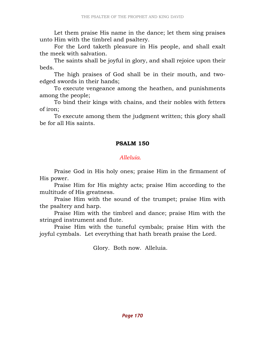Let them praise His name in the dance; let them sing praises unto Him with the timbrel and psaltery.

 For the Lord taketh pleasure in His people, and shall exalt the meek with salvation.

 The saints shall be joyful in glory, and shall rejoice upon their beds.

 The high praises of God shall be in their mouth, and twoedged swords in their hands;

 To execute vengeance among the heathen, and punishments among the people;

 To bind their kings with chains, and their nobles with fetters of iron;

 To execute among them the judgment written; this glory shall be for all His saints.

### PSALM 150

## Alleluia.

 Praise God in His holy ones; praise Him in the firmament of His power.

 Praise Him for His mighty acts; praise Him according to the multitude of His greatness.

 Praise Him with the sound of the trumpet; praise Him with the psaltery and harp.

 Praise Him with the timbrel and dance; praise Him with the stringed instrument and flute.

 Praise Him with the tuneful cymbals; praise Him with the joyful cymbals. Let everything that hath breath praise the Lord.

Glory. Both now. Alleluia.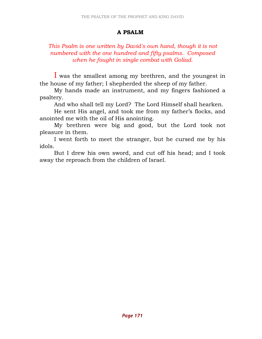### A PSALM

## This Psalm is one written by David's own hand, though it is not numbered with the one hundred and fifty psalms. Composed when he fought in single combat with Goliad.

I was the smallest among my brethren, and the youngest in the house of my father; I shepherded the sheep of my father.

 My hands made an instrument, and my fingers fashioned a psaltery.

And who shall tell my Lord? The Lord Himself shall hearken.

 He sent His angel, and took me from my father's flocks, and anointed me with the oil of His anointing.

 My brethren were big and good, but the Lord took not pleasure in them.

 I went forth to meet the stranger, but he cursed me by his idols.

 But I drew his own sword, and cut off his head; and I took away the reproach from the children of Israel.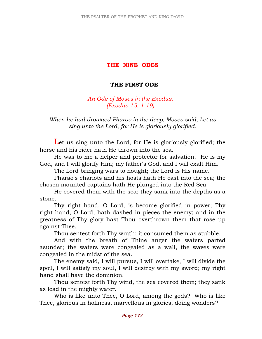# THE NINE ODES

# THE FIRST ODE

An Ode of Moses in the Exodus. (Exodus 15: 1-19)

## When he had drowned Pharao in the deep, Moses said, Let us sing unto the Lord, for He is gloriously glorified.

Let us sing unto the Lord, for He is gloriously glorified; the horse and his rider hath He thrown into the sea.

 He was to me a helper and protector for salvation. He is my God, and I will glorify Him; my father's God, and I will exalt Him.

The Lord bringing wars to nought; the Lord is His name.

 Pharao's chariots and his hosts hath He cast into the sea; the chosen mounted captains hath He plunged into the Red Sea.

 He covered them with the sea; they sank into the depths as a stone.

 Thy right hand, O Lord, is become glorified in power; Thy right hand, O Lord, hath dashed in pieces the enemy; and in the greatness of Thy glory hast Thou overthrown them that rose up against Thee.

Thou sentest forth Thy wrath; it consumed them as stubble.

 And with the breath of Thine anger the waters parted asunder; the waters were congealed as a wall, the waves were congealed in the midst of the sea.

 The enemy said, I will pursue, I will overtake, I will divide the spoil, I will satisfy my soul, I will destroy with my sword; my right hand shall have the dominion.

 Thou sentest forth Thy wind, the sea covered them; they sank as lead in the mighty water.

 Who is like unto Thee, O Lord, among the gods? Who is like Thee, glorious in holiness, marvellous in glories, doing wonders?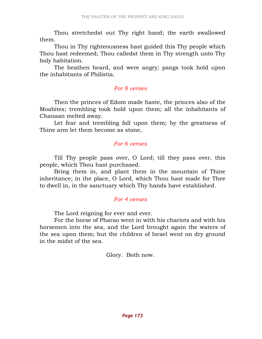Thou stretchedst out Thy right hand; the earth swallowed them.

 Thou in Thy righteousness hast guided this Thy people which Thou hast redeemed; Thou calledst them in Thy strength unto Thy holy habitation.

 The heathen heard, and were angry; pangs took hold upon the inhabitants of Philistia.

### For 8 verses

Then the princes of Edom made haste, the princes also of the Moabites; trembling took hold upon them; all the inhabitants of Chanaan melted away.

Let fear and trembling fall upon them; by the greatness of Thine arm let them become as stone,

### For 6 verses

 Till Thy people pass over, O Lord; till they pass over, this people, which Thou hast purchased.

 Bring them in, and plant them in the mountain of Thine inheritance; in the place, O Lord, which Thou hast made for Thee to dwell in, in the sanctuary which Thy hands have established.

### For 4 verses

The Lord reigning for ever and ever.

 For the horse of Pharao went in with his chariots and with his horsemen into the sea, and the Lord brought again the waters of the sea upon them; but the children of Israel went on dry ground in the midst of the sea.

Glory. Both now.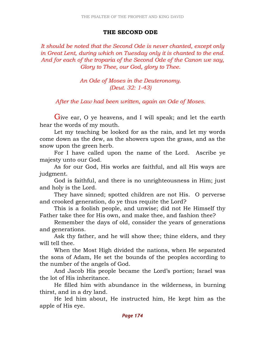### THE SECOND ODE

It should be noted that the Second Ode is never chanted, except only in Great Lent, during which on Tuesday only it is chanted to the end. And for each of the troparia of the Second Ode of the Canon we say, Glory to Thee, our God, glory to Thee.

> An Ode of Moses in the Deuteronomy. (Deut. 32: 1-43)

After the Law had been written, again an Ode of Moses.

Give ear, O ye heavens, and I will speak; and let the earth hear the words of my mouth.

 Let my teaching be looked for as the rain, and let my words come down as the dew, as the showers upon the grass, and as the snow upon the green herb.

 For I have called upon the name of the Lord. Ascribe ye majesty unto our God.

 As for our God, His works are faithful, and all His ways are judgment.

 God is faithful, and there is no unrighteousness in Him; just and holy is the Lord.

 They have sinned; spotted children are not His. O perverse and crooked generation, do ye thus requite the Lord?

 This is a foolish people, and unwise; did not He Himself thy Father take thee for His own, and make thee, and fashion thee?

 Remember the days of old, consider the years of generations and generations.

 Ask thy father, and he will show thee; thine elders, and they will tell thee.

 When the Most High divided the nations, when He separated the sons of Adam, He set the bounds of the peoples according to the number of the angels of God.

 And Jacob His people became the Lord's portion; Israel was the lot of His inheritance.

 He filled him with abundance in the wilderness, in burning thirst, and in a dry land.

 He led him about, He instructed him, He kept him as the apple of His eye.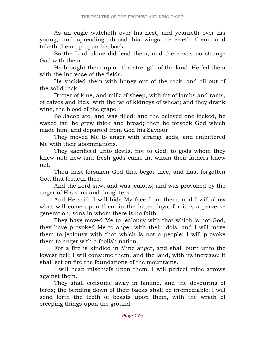As an eagle watcheth over his nest, and yearneth over his young, and spreading abroad his wings, receiveth them, and taketh them up upon his back;

 So the Lord alone did lead them, and there was no strange God with them.

 He brought them up on the strength of the land; He fed them with the increase of the fields.

 He suckled them with honey out of the rock, and oil out of the solid rock,

 Butter of kine, and milk of sheep, with fat of lambs and rams, of calves and kids, with the fat of kidneys of wheat; and they drank wine, the blood of the grape.

 So Jacob ate, and was filled; and the beloved one kicked, he waxed fat, he grew thick and broad; then he forsook God which made him, and departed from God his Saviour.

 They moved Me to anger with strange gods, and embittered Me with their abominations.

 They sacrificed unto devils, not to God; to gods whom they knew not; new and fresh gods came in, whom their fathers knew not.

 Thou hast forsaken God that begot thee, and hast forgotten God that feedeth thee.

 And the Lord saw, and was jealous; and was provoked by the anger of His sons and daughters.

 And He said, I will hide My face from them, and I will show what will come upon them in the latter days; for it is a perverse generation, sons in whom there is no faith.

 They have moved Me to jealousy with that which is not God, they have provoked Me to anger with their idols; and I will move them to jealousy with that which is not a people; I will provoke them to anger with a foolish nation.

 For a fire is kindled in Mine anger, and shall burn unto the lowest hell; I will consume them, and the land, with its increase; it shall set on fire the foundations of the mountains.

 I will heap mischiefs upon them, I will perfect mine arrows against them.

 They shall consume away in famine, and the devouring of birds; the bending down of their backs shall be irremediable; I will send forth the teeth of beasts upon them, with the wrath of creeping things upon the ground.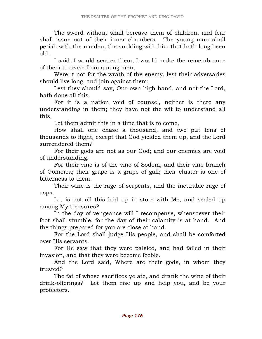The sword without shall bereave them of children, and fear shall issue out of their inner chambers. The young man shall perish with the maiden, the suckling with him that hath long been old.

 I said, I would scatter them, I would make the remembrance of them to cease from among men,

 Were it not for the wrath of the enemy, lest their adversaries should live long, and join against them;

 Lest they should say, Our own high hand, and not the Lord, hath done all this.

 For it is a nation void of counsel, neither is there any understanding in them; they have not the wit to understand all this.

Let them admit this in a time that is to come,

 How shall one chase a thousand, and two put tens of thousands to flight, except that God yielded them up, and the Lord surrendered them?

 For their gods are not as our God; and our enemies are void of understanding.

 For their vine is of the vine of Sodom, and their vine branch of Gomorra; their grape is a grape of gall; their cluster is one of bitterness to them.

 Their wine is the rage of serpents, and the incurable rage of asps.

 Lo, is not all this laid up in store with Me, and sealed up among My treasures?

 In the day of vengeance will I recompense, whensoever their foot shall stumble, for the day of their calamity is at hand. And the things prepared for you are close at hand.

 For the Lord shall judge His people, and shall be comforted over His servants.

 For He saw that they were palsied, and had failed in their invasion, and that they were become feeble.

 And the Lord said, Where are their gods, in whom they trusted?

 The fat of whose sacrifices ye ate, and drank the wine of their drink-offerings? Let them rise up and help you, and be your protectors.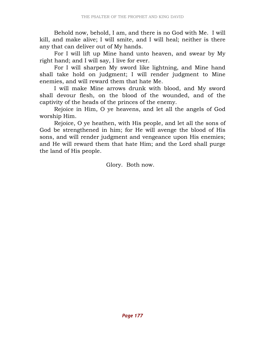Behold now, behold, I am, and there is no God with Me. I will kill, and make alive; I will smite, and I will heal; neither is there any that can deliver out of My hands.

 For I will lift up Mine hand unto heaven, and swear by My right hand; and I will say, I live for ever.

 For I will sharpen My sword like lightning, and Mine hand shall take hold on judgment; I will render judgment to Mine enemies, and will reward them that hate Me.

 I will make Mine arrows drunk with blood, and My sword shall devour flesh, on the blood of the wounded, and of the captivity of the heads of the princes of the enemy.

 Rejoice in Him, O ye heavens, and let all the angels of God worship Him.

 Rejoice, O ye heathen, with His people, and let all the sons of God be strengthened in him; for He will avenge the blood of His sons, and will render judgment and vengeance upon His enemies; and He will reward them that hate Him; and the Lord shall purge the land of His people.

Glory. Both now.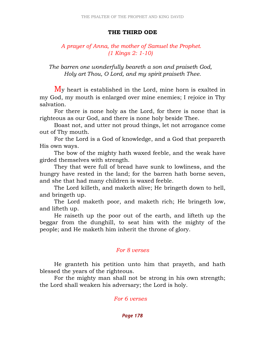#### THE THIRD ODE

## A prayer of Anna, the mother of Samuel the Prophet. (1 Kings 2: 1-10)

The barren one wonderfully beareth a son and praiseth God, Holy art Thou, O Lord, and my spirit praiseth Thee.

My heart is established in the Lord, mine horn is exalted in my God, my mouth is enlarged over mine enemies; I rejoice in Thy salvation.

 For there is none holy as the Lord, for there is none that is righteous as our God, and there is none holy beside Thee.

 Boast not, and utter not proud things, let not arrogance come out of Thy mouth.

 For the Lord is a God of knowledge, and a God that prepareth His own ways.

 The bow of the mighty hath waxed feeble, and the weak have girded themselves with strength.

 They that were full of bread have sunk to lowliness, and the hungry have rested in the land; for the barren hath borne seven, and she that had many children is waxed feeble.

 The Lord killeth, and maketh alive; He bringeth down to hell, and bringeth up.

 The Lord maketh poor, and maketh rich; He bringeth low, and lifteth up.

 He raiseth up the poor out of the earth, and lifteth up the beggar from the dunghill, to seat him with the mighty of the people; and He maketh him inherit the throne of glory.

#### For 8 verses

 He granteth his petition unto him that prayeth, and hath blessed the years of the righteous.

 For the mighty man shall not be strong in his own strength; the Lord shall weaken his adversary; the Lord is holy.

For 6 verses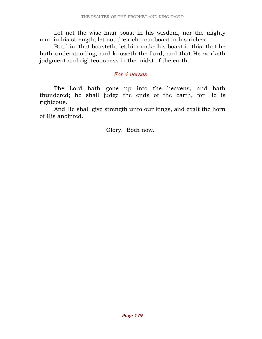Let not the wise man boast in his wisdom, nor the mighty man in his strength; let not the rich man boast in his riches.

 But him that boasteth, let him make his boast in this: that he hath understanding, and knoweth the Lord; and that He worketh judgment and righteousness in the midst of the earth.

#### For 4 verses

 The Lord hath gone up into the heavens, and hath thundered; he shall judge the ends of the earth, for He is righteous.

 And He shall give strength unto our kings, and exalt the horn of His anointed.

Glory. Both now.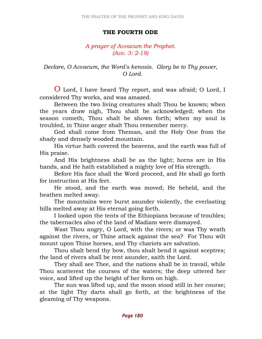#### THE FOURTH ODE

### A prayer of Avvacum the Prophet. (Avv. 3: 2-19)

 Declare, O Avvacum, the Word's kenosis. Glory be to Thy power, O Lord.

O Lord, I have heard Thy report, and was afraid; O Lord, I considered Thy works, and was amazed.

 Between the two living creatures shalt Thou be known; when the years draw nigh, Thou shalt be acknowledged; when the season cometh, Thou shalt be shown forth; when my soul is troubled, in Thine anger shalt Thou remember mercy.

 God shall come from Theman, and the Holy One from the shady and densely wooded mountain.

 His virtue hath covered the heavens, and the earth was full of His praise.

 And His brightness shall be as the light; horns are in His hands, and He hath established a mighty love of His strength.

 Before His face shall the Word proceed, and He shall go forth for instruction at His feet.

 He stood, and the earth was moved; He beheld, and the heathen melted away.

 The mountains were burst asunder violently, the everlasting hills melted away at His eternal going forth.

 I looked upon the tents of the Ethiopians because of troubles; the tabernacles also of the land of Madiam were dismayed.

 Wast Thou angry, O Lord, with the rivers; or was Thy wrath against the rivers, or Thine attack against the sea? For Thou wilt mount upon Thine horses, and Thy chariots are salvation.

 Thou shalt bend thy bow, thou shalt bend it against sceptres; the land of rivers shall be rent asunder, saith the Lord.

 They shall see Thee, and the nations shall be in travail, while Thou scatterest the courses of the waters; the deep uttered her voice, and lifted up the height of her form on high.

 The sun was lifted up, and the moon stood still in her course; at the light Thy darts shall go forth, at the brightness of the gleaming of Thy weapons.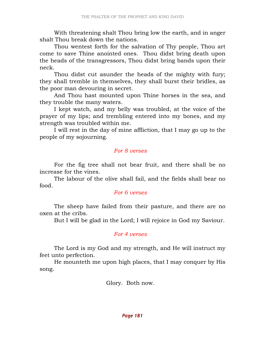With threatening shalt Thou bring low the earth, and in anger shalt Thou break down the nations.

 Thou wentest forth for the salvation of Thy people, Thou art come to save Thine anointed ones. Thou didst bring death upon the heads of the transgressors, Thou didst bring bands upon their neck.

 Thou didst cut asunder the heads of the mighty with fury; they shall tremble in themselves, they shall burst their bridles, as the poor man devouring in secret.

 And Thou hast mounted upon Thine horses in the sea, and they trouble the many waters.

 I kept watch, and my belly was troubled, at the voice of the prayer of my lips; and trembling entered into my bones, and my strength was troubled within me.

 I will rest in the day of mine affliction, that I may go up to the people of my sojourning.

#### For 8 verses

 For the fig tree shall not bear fruit, and there shall be no increase for the vines.

 The labour of the olive shall fail, and the fields shall bear no food.

### For 6 verses

 The sheep have failed from their pasture, and there are no oxen at the cribs.

But I will be glad in the Lord; I will rejoice in God my Saviour.

### For 4 verses

 The Lord is my God and my strength, and He will instruct my feet unto perfection.

 He mounteth me upon high places, that I may conquer by His song.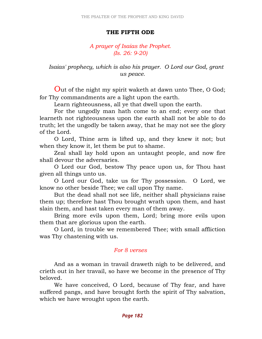#### THE FIFTH ODE

### A prayer of Isaias the Prophet. (Is. 26: 9-20)

 Isaias' prophecy, which is also his prayer. O Lord our God, grant us peace.

Out of the night my spirit waketh at dawn unto Thee, O God; for Thy commandments are a light upon the earth.

Learn righteousness, all ye that dwell upon the earth.

 For the ungodly man hath come to an end; every one that learneth not righteousness upon the earth shall not be able to do truth; let the ungodly be taken away, that he may not see the glory of the Lord.

 O Lord, Thine arm is lifted up, and they knew it not; but when they know it, let them be put to shame.

 Zeal shall lay hold upon an untaught people, and now fire shall devour the adversaries.

 O Lord our God, bestow Thy peace upon us, for Thou hast given all things unto us.

 O Lord our God, take us for Thy possession. O Lord, we know no other beside Thee; we call upon Thy name.

 But the dead shall not see life, neither shall physicians raise them up; therefore hast Thou brought wrath upon them, and hast slain them, and hast taken every man of them away.

 Bring more evils upon them, Lord; bring more evils upon them that are glorious upon the earth.

 O Lord, in trouble we remembered Thee; with small affliction was Thy chastening with us.

### For 8 verses

 And as a woman in travail draweth nigh to be delivered, and crieth out in her travail, so have we become in the presence of Thy beloved.

 We have conceived, O Lord, because of Thy fear, and have suffered pangs, and have brought forth the spirit of Thy salvation, which we have wrought upon the earth.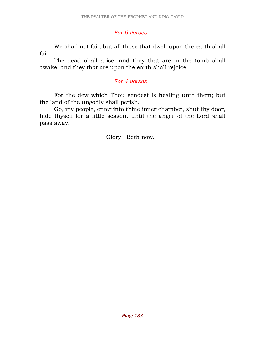# For 6 verses

 We shall not fail, but all those that dwell upon the earth shall fail.

 The dead shall arise, and they that are in the tomb shall awake, and they that are upon the earth shall rejoice.

# For 4 verses

 For the dew which Thou sendest is healing unto them; but the land of the ungodly shall perish.

 Go, my people, enter into thine inner chamber, shut thy door, hide thyself for a little season, until the anger of the Lord shall pass away.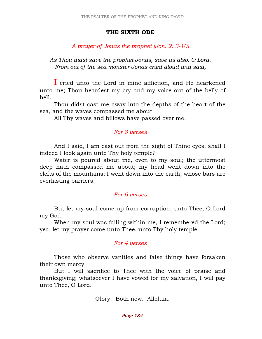#### THE SIXTH ODE

# A prayer of Jonas the prophet (Jon. 2: 3-10)

As Thou didst save the prophet Jonas, save us also. O Lord. From out of the sea monster Jonas cried aloud and said,

I cried unto the Lord in mine affliction, and He hearkened unto me; Thou heardest my cry and my voice out of the belly of hell.

 Thou didst cast me away into the depths of the heart of the sea, and the waves compassed me about.

All Thy waves and billows have passed over me.

#### For 8 verses

 And I said, I am cast out from the sight of Thine eyes; shall I indeed I look again unto Thy holy temple?

 Water is poured about me, even to my soul; the uttermost deep hath compassed me about; my head went down into the clefts of the mountains; I went down into the earth, whose bars are everlasting barriers.

### For 6 verses

 But let my soul come up from corruption, unto Thee, O Lord my God.

 When my soul was failing within me, I remembered the Lord; yea, let my prayer come unto Thee, unto Thy holy temple.

### For 4 verses

 Those who observe vanities and false things have forsaken their own mercy.

 But I will sacrifice to Thee with the voice of praise and thanksgiving; whatsoever I have vowed for my salvation, I will pay unto Thee, O Lord.

Glory. Both now. Alleluia.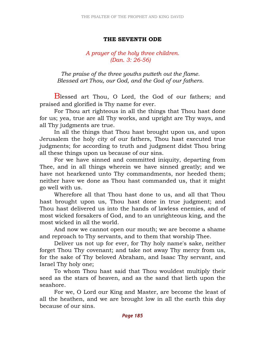## THE SEVENTH ODE

# A prayer of the holy three children. (Dan. 3: 26-56)

The praise of the three youths putteth out the flame. Blessed art Thou, our God, and the God of our fathers.

Blessed art Thou, O Lord, the God of our fathers; and praised and glorified is Thy name for ever.

 For Thou art righteous in all the things that Thou hast done for us; yea, true are all Thy works, and upright are Thy ways, and all Thy judgments are true.

 In all the things that Thou hast brought upon us, and upon Jerusalem the holy city of our fathers, Thou hast executed true judgments; for according to truth and judgment didst Thou bring all these things upon us because of our sins.

 For we have sinned and committed iniquity, departing from Thee, and in all things wherein we have sinned greatly; and we have not hearkened unto Thy commandments, nor heeded them; neither have we done as Thou hast commanded us, that it might go well with us.

 Wherefore all that Thou hast done to us, and all that Thou hast brought upon us, Thou hast done in true judgment; and Thou hast delivered us into the hands of lawless enemies, and of most wicked forsakers of God, and to an unrighteous king, and the most wicked in all the world.

 And now we cannot open our mouth; we are become a shame and reproach to Thy servants, and to them that worship Thee.

 Deliver us not up for ever, for Thy holy name's sake, neither forget Thou Thy covenant; and take not away Thy mercy from us, for the sake of Thy beloved Abraham, and Isaac Thy servant, and Israel Thy holy one;

 To whom Thou hast said that Thou wouldest multiply their seed as the stars of heaven, and as the sand that lieth upon the seashore.

 For we, O Lord our King and Master, are become the least of all the heathen, and we are brought low in all the earth this day because of our sins.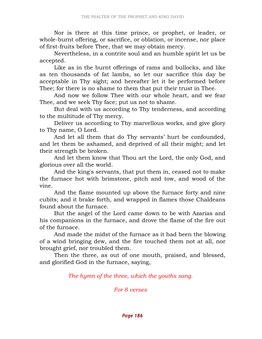Nor is there at this time prince, or prophet, or leader, or whole-burnt offering, or sacrifice, or oblation, or incense, nor place of first-fruits before Thee, that we may obtain mercy.

 Nevertheless, in a contrite soul and an humble spirit let us be accepted.

 Like as in the burnt offerings of rams and bullocks, and like as ten thousands of fat lambs, so let our sacrifice this day be acceptable in Thy sight; and hereafter let it be performed before Thee; for there is no shame to them that put their trust in Thee.

 And now we follow Thee with our whole heart, and we fear Thee, and we seek Thy face; put us not to shame.

 But deal with us according to Thy tenderness, and according to the multitude of Thy mercy.

 Deliver us according to Thy marvellous works, and give glory to Thy name, O Lord.

 And let all them that do Thy servants' hurt be confounded, and let them be ashamed, and deprived of all their might; and let their strength be broken.

 And let them know that Thou art the Lord, the only God, and glorious over all the world.

 And the king's servants, that put them in, ceased not to make the furnace hot with brimstone, pitch and tow, and wood of the vine.

 And the flame mounted up above the furnace forty and nine cubits; and it brake forth, and wrapped in flames those Chaldeans found about the furnace.

 But the angel of the Lord came down to be with Azarias and his companions in the furnace, and drove the flame of the fire out of the furnace.

 And made the midst of the furnace as it had been the blowing of a wind bringing dew, and the fire touched them not at all, nor brought grief, nor troubled them.

 Then the three, as out of one mouth, praised, and blessed, and glorified God in the furnace, saying,

The hymn of the three, which the youths sang.

For 8 verses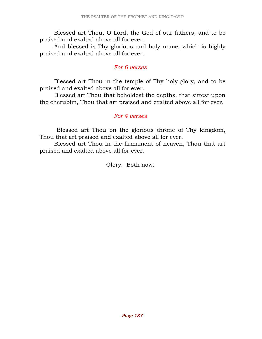Blessed art Thou, O Lord, the God of our fathers, and to be praised and exalted above all for ever.

 And blessed is Thy glorious and holy name, which is highly praised and exalted above all for ever.

### For 6 verses

 Blessed art Thou in the temple of Thy holy glory, and to be praised and exalted above all for ever.

 Blessed art Thou that beholdest the depths, that sittest upon the cherubim, Thou that art praised and exalted above all for ever.

### For 4 verses

 Blessed art Thou on the glorious throne of Thy kingdom, Thou that art praised and exalted above all for ever.

 Blessed art Thou in the firmament of heaven, Thou that art praised and exalted above all for ever.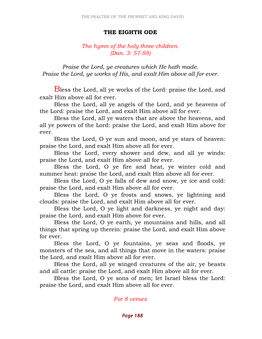#### THE EIGHTH ODE

## The hymn of the holy three children. (Dan. 3: 57-88)

 Praise the Lord, ye creatures which He hath made. Praise the Lord, ye works of His, and exalt Him above all for ever.

Bless the Lord, all ye works of the Lord: praise the Lord, and exalt Him above all for ever.

 Bless the Lord, all ye angels of the Lord, and ye heavens of the Lord: praise the Lord, and exalt Him above all for ever.

 Bless the Lord, all ye waters that are above the heavens, and all ye powers of the Lord: praise the Lord, and exalt Him above for ever.

 Bless the Lord, O ye sun and moon, and ye stars of heaven: praise the Lord, and exalt Him above all for ever.

 Bless the Lord, every shower and dew, and all ye winds: praise the Lord, and exalt Him above all for ever.

 Bless the Lord, O ye fire and heat, ye winter cold and summer heat: praise the Lord, and exalt Him above all for ever.

 Bless the Lord, O ye falls of dew and snow, ye ice and cold: praise the Lord, and exalt Him above all for ever.

 Bless the Lord, O ye frosts and snows, ye lightning and clouds: praise the Lord, and exalt Him above all for ever.

 Bless the Lord, O ye light and darkness, ye night and day: praise the Lord, and exalt Him above for ever.

 Bless the Lord, O ye earth, ye mountains and hills, and all things that spring up therein: praise the Lord, and exalt Him above for ever.

 Bless the Lord, O ye fountains, ye seas and floods, ye monsters of the sea, and all things that move in the waters: praise the Lord, and exalt Him above all for ever.

 Bless the Lord, all ye winged creatures of the air, ye beasts and all cattle: praise the Lord, and exalt Him above all for ever.

 Bless the Lord, O ye sons of men; let Israel bless the Lord: praise the Lord, and exalt Him above all for ever.

For 8 verses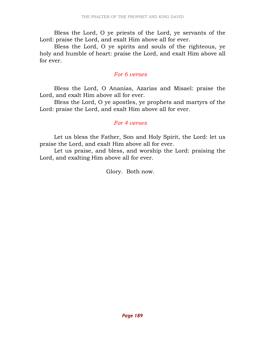Bless the Lord, O ye priests of the Lord, ye servants of the Lord: praise the Lord, and exalt Him above all for ever.

 Bless the Lord, O ye spirits and souls of the righteous, ye holy and humble of heart: praise the Lord, and exalt Him above all for ever.

## For 6 verses

 Bless the Lord, O Ananias, Azarias and Misael: praise the Lord, and exalt Him above all for ever.

 Bless the Lord, O ye apostles, ye prophets and martyrs of the Lord: praise the Lord, and exalt Him above all for ever.

### For 4 verses

 Let us bless the Father, Son and Holy Spirit, the Lord: let us praise the Lord, and exalt Him above all for ever.

 Let us praise, and bless, and worship the Lord: praising the Lord, and exalting Him above all for ever.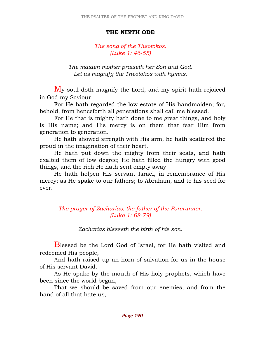### THE NINTH ODE

# The song of the Theotokos. (Luke 1: 46-55)

The maiden mother praiseth her Son and God. Let us magnify the Theotokos with hymns.

My soul doth magnify the Lord, and my spirit hath rejoiced in God my Saviour.

 For He hath regarded the low estate of His handmaiden; for, behold, from henceforth all generations shall call me blessed.

 For He that is mighty hath done to me great things, and holy is His name; and His mercy is on them that fear Him from generation to generation.

 He hath showed strength with His arm, he hath scattered the proud in the imagination of their heart.

 He hath put down the mighty from their seats, and hath exalted them of low degree; He hath filled the hungry with good things, and the rich He hath sent empty away.

 He hath holpen His servant Israel, in remembrance of His mercy; as He spake to our fathers; to Abraham, and to his seed for ever.

> The prayer of Zacharias, the father of the Forerunner. (Luke 1: 68-79)

> > Zacharias blesseth the birth of his son.

Blessed be the Lord God of Israel, for He hath visited and redeemed His people,

 And hath raised up an horn of salvation for us in the house of His servant David.

 As He spake by the mouth of His holy prophets, which have been since the world began,

 That we should be saved from our enemies, and from the hand of all that hate us,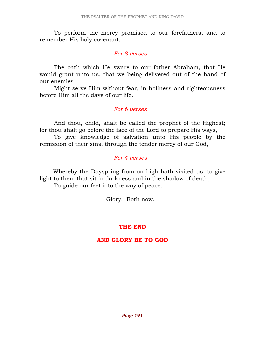To perform the mercy promised to our forefathers, and to remember His holy covenant,

### For 8 verses

 The oath which He sware to our father Abraham, that He would grant unto us, that we being delivered out of the hand of our enemies

 Might serve Him without fear, in holiness and righteousness before Him all the days of our life.

# For 6 verses

 And thou, child, shalt be called the prophet of the Highest; for thou shalt go before the face of the Lord to prepare His ways,

 To give knowledge of salvation unto His people by the remission of their sins, through the tender mercy of our God,

# For 4 verses

 Whereby the Dayspring from on high hath visited us, to give light to them that sit in darkness and in the shadow of death, To guide our feet into the way of peace.

Glory. Both now.

# THE END

# AND GLORY BE TO GOD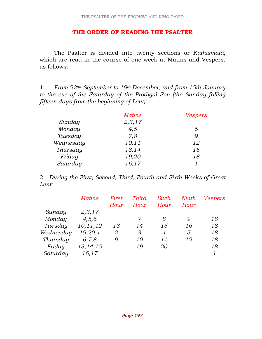### THE ORDER OF READING THE PSALTER

 The Psalter is divided into twenty sections or Kathismata, which are read in the course of one week at Matins and Vespers, as follows:

1. From  $22^{nd}$  September to 19<sup>th</sup> December, and from 15th January to the eve of the Saturday of the Prodigal Son (the Sunday falling fifteen days from the beginning of Lent):

|           | <b>Matins</b> | <b>Vespers</b> |
|-----------|---------------|----------------|
| Sunday    | 2,3,17        |                |
| Monday    | 4,5           |                |
| Tuesday   | 7,8           | 9              |
| Wednesday | 10, 11        | 12             |
| Thursday  | 13,14         | 15             |
| Friday    | 19,20         | 18             |
| Saturday  | 16,17         |                |

2. During the First, Second, Third, Fourth and Sixth Weeks of Great Lent:

|           | <i>Matins</i> | First | <b>Third</b> | Sixth | Ninth | <b>Vespers</b> |
|-----------|---------------|-------|--------------|-------|-------|----------------|
|           |               | Hour  | Hour         | Hour  | Hour  |                |
| Sunday    | 2,3,17        |       |              |       |       |                |
| Monday    | 4,5,6         |       | 7            | 8     | 9     | 18             |
| Tuesday   | 10, 11, 12    | 13    | 14           | 15    | 16    | 18             |
| Wednesday | 19,20,1       | 2     | 3            | 4     | 5     | 18             |
| Thursday  | 6,7,8         | 9     | 10           | 11    | 12    | 18             |
| Friday    | 13, 14, 15    |       | 19           | 20    |       | 18             |
| Saturday  | 16,17         |       |              |       |       |                |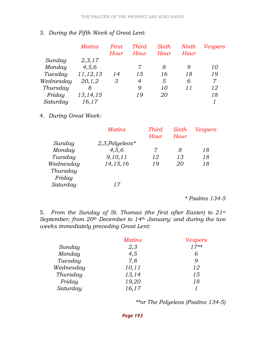# 3. During the Fifth Week of Great Lent:

|           | <i>Matins</i> | First<br>Hour | <b>Third</b><br>Hour | Sixth<br>Hour | Ninth<br>Hour | <b>Vespers</b> |
|-----------|---------------|---------------|----------------------|---------------|---------------|----------------|
| Sunday    | 2,3,17        |               |                      |               |               |                |
| Monday    | 4,5,6         |               | 7                    | 8             | 9             | 10             |
| Tuesday   | 11, 12, 13    | 14            | 15                   | 16            | 18            | 19             |
| Wednesday | 20, 1, 2      | 3             | 4                    | 5             | 6             | 7              |
| Thursday  | 8             |               | 9                    | 10            | 11            | 12             |
| Friday    | 13, 14, 15    |               | 19                   | 20            |               | 18             |
| Saturday  | 16,17         |               |                      |               |               |                |

# 4. During Great Week:

| <b>Matins</b>     | <b>Third</b> | Sixth     | <b>Vespers</b> |
|-------------------|--------------|-----------|----------------|
|                   | Hour         | Hour      |                |
| $2,3,$ Polyeleos* |              |           |                |
| 4,5,6             | 7            | 8         | 18             |
| 9,10,11           | 12           | 13        | 18             |
| 14, 15, 16        | 19           | <i>20</i> | 18             |
|                   |              |           |                |
|                   |              |           |                |
| 17                |              |           |                |
|                   |              |           |                |

\* Psalms 134-5

5. From the Sunday of St. Thomas (the first after Easter) to 21st September; from  $20<sup>th</sup>$  December to 14<sup>th</sup> January; and during the two weeks immediately preceding Great Lent:

|           | <b>Matins</b> | Vespers |
|-----------|---------------|---------|
| Sunday    | 2,3           | $17**$  |
| Monday    | 4,5           | 6       |
| Tuesday   | 7,8           | Q       |
| Wednesday | 10, 11        | 12      |
| Thursday  | 13,14         | 15      |
| Friday    | 19,20         | 18      |
| Saturday  | 16,17         |         |

\*\*or The Polyeleos (Psalms 134-5)